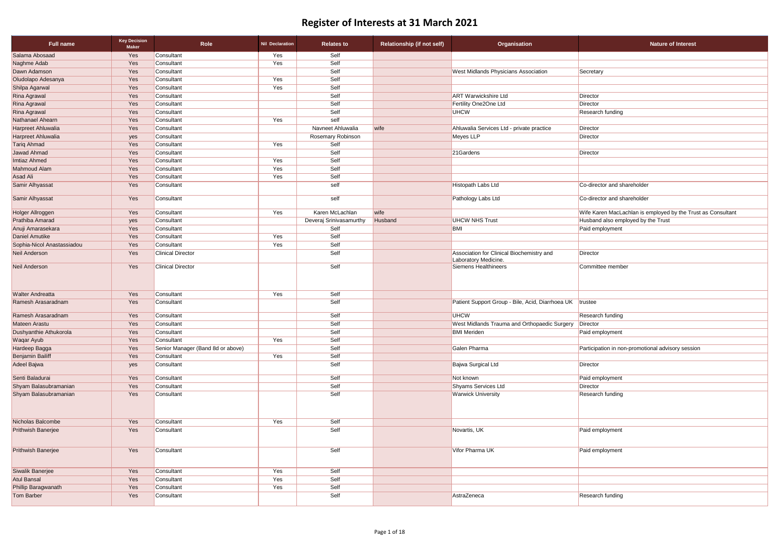| <b>Full name</b>           | <b>Key Decision</b><br><b>Maker</b> | Role                              | <b>Nil Declaration</b> | <b>Relates to</b>       | <b>Relationship (if not self)</b> | Organisation                                                      | <b>Nature of Interest</b>                                    |
|----------------------------|-------------------------------------|-----------------------------------|------------------------|-------------------------|-----------------------------------|-------------------------------------------------------------------|--------------------------------------------------------------|
| Salama Abosaad             | Yes                                 | Consultant                        | Yes                    | Self                    |                                   |                                                                   |                                                              |
| Naghme Adab                | Yes                                 | Consultant                        | Yes                    | Self                    |                                   |                                                                   |                                                              |
| Dawn Adamson               | Yes                                 | Consultant                        |                        | Self                    |                                   | <b>West Midlands Physicians Association</b>                       | Secretary                                                    |
| Oludolapo Adesanya         | Yes                                 | Consultant                        | Yes                    | Self                    |                                   |                                                                   |                                                              |
| Shilpa Agarwal             | Yes                                 | Consultant                        | Yes                    | Self                    |                                   |                                                                   |                                                              |
| Rina Agrawal               | Yes                                 | Consultant                        |                        | Self                    |                                   | <b>ART Warwickshire Ltd</b>                                       | <b>Director</b>                                              |
| Rina Agrawal               | Yes                                 | Consultant                        |                        | Self                    |                                   | Fertility One2One Ltd                                             | Director                                                     |
| <b>Rina Agrawal</b>        | Yes                                 | Consultant                        |                        | Self                    |                                   | UHCW                                                              | Research funding                                             |
| Nathanael Ahearn           | Yes                                 | Consultant                        | Yes                    | self                    |                                   |                                                                   |                                                              |
| Harpreet Ahluwalia         | Yes                                 | Consultant                        |                        | Navneet Ahluwalia       | wife                              | Ahluwalia Services Ltd - private practice                         | Director                                                     |
| Harpreet Ahluwalia         | yes                                 | Consultant                        |                        | Rosemary Robinson       |                                   | Meyes LLP                                                         | Director                                                     |
| <b>Tariq Ahmad</b>         | Yes                                 | Consultant                        | Yes                    | Self                    |                                   |                                                                   |                                                              |
| Jawad Ahmad                | Yes                                 | Consultant                        |                        | Self                    |                                   | 21Gardens                                                         | Director                                                     |
| Imtiaz Ahmed               | Yes                                 | Consultant                        | Yes                    | Self                    |                                   |                                                                   |                                                              |
| Mahmoud Alam               | Yes                                 | Consultant                        | Yes                    | Self                    |                                   |                                                                   |                                                              |
| Asad Ali                   | Yes                                 | Consultant                        | Yes                    | Self                    |                                   |                                                                   |                                                              |
| Samir Alhyassat            | Yes                                 | Consultant                        |                        | self                    |                                   | Histopath Labs Ltd                                                | Co-director and shareholder                                  |
| Samir Alhyassat            | Yes                                 | Consultant                        |                        | self                    |                                   | Pathology Labs Ltd                                                | Co-director and shareholder                                  |
| Holger Allroggen           | Yes                                 | Consultant                        | Yes                    | Karen McLachlan         | wife                              |                                                                   | Wife Karen MacLachlan is employed by the Trust as Consultant |
| Prathiba Amarad            | yes                                 | Consultant                        |                        | Deveraj Srinivasamurthy | Husband                           | <b>UHCW NHS Trust</b>                                             | Husband also employed by the Trust                           |
| Anuji Amarasekara          | Yes                                 | Consultant                        |                        | Self                    |                                   | <b>BMI</b>                                                        | Paid employment                                              |
| Daniel Amutike             | Yes                                 | Consultant                        | Yes                    | Self                    |                                   |                                                                   |                                                              |
| Sophia-Nicol Anastassiadou | Yes                                 | Consultant                        | Yes                    | Self                    |                                   |                                                                   |                                                              |
| Neil Anderson              | Yes                                 | <b>Clinical Director</b>          |                        | Self                    |                                   | Association for Clinical Biochemistry and<br>Laboratory Medicine. | <b>Director</b>                                              |
| Neil Anderson              | Yes                                 | <b>Clinical Director</b>          |                        | Self                    |                                   | Siemens Healthineers                                              | Committee member                                             |
| <b>Walter Andreatta</b>    | Yes                                 | Consultant                        | Yes                    | Self                    |                                   |                                                                   |                                                              |
| Ramesh Arasaradnam         | Yes                                 | Consultant                        |                        | Self                    |                                   | Patient Support Group - Bile, Acid, Diarrhoea UK                  | trustee                                                      |
| Ramesh Arasaradnam         | Yes                                 | Consultant                        |                        | Self                    |                                   | <b>UHCW</b>                                                       | Research funding                                             |
| Mateen Arastu              | Yes                                 | Consultant                        |                        | Self                    |                                   | West Midlands Trauma and Orthopaedic Surgery                      | Director                                                     |
| Dushyanthie Athukorola     | Yes                                 | Consultant                        |                        | Self                    |                                   | <b>BMI</b> Meriden                                                | Paid employment                                              |
| Waqar Ayub                 | Yes                                 | Consultant                        | Yes                    | Self                    |                                   |                                                                   |                                                              |
| Hardeep Bagga              | Yes                                 | Senior Manager (Band 8d or above) |                        | Self                    |                                   | Galen Pharma                                                      | Participation in non-promotional advisory session            |
| <b>Benjamin Bailiff</b>    | Yes                                 | Consultant                        | Yes                    | Self                    |                                   |                                                                   |                                                              |
| Adeel Bajwa                | yes                                 | Consultant                        |                        | Self                    |                                   | Bajwa Surgical Ltd                                                | Director                                                     |
| Senti Baladurai            | Yes                                 | Consultant                        |                        | Self                    |                                   | Not known                                                         | Paid employment                                              |
| Shyam Balasubramanian      | Yes                                 | Consultant                        |                        | Self                    |                                   | Shyams Services Ltd                                               | Director                                                     |
| Shyam Balasubramanian      | Yes                                 | Consultant                        |                        | Self                    |                                   | <b>Warwick University</b>                                         | Research funding                                             |
| Nicholas Balcombe          | Yes                                 | Consultant                        | Yes                    | Self                    |                                   |                                                                   |                                                              |
| Prithwish Banerjee         | Yes                                 | Consultant                        |                        | Self                    |                                   | Novartis, UK                                                      | Paid employment                                              |
| Prithwish Banerjee         | Yes                                 | Consultant                        |                        | Self                    |                                   | Vifor Pharma UK                                                   | Paid employment                                              |
| Siwalik Banerjee           | Yes                                 | Consultant                        | Yes                    | Self                    |                                   |                                                                   |                                                              |
| <b>Atul Bansal</b>         | Yes                                 | Consultant                        | Yes                    | Self                    |                                   |                                                                   |                                                              |
| Phillip Baragwanath        | Yes                                 | Consultant                        | Yes                    | Self                    |                                   |                                                                   |                                                              |
| Tom Barber                 | Yes                                 | Consultant                        |                        | Self                    |                                   | AstraZeneca                                                       | <b>Research funding</b>                                      |

| retary                                                    |
|-----------------------------------------------------------|
|                                                           |
|                                                           |
| ector                                                     |
| ector                                                     |
| earch funding                                             |
|                                                           |
| ector                                                     |
| ector                                                     |
| ector                                                     |
|                                                           |
|                                                           |
|                                                           |
| director and shareholder                                  |
| director and shareholder                                  |
| e Karen MacLachlan is employed by the Trust as Consultant |
| band also employed by the Trust                           |
| d employment                                              |
|                                                           |
|                                                           |
| ector                                                     |
| nmittee member                                            |
|                                                           |
|                                                           |
| tee                                                       |
| earch funding                                             |
| ector                                                     |
| d employment                                              |
|                                                           |
| ticipation in non-promotional advisory session            |
| ector                                                     |
|                                                           |
| d employment                                              |
| ector                                                     |
| earch funding                                             |
|                                                           |
|                                                           |
|                                                           |
| d employment                                              |
| d employment                                              |
|                                                           |
|                                                           |
|                                                           |
|                                                           |
| earch funding                                             |
|                                                           |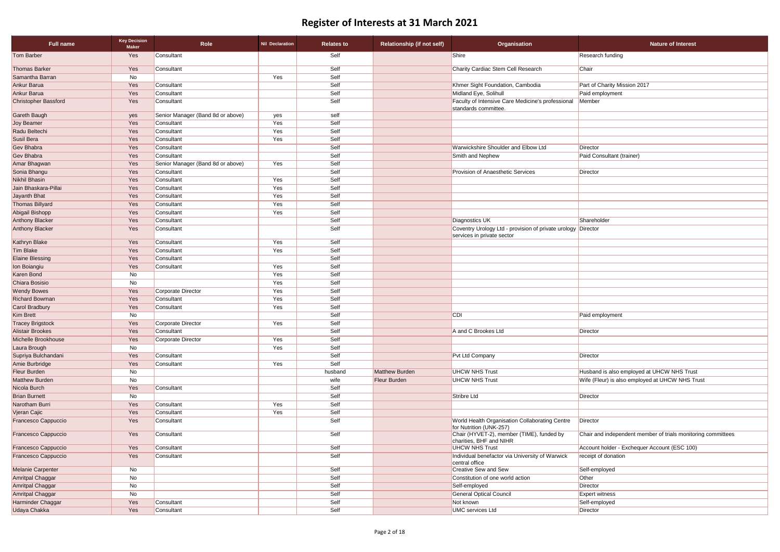| Full name                | <b>Key Decision</b><br><b>Maker</b> | Role                              | <b>Nil Declaration</b> | <b>Relates to</b> | <b>Relationship (if not self)</b> | Organisation                                                                               | <b>Nature of Interest</b>                         |
|--------------------------|-------------------------------------|-----------------------------------|------------------------|-------------------|-----------------------------------|--------------------------------------------------------------------------------------------|---------------------------------------------------|
| <b>Tom Barber</b>        | Yes                                 | Consultant                        |                        | Self              |                                   | Shire                                                                                      | <b>Research funding</b>                           |
| <b>Thomas Barker</b>     | Yes                                 | Consultant                        |                        | Self              |                                   | Charity Cardiac Stem Cell Research                                                         | Chair                                             |
| Samantha Barran          | No                                  |                                   | Yes                    | Self              |                                   |                                                                                            |                                                   |
| Ankur Barua              | Yes                                 | Consultant                        |                        | Self              |                                   | Khmer Sight Foundation, Cambodia                                                           | Part of Charity Mission 2017                      |
| Ankur Barua              | Yes                                 | Consultant                        |                        | Self              |                                   | Midland Eye, Solihull                                                                      | Paid employment                                   |
| Christopher Bassford     | Yes                                 | Consultant                        |                        | Self              |                                   | Faculty of Intensive Care Medicine's professional<br>standards committee.                  | Member                                            |
| Gareth Baugh             | yes                                 | Senior Manager (Band 8d or above) | yes                    | self              |                                   |                                                                                            |                                                   |
| <b>Joy Beamer</b>        | Yes                                 | Consultant                        | Yes                    | Self              |                                   |                                                                                            |                                                   |
| Radu Beltechi            | Yes                                 | Consultant                        | Yes                    | Self              |                                   |                                                                                            |                                                   |
| Susil Bera               | Yes                                 | Consultant                        | Yes                    | Self              |                                   |                                                                                            |                                                   |
| Gev Bhabra               | Yes                                 | Consultant                        |                        | Self              |                                   | Warwickshire Shoulder and Elbow Ltd                                                        | Director                                          |
| Gev Bhabra               | Yes                                 | Consultant                        |                        | Self              |                                   | Smith and Nephew                                                                           | Paid Consultant (trainer)                         |
| Amar Bhagwan             | Yes                                 | Senior Manager (Band 8d or above) | Yes                    | Self              |                                   |                                                                                            |                                                   |
| Sonia Bhangu             | Yes                                 | Consultant                        |                        | Self              |                                   | Provision of Anaesthetic Services                                                          | Director                                          |
| <b>Nikhil Bhasin</b>     | Yes                                 | Consultant                        | Yes                    | Self              |                                   |                                                                                            |                                                   |
| Jain Bhaskara-Pillai     | Yes                                 | Consultant                        | Yes                    | Self              |                                   |                                                                                            |                                                   |
| Jayanth Bhat             | Yes                                 | Consultant                        | Yes                    | Self              |                                   |                                                                                            |                                                   |
| <b>Thomas Billyard</b>   | Yes                                 | Consultant                        | Yes                    | Self              |                                   |                                                                                            |                                                   |
| <b>Abigail Bishopp</b>   | Yes                                 | Consultant                        | Yes                    | Self              |                                   |                                                                                            |                                                   |
| <b>Anthony Blacker</b>   | Yes                                 | Consultant                        |                        | Self              |                                   | <b>Diagnostics UK</b>                                                                      | Shareholder                                       |
| Anthony Blacker          | Yes                                 | Consultant                        |                        | Self              |                                   | Coventry Urology Ltd - provision of private urology Director<br>services in private sector |                                                   |
| Kathryn Blake            | Yes                                 | Consultant                        | Yes                    | Self              |                                   |                                                                                            |                                                   |
| <b>Tim Blake</b>         | Yes                                 | Consultant                        | Yes                    | Self              |                                   |                                                                                            |                                                   |
| <b>Elaine Blessing</b>   | Yes                                 | Consultant                        |                        | Self              |                                   |                                                                                            |                                                   |
| Ion Boiangiu             | Yes                                 | Consultant                        | Yes                    | Self              |                                   |                                                                                            |                                                   |
| Karen Bond               | No                                  |                                   | Yes                    | Self              |                                   |                                                                                            |                                                   |
| Chiara Bosisio           | No                                  |                                   | Yes                    | Self              |                                   |                                                                                            |                                                   |
| <b>Wendy Bowes</b>       | Yes                                 | Corporate Director                | Yes                    | Self              |                                   |                                                                                            |                                                   |
| Richard Bowman           | Yes                                 | Consultant                        | Yes                    | Self              |                                   |                                                                                            |                                                   |
| Carol Bradbury           | Yes                                 | Consultant                        | Yes                    | Self              |                                   |                                                                                            |                                                   |
| Kim Brett                | No                                  |                                   |                        | Self              |                                   | <b>CDI</b>                                                                                 | Paid employment                                   |
| <b>Tracey Brigstock</b>  | Yes                                 | Corporate Director                | Yes                    | Self              |                                   |                                                                                            |                                                   |
| <b>Alistair Brookes</b>  | Yes                                 | Consultant                        |                        | Self              |                                   | A and C Brookes Ltd                                                                        | Director                                          |
| Michelle Brookhouse      | Yes                                 | Corporate Director                | Yes                    | Self              |                                   |                                                                                            |                                                   |
| Laura Brough             | No                                  |                                   | Yes                    | Self              |                                   |                                                                                            |                                                   |
| Supriya Bulchandani      | Yes                                 | Consultant                        |                        | Self              |                                   | Pvt Ltd Company                                                                            | Director                                          |
| Amie Burbridge           | Yes                                 | Consultant                        | Yes                    | Self              |                                   |                                                                                            |                                                   |
| Fleur Burden             | No                                  |                                   |                        | husband           | Matthew Burden                    | <b>UHCW NHS Trust</b>                                                                      | Husband is also employed at UHCW NHS Trust        |
| Matthew Burden           | No                                  |                                   |                        | wife              | <b>Fleur Burden</b>               | <b>UHCW NHS Trust</b>                                                                      | Wife (Fleur) is also employed at UHCW NHS Trust   |
| Nicola Burch             | Yes                                 | Consultant                        |                        | Self              |                                   |                                                                                            |                                                   |
| <b>Brian Burnett</b>     | No                                  |                                   |                        | Self              |                                   | Stribre Ltd                                                                                | Director                                          |
| Narotham Burri           | Yes                                 | Consultant                        | Yes                    | Self              |                                   |                                                                                            |                                                   |
| Vjeran Cajic             | Yes                                 | Consultant                        | Yes                    | Self              |                                   |                                                                                            |                                                   |
| Francesco Cappuccio      | Yes                                 | Consultant                        |                        | Self              |                                   | World Health Organisation Collaborating Centre<br>for Nutrition (UNK-257)                  | <b>Director</b>                                   |
| Francesco Cappuccio      | Yes                                 | Consultant                        |                        | Self              |                                   | Chair (HYVET-2), member (TIME), funded by<br>charities, BHF and NIHR                       | Chair and independent member of trials monitoring |
| Francesco Cappuccio      | Yes                                 | Consultant                        |                        | Self              |                                   | <b>UHCW NHS Trust</b>                                                                      | Account holder - Exchequer Account (ESC 100)      |
| Francesco Cappuccio      | Yes                                 | Consultant                        |                        | Self              |                                   | Individual benefactor via University of Warwick<br>central office                          | receipt of donation                               |
| <b>Melanie Carpenter</b> | No                                  |                                   |                        | Self              |                                   | <b>Creative Sew and Sew</b>                                                                | Self-employed                                     |
| Amritpal Chaggar         | No                                  |                                   |                        | Self              |                                   | Constitution of one world action                                                           | Other                                             |
| Amritpal Chaggar         | No                                  |                                   |                        | Self              |                                   | Self-employed                                                                              | Director                                          |
| Amritpal Chaggar         | No                                  |                                   |                        | Self              |                                   | <b>General Optical Council</b>                                                             | <b>Expert witness</b>                             |
| Harminder Chaggar        | Yes                                 | Consultant                        |                        | Self              |                                   | Not known                                                                                  | Self-employed                                     |
| Udaya Chakka             | Yes                                 | Consultant                        |                        | Self              |                                   | <b>UMC</b> services Ltd                                                                    | Director                                          |

| <b>Nature of Interest</b>                                    |
|--------------------------------------------------------------|
| Research funding                                             |
| Chair                                                        |
|                                                              |
| Part of Charity Mission 2017                                 |
| Paid employment                                              |
| Member                                                       |
|                                                              |
|                                                              |
|                                                              |
|                                                              |
| Director                                                     |
| Paid Consultant (trainer)                                    |
|                                                              |
| Director                                                     |
|                                                              |
|                                                              |
|                                                              |
|                                                              |
|                                                              |
| Shareholder                                                  |
| Director                                                     |
|                                                              |
|                                                              |
|                                                              |
|                                                              |
|                                                              |
|                                                              |
|                                                              |
|                                                              |
|                                                              |
| Paid employment                                              |
|                                                              |
| Director                                                     |
|                                                              |
|                                                              |
| Director                                                     |
| Husband is also employed at UHCW NHS Trust                   |
| Wife (Fleur) is also employed at UHCW NHS Trust              |
|                                                              |
| <b>Director</b>                                              |
|                                                              |
|                                                              |
| Director                                                     |
| Chair and independent member of trials monitoring committees |
| Account holder - Exchequer Account (ESC 100)                 |
| receipt of donation                                          |
|                                                              |
| Self-employed                                                |
| Other                                                        |
| Director                                                     |
| <b>Expert witness</b>                                        |
| Self-employed                                                |
| <b>Director</b>                                              |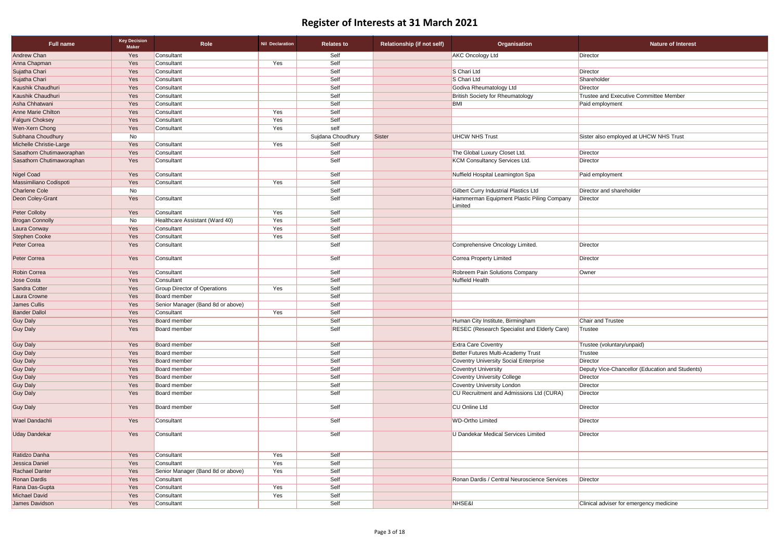| <b>Full name</b>          | <b>Key Decision</b><br><b>Maker</b> | Role                                | <b>Nil Declaration</b> | <b>Relates to</b> | <b>Relationship (if not self)</b> | Organisation                                 | <b>Nature of Interest</b>                       |
|---------------------------|-------------------------------------|-------------------------------------|------------------------|-------------------|-----------------------------------|----------------------------------------------|-------------------------------------------------|
| Andrew Chan               | Yes                                 | Consultant                          |                        | Self              |                                   | <b>AKC Oncology Ltd</b>                      | <b>Director</b>                                 |
| Anna Chapman              | Yes                                 | Consultant                          | Yes                    | Self              |                                   |                                              |                                                 |
| Sujatha Chari             | Yes                                 | Consultant                          |                        | Self              |                                   | S Chari Ltd                                  | Director                                        |
| Sujatha Chari             | Yes                                 | Consultant                          |                        | Self              |                                   | S Chari Ltd                                  | Shareholder                                     |
| Kaushik Chaudhuri         | Yes                                 | Consultant                          |                        | Self              |                                   | Godiva Rheumatology Ltd                      | Director                                        |
| Kaushik Chaudhuri         | Yes                                 | Consultant                          |                        | Self              |                                   | <b>British Society for Rheumatology</b>      | Trustee and Executive Committee Member          |
| Asha Chhatwani            | Yes                                 | Consultant                          |                        | Self              |                                   | <b>BMI</b>                                   | Paid employment                                 |
| <b>Anne Marie Chilton</b> | Yes                                 | Consultant                          | Yes                    | Self              |                                   |                                              |                                                 |
| <b>Falguni Choksey</b>    | Yes                                 | Consultant                          | Yes                    | Self              |                                   |                                              |                                                 |
| Wen-Xern Chong            | Yes                                 | Consultant                          | Yes                    | self              |                                   |                                              |                                                 |
| Subhana Choudhury         | No                                  |                                     |                        | Sujdana Choudhury | Sister                            | <b>UHCW NHS Trust</b>                        | Sister also employed at UHCW NHS Trust          |
| Michelle Christie-Large   | Yes                                 | Consultant                          | Yes                    | Self              |                                   |                                              |                                                 |
| Sasathorn Chutimaworaphan | Yes                                 | Consultant                          |                        | Self              |                                   | The Global Luxury Closet Ltd.                | Director                                        |
| Sasathorn Chutimaworaphan | Yes                                 | Consultant                          |                        | Self              |                                   | <b>KCM Consultancy Services Ltd.</b>         | Director                                        |
|                           |                                     |                                     |                        |                   |                                   |                                              |                                                 |
| <b>Nigel Coad</b>         | Yes                                 | Consultant                          |                        | Self              |                                   | Nuffield Hospital Leamington Spa             | Paid employment                                 |
| Massimiliano Codispoti    | Yes                                 | Consultant                          | Yes                    | Self              |                                   |                                              |                                                 |
| <b>Charlene Cole</b>      | No                                  |                                     |                        | Self              |                                   | Gilbert Curry Industrial Plastics Ltd        | Director and shareholder                        |
| Deon Coley-Grant          | Yes                                 | Consultant                          |                        | Self              |                                   | Hammerman Equipment Plastic Piling Company   | Director                                        |
|                           |                                     |                                     |                        |                   |                                   | Limited                                      |                                                 |
| <b>Peter Colloby</b>      | Yes                                 | Consultant                          | Yes                    | Self              |                                   |                                              |                                                 |
| <b>Brogan Connolly</b>    | No                                  | Healthcare Assistant (Ward 40)      | Yes                    | Self              |                                   |                                              |                                                 |
| Laura Conway              | Yes                                 | Consultant                          | Yes                    | Self              |                                   |                                              |                                                 |
| <b>Stephen Cooke</b>      | Yes                                 | Consultant                          | Yes                    | Self              |                                   |                                              |                                                 |
| <b>Peter Correa</b>       | Yes                                 | Consultant                          |                        | Self              |                                   | Comprehensive Oncology Limited.              | Director                                        |
| Peter Correa              | Yes                                 | Consultant                          |                        | Self              |                                   | <b>Correa Property Limited</b>               | Director                                        |
| Robin Correa              | Yes                                 | Consultant                          |                        | Self              |                                   | Robreem Pain Solutions Company               | Owner                                           |
| Jose Costa                | Yes                                 | Consultant                          |                        | Self              |                                   | Nuffield Health                              |                                                 |
| Sandra Cotter             | Yes                                 | <b>Group Director of Operations</b> | Yes                    | Self              |                                   |                                              |                                                 |
| Laura Crowne              | Yes                                 | <b>Board member</b>                 |                        | Self              |                                   |                                              |                                                 |
| James Cullis              | Yes                                 | Senior Manager (Band 8d or above)   |                        | Self              |                                   |                                              |                                                 |
| <b>Bander Dallol</b>      | Yes                                 | Consultant                          | Yes                    | Self              |                                   |                                              |                                                 |
| <b>Guy Daly</b>           | Yes                                 | <b>Board member</b>                 |                        | Self              |                                   | Human City Institute, Birmingham             | <b>Chair and Trustee</b>                        |
| <b>Guy Daly</b>           | Yes                                 | <b>Board member</b>                 |                        | Self              |                                   | RESEC (Research Specialist and Elderly Care) | Trustee                                         |
| <b>Guy Daly</b>           | Yes                                 | <b>Board member</b>                 |                        | Self              |                                   | <b>Extra Care Coventry</b>                   | Trustee (voluntary/unpaid)                      |
| <b>Guy Daly</b>           | Yes                                 | <b>Board member</b>                 |                        | Self              |                                   | Better Futures Multi-Academy Trust           | Trustee                                         |
| <b>Guy Daly</b>           | Yes                                 | <b>Board member</b>                 |                        | Self              |                                   | <b>Coventry University Social Enterprise</b> | Director                                        |
| <b>Guy Daly</b>           | Yes                                 | <b>Board member</b>                 |                        | Self              |                                   | <b>Coventryt University</b>                  | Deputy Vice-Chancellor (Education and Students) |
| <b>Guy Daly</b>           | Yes                                 | <b>Board member</b>                 |                        | Self              |                                   | <b>Coventry University College</b>           | Director                                        |
| <b>Guy Daly</b>           | Yes                                 | <b>Board member</b>                 |                        | Self              |                                   | <b>Coventry University London</b>            | Director                                        |
| <b>Guy Daly</b>           | Yes                                 | <b>Board member</b>                 |                        | Self              |                                   | CU Recruitment and Admissions Ltd (CURA)     | Director                                        |
| <b>Guy Daly</b>           | Yes                                 | <b>Board member</b>                 |                        | Self              |                                   | <b>CU Online Ltd</b>                         | Director                                        |
| Wael Dandachli            | Yes                                 | Consultant                          |                        | Self              |                                   | <b>WD-Ortho Limited</b>                      | Director                                        |
| <b>Uday Dandekar</b>      | Yes                                 | Consultant                          |                        | Self              |                                   | U Dandekar Medical Services Limited          | Director                                        |
| Ratidzo Danha             | Yes                                 | Consultant                          | Yes                    | Self              |                                   |                                              |                                                 |
| Jessica Daniel            | Yes                                 | Consultant                          | Yes                    | Self              |                                   |                                              |                                                 |
| Rachael Danter            | Yes                                 | Senior Manager (Band 8d or above)   | Yes                    | Self              |                                   |                                              |                                                 |
| Ronan Dardis              | Yes                                 | Consultant                          |                        | Self              |                                   | Ronan Dardis / Central Neuroscience Services | Director                                        |
| Rana Das-Gupta            | Yes                                 | Consultant                          | Yes                    | Self              |                                   |                                              |                                                 |
| <b>Michael David</b>      | Yes                                 | Consultant                          | Yes                    | Self              |                                   |                                              |                                                 |
| James Davidson            | Yes                                 | Consultant                          |                        | Self              |                                   | NHSE&I                                       | Clinical adviser for emergency medicine         |
|                           |                                     |                                     |                        |                   |                                   |                                              |                                                 |

| <b>Nature of Interest</b>                    |
|----------------------------------------------|
| ctor                                         |
|                                              |
| ctor                                         |
| reholder                                     |
| ctor                                         |
| stee and Executive Committee Member          |
| employment                                   |
|                                              |
|                                              |
|                                              |
| er also employed at UHCW NHS Trust           |
|                                              |
| ctor                                         |
| ctor                                         |
|                                              |
| d employment                                 |
|                                              |
| ctor and shareholder                         |
| ctor                                         |
|                                              |
|                                              |
|                                              |
|                                              |
|                                              |
| ctor                                         |
| ctor                                         |
| ۱er                                          |
|                                              |
|                                              |
|                                              |
|                                              |
|                                              |
| ir and Trustee                               |
| stee                                         |
|                                              |
| stee (voluntary/unpaid)                      |
| stee                                         |
| ctor                                         |
| uty Vice-Chancellor (Education and Students) |
| ctor                                         |
| ctor                                         |
| ctor                                         |
|                                              |
| ctor                                         |
| ctor                                         |
| ctor                                         |
|                                              |
|                                              |
|                                              |
|                                              |
|                                              |
| ctor                                         |
|                                              |
|                                              |
| ical adviser for emergency medicine          |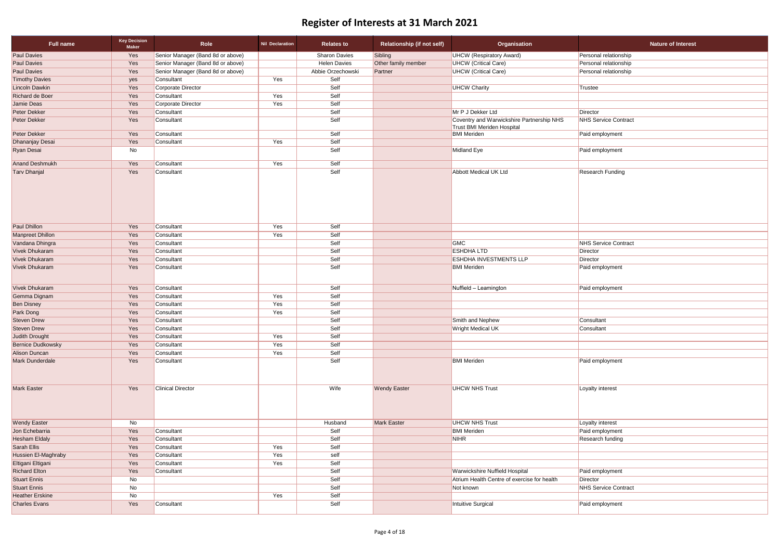| <b>Paul Davies</b><br>Senior Manager (Band 8d or above)<br><b>Sharon Davies</b><br>Sibling<br><b>UHCW (Respiratory Award)</b><br>Yes<br>Personal relationship<br>Yes<br>Senior Manager (Band 8d or above)<br><b>Helen Davies</b><br>Other family member<br><b>UHCW</b> (Critical Care)<br>Personal relationship<br>Senior Manager (Band 8d or above)<br>Abbie Orzechowski<br><b>UHCW</b> (Critical Care)<br>Yes<br>Partner<br>Personal relationship<br>Yes<br>Self<br>Consultant<br>yes<br>Corporate Director<br>Self<br><b>UHCW Charity</b><br>Yes<br>Trustee<br>Self<br>Yes<br>Yes<br>Consultant<br>Self<br>Yes<br>Corporate Director<br>Yes<br>Self<br>Mr P J Dekker Ltd<br>Yes<br>Director<br>Consultant<br>Self<br>Coventry and Warwickshire Partnership NHS<br><b>NHS Service Contract</b><br>Yes<br>Consultant<br><b>Trust BMI Meriden Hospital</b><br>Self<br>Yes<br><b>BMI</b> Meriden<br>Consultant<br>Paid employment<br>Yes<br>Self<br>Yes<br>Consultant<br>Self<br>Midland Eye<br>Paid employment<br>No<br>Yes<br>Self<br>Yes<br>Consultant<br>Self<br>Yes<br>Abbott Medical UK Ltd<br><b>Research Funding</b><br>Consultant<br>Yes<br>Self<br>Yes<br>Consultant<br>Self<br>Yes<br>Consultant<br>Yes<br>Self<br>GMC<br><b>NHS Service Contract</b><br>Yes<br>Consultant<br>Self<br>Yes<br><b>ESHDHALTD</b><br>Consultant<br>Director<br>Self<br>Yes<br><b>ESHDHA INVESTMENTS LLP</b><br>Director<br>Consultant<br>Self<br>Yes<br><b>BMI Meriden</b><br>Consultant<br>Paid employment<br>Self<br>Yes<br>Consultant<br>Nuffield - Leamington<br>Paid employment<br>Self<br>Yes<br>Yes<br>Consultant<br>Self<br>Yes<br>Yes<br>Consultant<br>Self<br>Yes<br>Yes<br>Consultant<br>Self<br>Yes<br>Consultant<br><b>Smith and Nephew</b><br>Consultant<br>Self<br><b>Wright Medical UK</b><br>Yes<br>Consultant<br>Consultant<br>Self<br>Yes<br>Yes<br>Consultant<br>Yes<br>Self<br>Yes<br>Consultant<br>Self<br>Yes<br>Yes<br>Consultant<br>Self<br><b>BMI Meriden</b><br>Paid employment<br>Yes<br>Consultant<br><b>Clinical Director</b><br>Wife<br><b>UHCW NHS Trust</b><br>Yes<br><b>Wendy Easter</b><br>Loyalty interest<br><b>Mark Easter</b><br><b>UHCW NHS Trust</b><br>Loyalty interest<br>No<br>Husband<br>Self<br><b>BMI Meriden</b><br>Paid employment<br>Yes<br>Consultant<br>Self<br><b>NIHR</b><br><b>Research funding</b><br>Yes<br>Consultant<br>Self<br>Yes<br>Yes<br>Consultant<br>Yes<br>Yes<br>Consultant<br>self<br>Self<br>Yes<br>Yes<br>Consultant<br>Self<br><b>Warwickshire Nuffield Hospital</b><br>Yes<br>Consultant<br>Paid employment | <b>Full name</b>    | <b>Key Decision</b><br><b>Maker</b> | Role | <b>Nil Declaration</b> | <b>Relates to</b> | <b>Relationship (if not self)</b> | Organisation                                | <b>Nature of Interest</b> |
|----------------------------------------------------------------------------------------------------------------------------------------------------------------------------------------------------------------------------------------------------------------------------------------------------------------------------------------------------------------------------------------------------------------------------------------------------------------------------------------------------------------------------------------------------------------------------------------------------------------------------------------------------------------------------------------------------------------------------------------------------------------------------------------------------------------------------------------------------------------------------------------------------------------------------------------------------------------------------------------------------------------------------------------------------------------------------------------------------------------------------------------------------------------------------------------------------------------------------------------------------------------------------------------------------------------------------------------------------------------------------------------------------------------------------------------------------------------------------------------------------------------------------------------------------------------------------------------------------------------------------------------------------------------------------------------------------------------------------------------------------------------------------------------------------------------------------------------------------------------------------------------------------------------------------------------------------------------------------------------------------------------------------------------------------------------------------------------------------------------------------------------------------------------------------------------------------------------------------------------------------------------------------------------------------------------------------------------------------------------------------------------------------------------------------------------------------------------------------------------------------------------------------------------------------------------------------|---------------------|-------------------------------------|------|------------------------|-------------------|-----------------------------------|---------------------------------------------|---------------------------|
|                                                                                                                                                                                                                                                                                                                                                                                                                                                                                                                                                                                                                                                                                                                                                                                                                                                                                                                                                                                                                                                                                                                                                                                                                                                                                                                                                                                                                                                                                                                                                                                                                                                                                                                                                                                                                                                                                                                                                                                                                                                                                                                                                                                                                                                                                                                                                                                                                                                                                                                                                                            |                     |                                     |      |                        |                   |                                   |                                             |                           |
| <b>Paul Davies</b><br><b>Timothy Davies</b><br><b>Lincoln Dawkin</b><br><b>Richard de Boer</b>                                                                                                                                                                                                                                                                                                                                                                                                                                                                                                                                                                                                                                                                                                                                                                                                                                                                                                                                                                                                                                                                                                                                                                                                                                                                                                                                                                                                                                                                                                                                                                                                                                                                                                                                                                                                                                                                                                                                                                                                                                                                                                                                                                                                                                                                                                                                                                                                                                                                             | <b>Paul Davies</b>  |                                     |      |                        |                   |                                   |                                             |                           |
|                                                                                                                                                                                                                                                                                                                                                                                                                                                                                                                                                                                                                                                                                                                                                                                                                                                                                                                                                                                                                                                                                                                                                                                                                                                                                                                                                                                                                                                                                                                                                                                                                                                                                                                                                                                                                                                                                                                                                                                                                                                                                                                                                                                                                                                                                                                                                                                                                                                                                                                                                                            |                     |                                     |      |                        |                   |                                   |                                             |                           |
|                                                                                                                                                                                                                                                                                                                                                                                                                                                                                                                                                                                                                                                                                                                                                                                                                                                                                                                                                                                                                                                                                                                                                                                                                                                                                                                                                                                                                                                                                                                                                                                                                                                                                                                                                                                                                                                                                                                                                                                                                                                                                                                                                                                                                                                                                                                                                                                                                                                                                                                                                                            |                     |                                     |      |                        |                   |                                   |                                             |                           |
| Jamie Deas<br>Peter Dekker<br>Peter Dekker<br>Peter Dekker<br>Dhananjay Desai<br>Ryan Desai<br><b>Anand Deshmukh</b><br><b>Tarv Dhanjal</b><br><b>Paul Dhillon</b><br><b>Manpreet Dhillon</b><br>Vandana Dhingra<br>Vivek Dhukaram<br><b>Vivek Dhukaram</b><br>Vivek Dhukaram<br><b>Vivek Dhukaram</b><br>Gemma Dignam<br><b>Ben Disney</b><br>Park Dong<br><b>Steven Drew</b><br><b>Steven Drew</b><br>Judith Drought<br><b>Bernice Dudkowsky</b><br><b>Alison Duncan</b><br>Mark Dunderdale<br><b>Mark Easter</b><br><b>Wendy Easter</b><br>Jon Echebarria<br><b>Hesham Eldaly</b><br>Sarah Ellis<br><b>Hussien El-Maghraby</b><br>Eltigani Eltigani<br><b>Richard Elton</b>                                                                                                                                                                                                                                                                                                                                                                                                                                                                                                                                                                                                                                                                                                                                                                                                                                                                                                                                                                                                                                                                                                                                                                                                                                                                                                                                                                                                                                                                                                                                                                                                                                                                                                                                                                                                                                                                                             |                     |                                     |      |                        |                   |                                   |                                             |                           |
|                                                                                                                                                                                                                                                                                                                                                                                                                                                                                                                                                                                                                                                                                                                                                                                                                                                                                                                                                                                                                                                                                                                                                                                                                                                                                                                                                                                                                                                                                                                                                                                                                                                                                                                                                                                                                                                                                                                                                                                                                                                                                                                                                                                                                                                                                                                                                                                                                                                                                                                                                                            |                     |                                     |      |                        |                   |                                   |                                             |                           |
|                                                                                                                                                                                                                                                                                                                                                                                                                                                                                                                                                                                                                                                                                                                                                                                                                                                                                                                                                                                                                                                                                                                                                                                                                                                                                                                                                                                                                                                                                                                                                                                                                                                                                                                                                                                                                                                                                                                                                                                                                                                                                                                                                                                                                                                                                                                                                                                                                                                                                                                                                                            |                     |                                     |      |                        |                   |                                   |                                             |                           |
|                                                                                                                                                                                                                                                                                                                                                                                                                                                                                                                                                                                                                                                                                                                                                                                                                                                                                                                                                                                                                                                                                                                                                                                                                                                                                                                                                                                                                                                                                                                                                                                                                                                                                                                                                                                                                                                                                                                                                                                                                                                                                                                                                                                                                                                                                                                                                                                                                                                                                                                                                                            |                     |                                     |      |                        |                   |                                   |                                             |                           |
|                                                                                                                                                                                                                                                                                                                                                                                                                                                                                                                                                                                                                                                                                                                                                                                                                                                                                                                                                                                                                                                                                                                                                                                                                                                                                                                                                                                                                                                                                                                                                                                                                                                                                                                                                                                                                                                                                                                                                                                                                                                                                                                                                                                                                                                                                                                                                                                                                                                                                                                                                                            |                     |                                     |      |                        |                   |                                   |                                             |                           |
|                                                                                                                                                                                                                                                                                                                                                                                                                                                                                                                                                                                                                                                                                                                                                                                                                                                                                                                                                                                                                                                                                                                                                                                                                                                                                                                                                                                                                                                                                                                                                                                                                                                                                                                                                                                                                                                                                                                                                                                                                                                                                                                                                                                                                                                                                                                                                                                                                                                                                                                                                                            |                     |                                     |      |                        |                   |                                   |                                             |                           |
|                                                                                                                                                                                                                                                                                                                                                                                                                                                                                                                                                                                                                                                                                                                                                                                                                                                                                                                                                                                                                                                                                                                                                                                                                                                                                                                                                                                                                                                                                                                                                                                                                                                                                                                                                                                                                                                                                                                                                                                                                                                                                                                                                                                                                                                                                                                                                                                                                                                                                                                                                                            |                     |                                     |      |                        |                   |                                   |                                             |                           |
|                                                                                                                                                                                                                                                                                                                                                                                                                                                                                                                                                                                                                                                                                                                                                                                                                                                                                                                                                                                                                                                                                                                                                                                                                                                                                                                                                                                                                                                                                                                                                                                                                                                                                                                                                                                                                                                                                                                                                                                                                                                                                                                                                                                                                                                                                                                                                                                                                                                                                                                                                                            |                     |                                     |      |                        |                   |                                   |                                             |                           |
|                                                                                                                                                                                                                                                                                                                                                                                                                                                                                                                                                                                                                                                                                                                                                                                                                                                                                                                                                                                                                                                                                                                                                                                                                                                                                                                                                                                                                                                                                                                                                                                                                                                                                                                                                                                                                                                                                                                                                                                                                                                                                                                                                                                                                                                                                                                                                                                                                                                                                                                                                                            |                     |                                     |      |                        |                   |                                   |                                             |                           |
|                                                                                                                                                                                                                                                                                                                                                                                                                                                                                                                                                                                                                                                                                                                                                                                                                                                                                                                                                                                                                                                                                                                                                                                                                                                                                                                                                                                                                                                                                                                                                                                                                                                                                                                                                                                                                                                                                                                                                                                                                                                                                                                                                                                                                                                                                                                                                                                                                                                                                                                                                                            |                     |                                     |      |                        |                   |                                   |                                             |                           |
|                                                                                                                                                                                                                                                                                                                                                                                                                                                                                                                                                                                                                                                                                                                                                                                                                                                                                                                                                                                                                                                                                                                                                                                                                                                                                                                                                                                                                                                                                                                                                                                                                                                                                                                                                                                                                                                                                                                                                                                                                                                                                                                                                                                                                                                                                                                                                                                                                                                                                                                                                                            |                     |                                     |      |                        |                   |                                   |                                             |                           |
|                                                                                                                                                                                                                                                                                                                                                                                                                                                                                                                                                                                                                                                                                                                                                                                                                                                                                                                                                                                                                                                                                                                                                                                                                                                                                                                                                                                                                                                                                                                                                                                                                                                                                                                                                                                                                                                                                                                                                                                                                                                                                                                                                                                                                                                                                                                                                                                                                                                                                                                                                                            |                     |                                     |      |                        |                   |                                   |                                             |                           |
|                                                                                                                                                                                                                                                                                                                                                                                                                                                                                                                                                                                                                                                                                                                                                                                                                                                                                                                                                                                                                                                                                                                                                                                                                                                                                                                                                                                                                                                                                                                                                                                                                                                                                                                                                                                                                                                                                                                                                                                                                                                                                                                                                                                                                                                                                                                                                                                                                                                                                                                                                                            |                     |                                     |      |                        |                   |                                   |                                             |                           |
|                                                                                                                                                                                                                                                                                                                                                                                                                                                                                                                                                                                                                                                                                                                                                                                                                                                                                                                                                                                                                                                                                                                                                                                                                                                                                                                                                                                                                                                                                                                                                                                                                                                                                                                                                                                                                                                                                                                                                                                                                                                                                                                                                                                                                                                                                                                                                                                                                                                                                                                                                                            |                     |                                     |      |                        |                   |                                   |                                             |                           |
|                                                                                                                                                                                                                                                                                                                                                                                                                                                                                                                                                                                                                                                                                                                                                                                                                                                                                                                                                                                                                                                                                                                                                                                                                                                                                                                                                                                                                                                                                                                                                                                                                                                                                                                                                                                                                                                                                                                                                                                                                                                                                                                                                                                                                                                                                                                                                                                                                                                                                                                                                                            |                     |                                     |      |                        |                   |                                   |                                             |                           |
|                                                                                                                                                                                                                                                                                                                                                                                                                                                                                                                                                                                                                                                                                                                                                                                                                                                                                                                                                                                                                                                                                                                                                                                                                                                                                                                                                                                                                                                                                                                                                                                                                                                                                                                                                                                                                                                                                                                                                                                                                                                                                                                                                                                                                                                                                                                                                                                                                                                                                                                                                                            |                     |                                     |      |                        |                   |                                   |                                             |                           |
|                                                                                                                                                                                                                                                                                                                                                                                                                                                                                                                                                                                                                                                                                                                                                                                                                                                                                                                                                                                                                                                                                                                                                                                                                                                                                                                                                                                                                                                                                                                                                                                                                                                                                                                                                                                                                                                                                                                                                                                                                                                                                                                                                                                                                                                                                                                                                                                                                                                                                                                                                                            |                     |                                     |      |                        |                   |                                   |                                             |                           |
|                                                                                                                                                                                                                                                                                                                                                                                                                                                                                                                                                                                                                                                                                                                                                                                                                                                                                                                                                                                                                                                                                                                                                                                                                                                                                                                                                                                                                                                                                                                                                                                                                                                                                                                                                                                                                                                                                                                                                                                                                                                                                                                                                                                                                                                                                                                                                                                                                                                                                                                                                                            |                     |                                     |      |                        |                   |                                   |                                             |                           |
|                                                                                                                                                                                                                                                                                                                                                                                                                                                                                                                                                                                                                                                                                                                                                                                                                                                                                                                                                                                                                                                                                                                                                                                                                                                                                                                                                                                                                                                                                                                                                                                                                                                                                                                                                                                                                                                                                                                                                                                                                                                                                                                                                                                                                                                                                                                                                                                                                                                                                                                                                                            |                     |                                     |      |                        |                   |                                   |                                             |                           |
|                                                                                                                                                                                                                                                                                                                                                                                                                                                                                                                                                                                                                                                                                                                                                                                                                                                                                                                                                                                                                                                                                                                                                                                                                                                                                                                                                                                                                                                                                                                                                                                                                                                                                                                                                                                                                                                                                                                                                                                                                                                                                                                                                                                                                                                                                                                                                                                                                                                                                                                                                                            |                     |                                     |      |                        |                   |                                   |                                             |                           |
|                                                                                                                                                                                                                                                                                                                                                                                                                                                                                                                                                                                                                                                                                                                                                                                                                                                                                                                                                                                                                                                                                                                                                                                                                                                                                                                                                                                                                                                                                                                                                                                                                                                                                                                                                                                                                                                                                                                                                                                                                                                                                                                                                                                                                                                                                                                                                                                                                                                                                                                                                                            |                     |                                     |      |                        |                   |                                   |                                             |                           |
|                                                                                                                                                                                                                                                                                                                                                                                                                                                                                                                                                                                                                                                                                                                                                                                                                                                                                                                                                                                                                                                                                                                                                                                                                                                                                                                                                                                                                                                                                                                                                                                                                                                                                                                                                                                                                                                                                                                                                                                                                                                                                                                                                                                                                                                                                                                                                                                                                                                                                                                                                                            |                     |                                     |      |                        |                   |                                   |                                             |                           |
|                                                                                                                                                                                                                                                                                                                                                                                                                                                                                                                                                                                                                                                                                                                                                                                                                                                                                                                                                                                                                                                                                                                                                                                                                                                                                                                                                                                                                                                                                                                                                                                                                                                                                                                                                                                                                                                                                                                                                                                                                                                                                                                                                                                                                                                                                                                                                                                                                                                                                                                                                                            |                     |                                     |      |                        |                   |                                   |                                             |                           |
|                                                                                                                                                                                                                                                                                                                                                                                                                                                                                                                                                                                                                                                                                                                                                                                                                                                                                                                                                                                                                                                                                                                                                                                                                                                                                                                                                                                                                                                                                                                                                                                                                                                                                                                                                                                                                                                                                                                                                                                                                                                                                                                                                                                                                                                                                                                                                                                                                                                                                                                                                                            |                     |                                     |      |                        |                   |                                   |                                             |                           |
|                                                                                                                                                                                                                                                                                                                                                                                                                                                                                                                                                                                                                                                                                                                                                                                                                                                                                                                                                                                                                                                                                                                                                                                                                                                                                                                                                                                                                                                                                                                                                                                                                                                                                                                                                                                                                                                                                                                                                                                                                                                                                                                                                                                                                                                                                                                                                                                                                                                                                                                                                                            |                     |                                     |      |                        |                   |                                   |                                             |                           |
|                                                                                                                                                                                                                                                                                                                                                                                                                                                                                                                                                                                                                                                                                                                                                                                                                                                                                                                                                                                                                                                                                                                                                                                                                                                                                                                                                                                                                                                                                                                                                                                                                                                                                                                                                                                                                                                                                                                                                                                                                                                                                                                                                                                                                                                                                                                                                                                                                                                                                                                                                                            |                     |                                     |      |                        |                   |                                   |                                             |                           |
|                                                                                                                                                                                                                                                                                                                                                                                                                                                                                                                                                                                                                                                                                                                                                                                                                                                                                                                                                                                                                                                                                                                                                                                                                                                                                                                                                                                                                                                                                                                                                                                                                                                                                                                                                                                                                                                                                                                                                                                                                                                                                                                                                                                                                                                                                                                                                                                                                                                                                                                                                                            |                     |                                     |      |                        |                   |                                   |                                             |                           |
|                                                                                                                                                                                                                                                                                                                                                                                                                                                                                                                                                                                                                                                                                                                                                                                                                                                                                                                                                                                                                                                                                                                                                                                                                                                                                                                                                                                                                                                                                                                                                                                                                                                                                                                                                                                                                                                                                                                                                                                                                                                                                                                                                                                                                                                                                                                                                                                                                                                                                                                                                                            |                     |                                     |      |                        |                   |                                   |                                             |                           |
|                                                                                                                                                                                                                                                                                                                                                                                                                                                                                                                                                                                                                                                                                                                                                                                                                                                                                                                                                                                                                                                                                                                                                                                                                                                                                                                                                                                                                                                                                                                                                                                                                                                                                                                                                                                                                                                                                                                                                                                                                                                                                                                                                                                                                                                                                                                                                                                                                                                                                                                                                                            |                     |                                     |      |                        |                   |                                   |                                             |                           |
|                                                                                                                                                                                                                                                                                                                                                                                                                                                                                                                                                                                                                                                                                                                                                                                                                                                                                                                                                                                                                                                                                                                                                                                                                                                                                                                                                                                                                                                                                                                                                                                                                                                                                                                                                                                                                                                                                                                                                                                                                                                                                                                                                                                                                                                                                                                                                                                                                                                                                                                                                                            |                     |                                     |      |                        |                   |                                   |                                             |                           |
|                                                                                                                                                                                                                                                                                                                                                                                                                                                                                                                                                                                                                                                                                                                                                                                                                                                                                                                                                                                                                                                                                                                                                                                                                                                                                                                                                                                                                                                                                                                                                                                                                                                                                                                                                                                                                                                                                                                                                                                                                                                                                                                                                                                                                                                                                                                                                                                                                                                                                                                                                                            |                     |                                     |      |                        |                   |                                   |                                             |                           |
|                                                                                                                                                                                                                                                                                                                                                                                                                                                                                                                                                                                                                                                                                                                                                                                                                                                                                                                                                                                                                                                                                                                                                                                                                                                                                                                                                                                                                                                                                                                                                                                                                                                                                                                                                                                                                                                                                                                                                                                                                                                                                                                                                                                                                                                                                                                                                                                                                                                                                                                                                                            |                     |                                     |      |                        |                   |                                   |                                             |                           |
|                                                                                                                                                                                                                                                                                                                                                                                                                                                                                                                                                                                                                                                                                                                                                                                                                                                                                                                                                                                                                                                                                                                                                                                                                                                                                                                                                                                                                                                                                                                                                                                                                                                                                                                                                                                                                                                                                                                                                                                                                                                                                                                                                                                                                                                                                                                                                                                                                                                                                                                                                                            |                     |                                     |      |                        |                   |                                   |                                             |                           |
|                                                                                                                                                                                                                                                                                                                                                                                                                                                                                                                                                                                                                                                                                                                                                                                                                                                                                                                                                                                                                                                                                                                                                                                                                                                                                                                                                                                                                                                                                                                                                                                                                                                                                                                                                                                                                                                                                                                                                                                                                                                                                                                                                                                                                                                                                                                                                                                                                                                                                                                                                                            |                     |                                     |      |                        |                   |                                   |                                             |                           |
|                                                                                                                                                                                                                                                                                                                                                                                                                                                                                                                                                                                                                                                                                                                                                                                                                                                                                                                                                                                                                                                                                                                                                                                                                                                                                                                                                                                                                                                                                                                                                                                                                                                                                                                                                                                                                                                                                                                                                                                                                                                                                                                                                                                                                                                                                                                                                                                                                                                                                                                                                                            | <b>Stuart Ennis</b> | No                                  |      |                        | Self              |                                   | Atrium Health Centre of exercise for health | Director                  |
| Self<br><b>Stuart Ennis</b><br>No<br>Not known<br>NHS Service Contract                                                                                                                                                                                                                                                                                                                                                                                                                                                                                                                                                                                                                                                                                                                                                                                                                                                                                                                                                                                                                                                                                                                                                                                                                                                                                                                                                                                                                                                                                                                                                                                                                                                                                                                                                                                                                                                                                                                                                                                                                                                                                                                                                                                                                                                                                                                                                                                                                                                                                                     |                     |                                     |      |                        |                   |                                   |                                             |                           |
| Self<br>Yes<br><b>Heather Erskine</b><br>No                                                                                                                                                                                                                                                                                                                                                                                                                                                                                                                                                                                                                                                                                                                                                                                                                                                                                                                                                                                                                                                                                                                                                                                                                                                                                                                                                                                                                                                                                                                                                                                                                                                                                                                                                                                                                                                                                                                                                                                                                                                                                                                                                                                                                                                                                                                                                                                                                                                                                                                                |                     |                                     |      |                        |                   |                                   |                                             |                           |
| Yes<br>Self<br><b>Charles Evans</b><br>Intuitive Surgical<br>Paid employment<br>Consultant                                                                                                                                                                                                                                                                                                                                                                                                                                                                                                                                                                                                                                                                                                                                                                                                                                                                                                                                                                                                                                                                                                                                                                                                                                                                                                                                                                                                                                                                                                                                                                                                                                                                                                                                                                                                                                                                                                                                                                                                                                                                                                                                                                                                                                                                                                                                                                                                                                                                                 |                     |                                     |      |                        |                   |                                   |                                             |                           |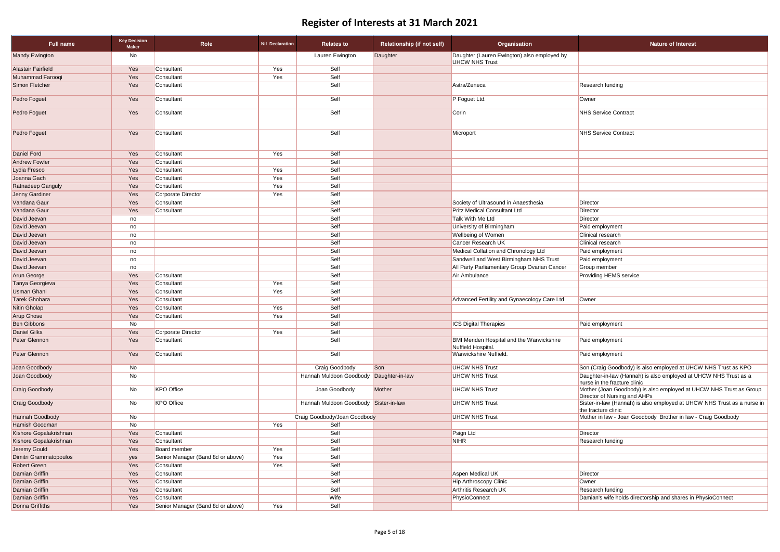| <b>Full name</b>       | <b>Key Decision</b><br><b>Maker</b> | <b>Role</b>                       | <b>Nil Declaration</b> | <b>Relates to</b>                     | <b>Relationship (if not self)</b> | Organisation                                                           | <b>Nature of Interest</b>                                                      |
|------------------------|-------------------------------------|-----------------------------------|------------------------|---------------------------------------|-----------------------------------|------------------------------------------------------------------------|--------------------------------------------------------------------------------|
| <b>Mandy Ewington</b>  | No                                  |                                   |                        | Lauren Ewington                       | Daughter                          | Daughter (Lauren Ewington) also employed by<br><b>UHCW NHS Trust</b>   |                                                                                |
| Alastair Fairfield     | Yes                                 | Consultant                        | Yes                    | Self                                  |                                   |                                                                        |                                                                                |
| Muhammad Farooqi       | Yes                                 | Consultant                        | Yes                    | Self                                  |                                   |                                                                        |                                                                                |
| Simon Fletcher         | Yes                                 | Consultant                        |                        | Self                                  |                                   | Astra/Zeneca                                                           | <b>Research funding</b>                                                        |
| Pedro Foguet           | Yes                                 | Consultant                        |                        | Self                                  |                                   | P Foguet Ltd.                                                          | Owner                                                                          |
| Pedro Foguet           | Yes                                 | Consultant                        |                        | Self                                  |                                   | Corin                                                                  | <b>NHS Service Contract</b>                                                    |
| Pedro Foguet           | Yes                                 | Consultant                        |                        | Self                                  |                                   | Microport                                                              | <b>NHS Service Contract</b>                                                    |
| <b>Daniel Ford</b>     | Yes                                 | Consultant                        | Yes                    | Self                                  |                                   |                                                                        |                                                                                |
| <b>Andrew Fowler</b>   | Yes                                 | Consultant                        |                        | Self                                  |                                   |                                                                        |                                                                                |
| Lydia Fresco           | Yes                                 | Consultant                        | Yes                    | Self                                  |                                   |                                                                        |                                                                                |
| Joanna Gach            | Yes                                 | Consultant                        | Yes                    | Self                                  |                                   |                                                                        |                                                                                |
| Ratnadeep Ganguly      | Yes                                 | Consultant                        | Yes                    | Self                                  |                                   |                                                                        |                                                                                |
| Jenny Gardiner         | Yes                                 | Corporate Director                | Yes                    | Self                                  |                                   |                                                                        |                                                                                |
| Vandana Gaur           | Yes                                 | Consultant                        |                        | Self                                  |                                   | Society of Ultrasound in Anaesthesia                                   | Director                                                                       |
| Vandana Gaur           | Yes                                 | Consultant                        |                        | Self                                  |                                   | <b>Pritz Medical Consultant Ltd</b>                                    | Director                                                                       |
| David Jeevan           | no                                  |                                   |                        | Self                                  |                                   | Talk With Me Ltd                                                       | Director                                                                       |
| David Jeevan           | no                                  |                                   |                        | Self                                  |                                   | University of Birmingham                                               | Paid employment                                                                |
| David Jeevan           | no                                  |                                   |                        | Self                                  |                                   | <b>Wellbeing of Women</b>                                              | Clinical research                                                              |
| David Jeevan           | no                                  |                                   |                        | Self                                  |                                   | <b>Cancer Research UK</b>                                              | <b>Clinical research</b>                                                       |
| David Jeevan           | no                                  |                                   |                        | Self                                  |                                   | Medical Collation and Chronology Ltd                                   | Paid employment                                                                |
| David Jeevan           | no                                  |                                   |                        | Self                                  |                                   | Sandwell and West Birmingham NHS Trust                                 | Paid employment                                                                |
| David Jeevan           | no                                  |                                   |                        | Self                                  |                                   | All Party Parliamentary Group Ovarian Cancer                           | Group member                                                                   |
| Arun George            | Yes                                 | Consultant                        |                        | Self                                  |                                   | Air Ambulance                                                          | <b>Providing HEMS service</b>                                                  |
| Tanya Georgieva        | Yes                                 | Consultant                        | Yes                    | Self                                  |                                   |                                                                        |                                                                                |
| <b>Usman Ghani</b>     | Yes                                 | Consultant                        | Yes                    | Self                                  |                                   |                                                                        |                                                                                |
| <b>Tarek Ghobara</b>   | Yes                                 | Consultant                        |                        | Self                                  |                                   | Advanced Fertility and Gynaecology Care Ltd                            | Owner                                                                          |
| Nitin Gholap           | Yes                                 | Consultant                        | Yes                    | Self                                  |                                   |                                                                        |                                                                                |
| <b>Arup Ghose</b>      | Yes                                 | Consultant                        | Yes                    | Self                                  |                                   |                                                                        |                                                                                |
| <b>Ben Gibbons</b>     | No                                  |                                   |                        | Self                                  |                                   | <b>ICS Digital Therapies</b>                                           | Paid employment                                                                |
| Daniel Gilks           | Yes                                 | Corporate Director                | Yes                    | Self                                  |                                   |                                                                        |                                                                                |
| Peter Glennon          | Yes                                 | Consultant                        |                        | Self                                  |                                   | <b>BMI Meriden Hospital and the Warwickshire</b><br>Nuffield Hospital. | Paid employment                                                                |
| Peter Glennon          | Yes                                 | Consultant                        |                        | Self                                  |                                   | Warwickshire Nuffield.                                                 | Paid employment                                                                |
| Joan Goodbody          | No                                  |                                   |                        | Craig Goodbody                        | Son                               | <b>UHCW NHS Trust</b>                                                  | Son (Craig Goodbody) is also employed at UH                                    |
| Joan Goodbody          | No                                  |                                   |                        | Hannah Muldoon Goodbody               | Daughter-in-law                   | <b>UHCW NHS Trust</b>                                                  | Daughter-in-law (Hannah) is also employed at I<br>nurse in the fracture clinic |
| <b>Craig Goodbody</b>  | No                                  | <b>KPO Office</b>                 |                        | Joan Goodbody                         | Mother                            | <b>UHCW NHS Trust</b>                                                  | Mother (Joan Goodbody) is also employed at U<br>Director of Nursing and AHPs   |
| Craig Goodbody         | No                                  | <b>KPO Office</b>                 |                        | Hannah Muldoon Goodbody Sister-in-law |                                   | <b>UHCW NHS Trust</b>                                                  | Sister-in-law (Hannah) is also employed at UHO<br>the fracture clinic          |
| Hannah Goodbody        | No                                  |                                   |                        | Craig Goodbody/Joan Goodbody          |                                   | <b>UHCW NHS Trust</b>                                                  | Mother in law - Joan Goodbody Brother in law                                   |
| Hamish Goodman         | No                                  |                                   | Yes                    | Self                                  |                                   |                                                                        |                                                                                |
| Kishore Gopalakrishnan | Yes                                 | Consultant                        |                        | Self                                  |                                   | Psign Ltd                                                              | Director                                                                       |
| Kishore Gopalakrishnan | Yes                                 | Consultant                        |                        | Self                                  |                                   | <b>NIHR</b>                                                            | Research funding                                                               |
| Jeremy Gould           | Yes                                 | Board member                      | Yes                    | Self                                  |                                   |                                                                        |                                                                                |
| Dimitri Grammatopoulos | yes                                 | Senior Manager (Band 8d or above) | Yes                    | Self                                  |                                   |                                                                        |                                                                                |
| Robert Green           | Yes                                 | Consultant                        | Yes                    | Self                                  |                                   |                                                                        |                                                                                |
| Damian Griffin         | Yes                                 | Consultant                        |                        | Self                                  |                                   | Aspen Medical UK                                                       | <b>Director</b>                                                                |
| Damian Griffin         | Yes                                 | Consultant                        |                        | Self                                  |                                   | Hip Arthroscopy Clinic                                                 | Owner                                                                          |
| Damian Griffin         | Yes                                 | Consultant                        |                        | Self                                  |                                   | Arthritis Research UK                                                  | Research funding                                                               |
| Damian Griffin         | Yes                                 | Consultant                        |                        | Wife                                  |                                   | PhysioConnect                                                          | Damian's wife holds directorship and shares in                                 |
| <b>Donna Griffiths</b> | Yes                                 | Senior Manager (Band 8d or above) | Yes                    | Self                                  |                                   |                                                                        |                                                                                |

 $\overline{\text{O}}$  (Craig Goodbody) is also employed at UHCW NHS Trust as KPO

Ighter-in-law (Hannah) is also employed at UHCW NHS Trust as a se in the fracture clinic

her (Joan Goodbody) is also employed at UHCW NHS Trust as Group ector of Nursing and AHPs

ter-in-law (Hannah) is also employed at UHCW NHS Trust as a nurse in fracture clinic

her in law - Joan Goodbody Brother in law - Craig Goodbody

nian's wife holds directorship and shares in PhysioConnect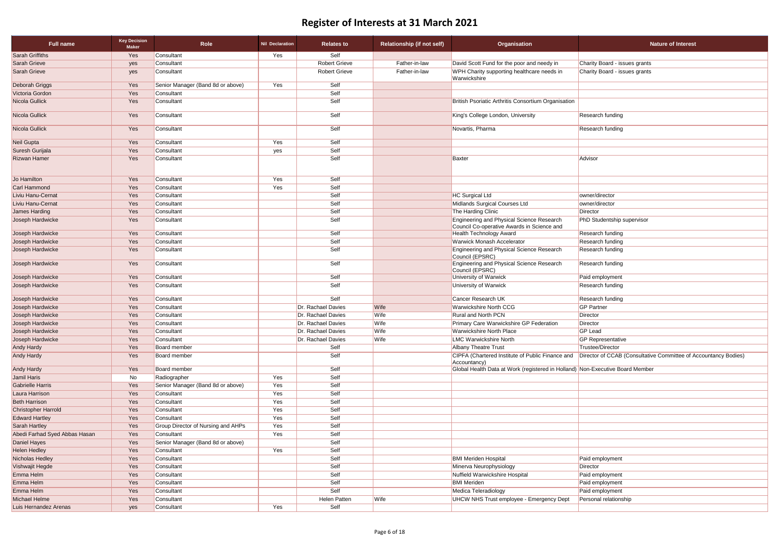| Self<br>Yes<br>Consultant<br>Yes<br><b>Robert Grieve</b><br>Father-in-law<br>David Scott Fund for the poor and needy in<br>Consultant<br>Charity Board - issues grants<br>yes<br><b>Robert Grieve</b><br>WPH Charity supporting healthcare needs in<br>Charity Board - issues grants<br>Father-in-law<br>Consultant<br>yes<br>Warwickshire<br>Self<br>Senior Manager (Band 8d or above)<br>Yes<br>Yes<br>Self<br>Yes<br>Consultant<br>Self<br>British Psoriatic Arthritis Consortium Organisation<br>Yes<br>Consultant<br>Yes<br>Self<br>Consultant<br>King's College London, University<br><b>Research funding</b><br>Self<br>Yes<br>Consultant<br>Novartis, Pharma<br><b>Research funding</b><br>Self<br>Yes<br>Consultant<br>Yes<br>Yes<br>Self<br>Consultant<br>yes<br>Yes<br>Self<br>Advisor<br>Consultant<br><b>Baxter</b><br>Self<br>Consultant<br>Yes<br>Yes<br>Self<br>Yes<br>Consultant<br>Yes<br>Self<br><b>HC Surgical Ltd</b><br>Yes<br>Consultant<br>owner/director<br>Self<br>Midlands Surgical Courses Ltd<br>Yes<br>Consultant<br>owner/director<br>Yes<br>Self<br>The Harding Clinic<br>Consultant<br>Director<br>Yes<br>Self<br>Engineering and Physical Science Research<br>Joseph Hardwicke<br>Consultant<br>PhD Studentship supervisor<br>Council Co-operative Awards in Science and<br>Self<br>Yes<br><b>Health Technology Award</b><br><b>Research funding</b><br>Joseph Hardwicke<br>Consultant<br>Self<br><b>Warwick Monash Accelerator</b><br>Joseph Hardwicke<br>Yes<br><b>Research funding</b><br>Consultant<br>Self<br><b>Engineering and Physical Science Research</b><br>Joseph Hardwicke<br>Yes<br>Consultant<br><b>Research funding</b><br>Council (EPSRC)<br>Yes<br>Self<br>Engineering and Physical Science Research<br>Consultant<br><b>Research funding</b><br>Council (EPSRC)<br>Self<br>Paid employment<br>Yes<br>Consultant<br>University of Warwick<br>Yes<br>Self<br>Consultant<br>University of Warwick<br><b>Research funding</b><br>Self<br>Cancer Research UK<br>Yes<br>Consultant<br><b>Research funding</b><br>Dr. Rachael Davies<br>Wife<br><b>Warwickshire North CCG</b><br><b>GP Partner</b><br>Yes<br>Consultant<br><b>Rural and North PCN</b><br>Yes<br>Consultant<br>Dr. Rachael Davies<br>Wife<br>Director<br>Yes<br>Dr. Rachael Davies<br>Wife<br>Primary Care Warwickshire GP Federation<br>Consultant<br>Director<br>Yes<br>Consultant<br>Dr. Rachael Davies<br>Wife<br>Warwickshire North Place<br><b>GP Lead</b><br>Joseph Hardwicke<br>Yes<br>Dr. Rachael Davies<br>Wife<br><b>LMC Warwickshire North</b><br><b>GP</b> Representative<br>Consultant<br><b>Trustee/Director</b><br>Yes<br><b>Board member</b><br>Self<br><b>Albany Theatre Trust</b><br>Self<br>CIPFA (Chartered Institute of Public Finance and   Director of CCAB (Consultative Committee of Accountancy Bodies)<br>Yes<br><b>Board member</b><br>Accountancy)<br>Self<br>Global Health Data at Work (registered in Holland) Non-Executive Board Member<br>Andy Hardy<br>Yes<br><b>Board member</b><br>Self<br>Yes<br>Jamil Haris<br>No<br>Radiographer<br>Self<br><b>Gabrielle Harris</b><br>Yes<br>Senior Manager (Band 8d or above)<br>Yes<br>Self<br>Yes<br>Laura Harrison<br>Yes<br>Consultant<br>Self<br>Yes<br><b>Beth Harrison</b><br>Yes<br>Consultant<br>Self<br>Yes<br><b>Christopher Harrold</b><br>Yes<br>Consultant<br>Self<br><b>Edward Hartley</b><br>Yes<br>Yes<br>Consultant<br>Self<br>Sarah Hartley<br>Yes<br><b>Group Director of Nursing and AHPs</b><br>Yes<br>Self<br>Abedi Farhad Syed Abbas Hasan<br>Yes<br>Consultant<br>Yes<br>Yes<br>Senior Manager (Band 8d or above)<br>Self<br>Daniel Hayes<br><b>Helen Hedley</b><br>Yes<br>Consultant<br>Yes<br>Self<br>Self<br><b>BMI Meriden Hospital</b><br>Nicholas Hedley<br>Yes<br>Consultant<br>Paid employment<br>Self<br>Vishwajit Hegde<br>Yes<br>Consultant<br>Minerva Neurophysiology<br>Director<br>Self<br>Nuffield Warwickshire Hospital<br>Yes<br>Consultant<br>Paid employment<br>Self<br><b>BMI Meriden</b><br>Yes<br>Consultant<br>Paid employment<br>Self<br>Yes<br>Medica Teleradiology<br>Consultant<br>Paid employment<br>Yes<br>Wife<br><b>UHCW NHS Trust employee - Emergency Dept</b><br>Consultant<br>Helen Patten<br>Personal relationship<br>Yes<br>Self<br>Luis Hernandez Arenas<br>Consultant<br>yes | <b>Full name</b>       | <b>Key Decision</b><br><b>Maker</b> | Role | <b>Nil Declaration</b> | <b>Relates to</b> | <b>Relationship (if not self)</b> | Organisation | <b>Nature of Interest</b> |
|--------------------------------------------------------------------------------------------------------------------------------------------------------------------------------------------------------------------------------------------------------------------------------------------------------------------------------------------------------------------------------------------------------------------------------------------------------------------------------------------------------------------------------------------------------------------------------------------------------------------------------------------------------------------------------------------------------------------------------------------------------------------------------------------------------------------------------------------------------------------------------------------------------------------------------------------------------------------------------------------------------------------------------------------------------------------------------------------------------------------------------------------------------------------------------------------------------------------------------------------------------------------------------------------------------------------------------------------------------------------------------------------------------------------------------------------------------------------------------------------------------------------------------------------------------------------------------------------------------------------------------------------------------------------------------------------------------------------------------------------------------------------------------------------------------------------------------------------------------------------------------------------------------------------------------------------------------------------------------------------------------------------------------------------------------------------------------------------------------------------------------------------------------------------------------------------------------------------------------------------------------------------------------------------------------------------------------------------------------------------------------------------------------------------------------------------------------------------------------------------------------------------------------------------------------------------------------------------------------------------------------------------------------------------------------------------------------------------------------------------------------------------------------------------------------------------------------------------------------------------------------------------------------------------------------------------------------------------------------------------------------------------------------------------------------------------------------------------------------------------------------------------------------------------------------------------------------------------------------------------------------------------------------------------------------------------------------------------------------------------------------------------------------------------------------------------------------------------------------------------------------------------------------------------------------------------------------------------------------------------------------------------------------------------------------------------------------------------------------------------------------------------------------------------------------------------------------------------------------------------------------------------------------------------------------------------------------------------------------------------------------------------------------------------------------------------------------------------------------------------------------------------------------------------------------------------------------------------------------------------------------------------------------------------------------------------------------------|------------------------|-------------------------------------|------|------------------------|-------------------|-----------------------------------|--------------|---------------------------|
|                                                                                                                                                                                                                                                                                                                                                                                                                                                                                                                                                                                                                                                                                                                                                                                                                                                                                                                                                                                                                                                                                                                                                                                                                                                                                                                                                                                                                                                                                                                                                                                                                                                                                                                                                                                                                                                                                                                                                                                                                                                                                                                                                                                                                                                                                                                                                                                                                                                                                                                                                                                                                                                                                                                                                                                                                                                                                                                                                                                                                                                                                                                                                                                                                                                                                                                                                                                                                                                                                                                                                                                                                                                                                                                                                                                                                                                                                                                                                                                                                                                                                                                                                                                                                                                                                                                                      | <b>Sarah Griffiths</b> |                                     |      |                        |                   |                                   |              |                           |
|                                                                                                                                                                                                                                                                                                                                                                                                                                                                                                                                                                                                                                                                                                                                                                                                                                                                                                                                                                                                                                                                                                                                                                                                                                                                                                                                                                                                                                                                                                                                                                                                                                                                                                                                                                                                                                                                                                                                                                                                                                                                                                                                                                                                                                                                                                                                                                                                                                                                                                                                                                                                                                                                                                                                                                                                                                                                                                                                                                                                                                                                                                                                                                                                                                                                                                                                                                                                                                                                                                                                                                                                                                                                                                                                                                                                                                                                                                                                                                                                                                                                                                                                                                                                                                                                                                                                      | Sarah Grieve           |                                     |      |                        |                   |                                   |              |                           |
|                                                                                                                                                                                                                                                                                                                                                                                                                                                                                                                                                                                                                                                                                                                                                                                                                                                                                                                                                                                                                                                                                                                                                                                                                                                                                                                                                                                                                                                                                                                                                                                                                                                                                                                                                                                                                                                                                                                                                                                                                                                                                                                                                                                                                                                                                                                                                                                                                                                                                                                                                                                                                                                                                                                                                                                                                                                                                                                                                                                                                                                                                                                                                                                                                                                                                                                                                                                                                                                                                                                                                                                                                                                                                                                                                                                                                                                                                                                                                                                                                                                                                                                                                                                                                                                                                                                                      | Sarah Grieve           |                                     |      |                        |                   |                                   |              |                           |
|                                                                                                                                                                                                                                                                                                                                                                                                                                                                                                                                                                                                                                                                                                                                                                                                                                                                                                                                                                                                                                                                                                                                                                                                                                                                                                                                                                                                                                                                                                                                                                                                                                                                                                                                                                                                                                                                                                                                                                                                                                                                                                                                                                                                                                                                                                                                                                                                                                                                                                                                                                                                                                                                                                                                                                                                                                                                                                                                                                                                                                                                                                                                                                                                                                                                                                                                                                                                                                                                                                                                                                                                                                                                                                                                                                                                                                                                                                                                                                                                                                                                                                                                                                                                                                                                                                                                      | Deborah Griggs         |                                     |      |                        |                   |                                   |              |                           |
|                                                                                                                                                                                                                                                                                                                                                                                                                                                                                                                                                                                                                                                                                                                                                                                                                                                                                                                                                                                                                                                                                                                                                                                                                                                                                                                                                                                                                                                                                                                                                                                                                                                                                                                                                                                                                                                                                                                                                                                                                                                                                                                                                                                                                                                                                                                                                                                                                                                                                                                                                                                                                                                                                                                                                                                                                                                                                                                                                                                                                                                                                                                                                                                                                                                                                                                                                                                                                                                                                                                                                                                                                                                                                                                                                                                                                                                                                                                                                                                                                                                                                                                                                                                                                                                                                                                                      | Victoria Gordon        |                                     |      |                        |                   |                                   |              |                           |
|                                                                                                                                                                                                                                                                                                                                                                                                                                                                                                                                                                                                                                                                                                                                                                                                                                                                                                                                                                                                                                                                                                                                                                                                                                                                                                                                                                                                                                                                                                                                                                                                                                                                                                                                                                                                                                                                                                                                                                                                                                                                                                                                                                                                                                                                                                                                                                                                                                                                                                                                                                                                                                                                                                                                                                                                                                                                                                                                                                                                                                                                                                                                                                                                                                                                                                                                                                                                                                                                                                                                                                                                                                                                                                                                                                                                                                                                                                                                                                                                                                                                                                                                                                                                                                                                                                                                      | Nicola Gullick         |                                     |      |                        |                   |                                   |              |                           |
|                                                                                                                                                                                                                                                                                                                                                                                                                                                                                                                                                                                                                                                                                                                                                                                                                                                                                                                                                                                                                                                                                                                                                                                                                                                                                                                                                                                                                                                                                                                                                                                                                                                                                                                                                                                                                                                                                                                                                                                                                                                                                                                                                                                                                                                                                                                                                                                                                                                                                                                                                                                                                                                                                                                                                                                                                                                                                                                                                                                                                                                                                                                                                                                                                                                                                                                                                                                                                                                                                                                                                                                                                                                                                                                                                                                                                                                                                                                                                                                                                                                                                                                                                                                                                                                                                                                                      | Nicola Gullick         |                                     |      |                        |                   |                                   |              |                           |
|                                                                                                                                                                                                                                                                                                                                                                                                                                                                                                                                                                                                                                                                                                                                                                                                                                                                                                                                                                                                                                                                                                                                                                                                                                                                                                                                                                                                                                                                                                                                                                                                                                                                                                                                                                                                                                                                                                                                                                                                                                                                                                                                                                                                                                                                                                                                                                                                                                                                                                                                                                                                                                                                                                                                                                                                                                                                                                                                                                                                                                                                                                                                                                                                                                                                                                                                                                                                                                                                                                                                                                                                                                                                                                                                                                                                                                                                                                                                                                                                                                                                                                                                                                                                                                                                                                                                      | Nicola Gullick         |                                     |      |                        |                   |                                   |              |                           |
|                                                                                                                                                                                                                                                                                                                                                                                                                                                                                                                                                                                                                                                                                                                                                                                                                                                                                                                                                                                                                                                                                                                                                                                                                                                                                                                                                                                                                                                                                                                                                                                                                                                                                                                                                                                                                                                                                                                                                                                                                                                                                                                                                                                                                                                                                                                                                                                                                                                                                                                                                                                                                                                                                                                                                                                                                                                                                                                                                                                                                                                                                                                                                                                                                                                                                                                                                                                                                                                                                                                                                                                                                                                                                                                                                                                                                                                                                                                                                                                                                                                                                                                                                                                                                                                                                                                                      | Neil Gupta             |                                     |      |                        |                   |                                   |              |                           |
|                                                                                                                                                                                                                                                                                                                                                                                                                                                                                                                                                                                                                                                                                                                                                                                                                                                                                                                                                                                                                                                                                                                                                                                                                                                                                                                                                                                                                                                                                                                                                                                                                                                                                                                                                                                                                                                                                                                                                                                                                                                                                                                                                                                                                                                                                                                                                                                                                                                                                                                                                                                                                                                                                                                                                                                                                                                                                                                                                                                                                                                                                                                                                                                                                                                                                                                                                                                                                                                                                                                                                                                                                                                                                                                                                                                                                                                                                                                                                                                                                                                                                                                                                                                                                                                                                                                                      | Suresh Gurijala        |                                     |      |                        |                   |                                   |              |                           |
|                                                                                                                                                                                                                                                                                                                                                                                                                                                                                                                                                                                                                                                                                                                                                                                                                                                                                                                                                                                                                                                                                                                                                                                                                                                                                                                                                                                                                                                                                                                                                                                                                                                                                                                                                                                                                                                                                                                                                                                                                                                                                                                                                                                                                                                                                                                                                                                                                                                                                                                                                                                                                                                                                                                                                                                                                                                                                                                                                                                                                                                                                                                                                                                                                                                                                                                                                                                                                                                                                                                                                                                                                                                                                                                                                                                                                                                                                                                                                                                                                                                                                                                                                                                                                                                                                                                                      | <b>Rizwan Hamer</b>    |                                     |      |                        |                   |                                   |              |                           |
|                                                                                                                                                                                                                                                                                                                                                                                                                                                                                                                                                                                                                                                                                                                                                                                                                                                                                                                                                                                                                                                                                                                                                                                                                                                                                                                                                                                                                                                                                                                                                                                                                                                                                                                                                                                                                                                                                                                                                                                                                                                                                                                                                                                                                                                                                                                                                                                                                                                                                                                                                                                                                                                                                                                                                                                                                                                                                                                                                                                                                                                                                                                                                                                                                                                                                                                                                                                                                                                                                                                                                                                                                                                                                                                                                                                                                                                                                                                                                                                                                                                                                                                                                                                                                                                                                                                                      | Jo Hamilton            |                                     |      |                        |                   |                                   |              |                           |
|                                                                                                                                                                                                                                                                                                                                                                                                                                                                                                                                                                                                                                                                                                                                                                                                                                                                                                                                                                                                                                                                                                                                                                                                                                                                                                                                                                                                                                                                                                                                                                                                                                                                                                                                                                                                                                                                                                                                                                                                                                                                                                                                                                                                                                                                                                                                                                                                                                                                                                                                                                                                                                                                                                                                                                                                                                                                                                                                                                                                                                                                                                                                                                                                                                                                                                                                                                                                                                                                                                                                                                                                                                                                                                                                                                                                                                                                                                                                                                                                                                                                                                                                                                                                                                                                                                                                      | Carl Hammond           |                                     |      |                        |                   |                                   |              |                           |
|                                                                                                                                                                                                                                                                                                                                                                                                                                                                                                                                                                                                                                                                                                                                                                                                                                                                                                                                                                                                                                                                                                                                                                                                                                                                                                                                                                                                                                                                                                                                                                                                                                                                                                                                                                                                                                                                                                                                                                                                                                                                                                                                                                                                                                                                                                                                                                                                                                                                                                                                                                                                                                                                                                                                                                                                                                                                                                                                                                                                                                                                                                                                                                                                                                                                                                                                                                                                                                                                                                                                                                                                                                                                                                                                                                                                                                                                                                                                                                                                                                                                                                                                                                                                                                                                                                                                      | Liviu Hanu-Cernat      |                                     |      |                        |                   |                                   |              |                           |
|                                                                                                                                                                                                                                                                                                                                                                                                                                                                                                                                                                                                                                                                                                                                                                                                                                                                                                                                                                                                                                                                                                                                                                                                                                                                                                                                                                                                                                                                                                                                                                                                                                                                                                                                                                                                                                                                                                                                                                                                                                                                                                                                                                                                                                                                                                                                                                                                                                                                                                                                                                                                                                                                                                                                                                                                                                                                                                                                                                                                                                                                                                                                                                                                                                                                                                                                                                                                                                                                                                                                                                                                                                                                                                                                                                                                                                                                                                                                                                                                                                                                                                                                                                                                                                                                                                                                      | Liviu Hanu-Cernat      |                                     |      |                        |                   |                                   |              |                           |
|                                                                                                                                                                                                                                                                                                                                                                                                                                                                                                                                                                                                                                                                                                                                                                                                                                                                                                                                                                                                                                                                                                                                                                                                                                                                                                                                                                                                                                                                                                                                                                                                                                                                                                                                                                                                                                                                                                                                                                                                                                                                                                                                                                                                                                                                                                                                                                                                                                                                                                                                                                                                                                                                                                                                                                                                                                                                                                                                                                                                                                                                                                                                                                                                                                                                                                                                                                                                                                                                                                                                                                                                                                                                                                                                                                                                                                                                                                                                                                                                                                                                                                                                                                                                                                                                                                                                      | James Harding          |                                     |      |                        |                   |                                   |              |                           |
|                                                                                                                                                                                                                                                                                                                                                                                                                                                                                                                                                                                                                                                                                                                                                                                                                                                                                                                                                                                                                                                                                                                                                                                                                                                                                                                                                                                                                                                                                                                                                                                                                                                                                                                                                                                                                                                                                                                                                                                                                                                                                                                                                                                                                                                                                                                                                                                                                                                                                                                                                                                                                                                                                                                                                                                                                                                                                                                                                                                                                                                                                                                                                                                                                                                                                                                                                                                                                                                                                                                                                                                                                                                                                                                                                                                                                                                                                                                                                                                                                                                                                                                                                                                                                                                                                                                                      |                        |                                     |      |                        |                   |                                   |              |                           |
|                                                                                                                                                                                                                                                                                                                                                                                                                                                                                                                                                                                                                                                                                                                                                                                                                                                                                                                                                                                                                                                                                                                                                                                                                                                                                                                                                                                                                                                                                                                                                                                                                                                                                                                                                                                                                                                                                                                                                                                                                                                                                                                                                                                                                                                                                                                                                                                                                                                                                                                                                                                                                                                                                                                                                                                                                                                                                                                                                                                                                                                                                                                                                                                                                                                                                                                                                                                                                                                                                                                                                                                                                                                                                                                                                                                                                                                                                                                                                                                                                                                                                                                                                                                                                                                                                                                                      |                        |                                     |      |                        |                   |                                   |              |                           |
|                                                                                                                                                                                                                                                                                                                                                                                                                                                                                                                                                                                                                                                                                                                                                                                                                                                                                                                                                                                                                                                                                                                                                                                                                                                                                                                                                                                                                                                                                                                                                                                                                                                                                                                                                                                                                                                                                                                                                                                                                                                                                                                                                                                                                                                                                                                                                                                                                                                                                                                                                                                                                                                                                                                                                                                                                                                                                                                                                                                                                                                                                                                                                                                                                                                                                                                                                                                                                                                                                                                                                                                                                                                                                                                                                                                                                                                                                                                                                                                                                                                                                                                                                                                                                                                                                                                                      |                        |                                     |      |                        |                   |                                   |              |                           |
|                                                                                                                                                                                                                                                                                                                                                                                                                                                                                                                                                                                                                                                                                                                                                                                                                                                                                                                                                                                                                                                                                                                                                                                                                                                                                                                                                                                                                                                                                                                                                                                                                                                                                                                                                                                                                                                                                                                                                                                                                                                                                                                                                                                                                                                                                                                                                                                                                                                                                                                                                                                                                                                                                                                                                                                                                                                                                                                                                                                                                                                                                                                                                                                                                                                                                                                                                                                                                                                                                                                                                                                                                                                                                                                                                                                                                                                                                                                                                                                                                                                                                                                                                                                                                                                                                                                                      |                        |                                     |      |                        |                   |                                   |              |                           |
|                                                                                                                                                                                                                                                                                                                                                                                                                                                                                                                                                                                                                                                                                                                                                                                                                                                                                                                                                                                                                                                                                                                                                                                                                                                                                                                                                                                                                                                                                                                                                                                                                                                                                                                                                                                                                                                                                                                                                                                                                                                                                                                                                                                                                                                                                                                                                                                                                                                                                                                                                                                                                                                                                                                                                                                                                                                                                                                                                                                                                                                                                                                                                                                                                                                                                                                                                                                                                                                                                                                                                                                                                                                                                                                                                                                                                                                                                                                                                                                                                                                                                                                                                                                                                                                                                                                                      | Joseph Hardwicke       |                                     |      |                        |                   |                                   |              |                           |
|                                                                                                                                                                                                                                                                                                                                                                                                                                                                                                                                                                                                                                                                                                                                                                                                                                                                                                                                                                                                                                                                                                                                                                                                                                                                                                                                                                                                                                                                                                                                                                                                                                                                                                                                                                                                                                                                                                                                                                                                                                                                                                                                                                                                                                                                                                                                                                                                                                                                                                                                                                                                                                                                                                                                                                                                                                                                                                                                                                                                                                                                                                                                                                                                                                                                                                                                                                                                                                                                                                                                                                                                                                                                                                                                                                                                                                                                                                                                                                                                                                                                                                                                                                                                                                                                                                                                      | Joseph Hardwicke       |                                     |      |                        |                   |                                   |              |                           |
|                                                                                                                                                                                                                                                                                                                                                                                                                                                                                                                                                                                                                                                                                                                                                                                                                                                                                                                                                                                                                                                                                                                                                                                                                                                                                                                                                                                                                                                                                                                                                                                                                                                                                                                                                                                                                                                                                                                                                                                                                                                                                                                                                                                                                                                                                                                                                                                                                                                                                                                                                                                                                                                                                                                                                                                                                                                                                                                                                                                                                                                                                                                                                                                                                                                                                                                                                                                                                                                                                                                                                                                                                                                                                                                                                                                                                                                                                                                                                                                                                                                                                                                                                                                                                                                                                                                                      | Joseph Hardwicke       |                                     |      |                        |                   |                                   |              |                           |
|                                                                                                                                                                                                                                                                                                                                                                                                                                                                                                                                                                                                                                                                                                                                                                                                                                                                                                                                                                                                                                                                                                                                                                                                                                                                                                                                                                                                                                                                                                                                                                                                                                                                                                                                                                                                                                                                                                                                                                                                                                                                                                                                                                                                                                                                                                                                                                                                                                                                                                                                                                                                                                                                                                                                                                                                                                                                                                                                                                                                                                                                                                                                                                                                                                                                                                                                                                                                                                                                                                                                                                                                                                                                                                                                                                                                                                                                                                                                                                                                                                                                                                                                                                                                                                                                                                                                      | Joseph Hardwicke       |                                     |      |                        |                   |                                   |              |                           |
|                                                                                                                                                                                                                                                                                                                                                                                                                                                                                                                                                                                                                                                                                                                                                                                                                                                                                                                                                                                                                                                                                                                                                                                                                                                                                                                                                                                                                                                                                                                                                                                                                                                                                                                                                                                                                                                                                                                                                                                                                                                                                                                                                                                                                                                                                                                                                                                                                                                                                                                                                                                                                                                                                                                                                                                                                                                                                                                                                                                                                                                                                                                                                                                                                                                                                                                                                                                                                                                                                                                                                                                                                                                                                                                                                                                                                                                                                                                                                                                                                                                                                                                                                                                                                                                                                                                                      | Joseph Hardwicke       |                                     |      |                        |                   |                                   |              |                           |
|                                                                                                                                                                                                                                                                                                                                                                                                                                                                                                                                                                                                                                                                                                                                                                                                                                                                                                                                                                                                                                                                                                                                                                                                                                                                                                                                                                                                                                                                                                                                                                                                                                                                                                                                                                                                                                                                                                                                                                                                                                                                                                                                                                                                                                                                                                                                                                                                                                                                                                                                                                                                                                                                                                                                                                                                                                                                                                                                                                                                                                                                                                                                                                                                                                                                                                                                                                                                                                                                                                                                                                                                                                                                                                                                                                                                                                                                                                                                                                                                                                                                                                                                                                                                                                                                                                                                      | Joseph Hardwicke       |                                     |      |                        |                   |                                   |              |                           |
|                                                                                                                                                                                                                                                                                                                                                                                                                                                                                                                                                                                                                                                                                                                                                                                                                                                                                                                                                                                                                                                                                                                                                                                                                                                                                                                                                                                                                                                                                                                                                                                                                                                                                                                                                                                                                                                                                                                                                                                                                                                                                                                                                                                                                                                                                                                                                                                                                                                                                                                                                                                                                                                                                                                                                                                                                                                                                                                                                                                                                                                                                                                                                                                                                                                                                                                                                                                                                                                                                                                                                                                                                                                                                                                                                                                                                                                                                                                                                                                                                                                                                                                                                                                                                                                                                                                                      | Joseph Hardwicke       |                                     |      |                        |                   |                                   |              |                           |
|                                                                                                                                                                                                                                                                                                                                                                                                                                                                                                                                                                                                                                                                                                                                                                                                                                                                                                                                                                                                                                                                                                                                                                                                                                                                                                                                                                                                                                                                                                                                                                                                                                                                                                                                                                                                                                                                                                                                                                                                                                                                                                                                                                                                                                                                                                                                                                                                                                                                                                                                                                                                                                                                                                                                                                                                                                                                                                                                                                                                                                                                                                                                                                                                                                                                                                                                                                                                                                                                                                                                                                                                                                                                                                                                                                                                                                                                                                                                                                                                                                                                                                                                                                                                                                                                                                                                      | Joseph Hardwicke       |                                     |      |                        |                   |                                   |              |                           |
|                                                                                                                                                                                                                                                                                                                                                                                                                                                                                                                                                                                                                                                                                                                                                                                                                                                                                                                                                                                                                                                                                                                                                                                                                                                                                                                                                                                                                                                                                                                                                                                                                                                                                                                                                                                                                                                                                                                                                                                                                                                                                                                                                                                                                                                                                                                                                                                                                                                                                                                                                                                                                                                                                                                                                                                                                                                                                                                                                                                                                                                                                                                                                                                                                                                                                                                                                                                                                                                                                                                                                                                                                                                                                                                                                                                                                                                                                                                                                                                                                                                                                                                                                                                                                                                                                                                                      |                        |                                     |      |                        |                   |                                   |              |                           |
|                                                                                                                                                                                                                                                                                                                                                                                                                                                                                                                                                                                                                                                                                                                                                                                                                                                                                                                                                                                                                                                                                                                                                                                                                                                                                                                                                                                                                                                                                                                                                                                                                                                                                                                                                                                                                                                                                                                                                                                                                                                                                                                                                                                                                                                                                                                                                                                                                                                                                                                                                                                                                                                                                                                                                                                                                                                                                                                                                                                                                                                                                                                                                                                                                                                                                                                                                                                                                                                                                                                                                                                                                                                                                                                                                                                                                                                                                                                                                                                                                                                                                                                                                                                                                                                                                                                                      | <b>Andy Hardy</b>      |                                     |      |                        |                   |                                   |              |                           |
|                                                                                                                                                                                                                                                                                                                                                                                                                                                                                                                                                                                                                                                                                                                                                                                                                                                                                                                                                                                                                                                                                                                                                                                                                                                                                                                                                                                                                                                                                                                                                                                                                                                                                                                                                                                                                                                                                                                                                                                                                                                                                                                                                                                                                                                                                                                                                                                                                                                                                                                                                                                                                                                                                                                                                                                                                                                                                                                                                                                                                                                                                                                                                                                                                                                                                                                                                                                                                                                                                                                                                                                                                                                                                                                                                                                                                                                                                                                                                                                                                                                                                                                                                                                                                                                                                                                                      | Andy Hardy             |                                     |      |                        |                   |                                   |              |                           |
|                                                                                                                                                                                                                                                                                                                                                                                                                                                                                                                                                                                                                                                                                                                                                                                                                                                                                                                                                                                                                                                                                                                                                                                                                                                                                                                                                                                                                                                                                                                                                                                                                                                                                                                                                                                                                                                                                                                                                                                                                                                                                                                                                                                                                                                                                                                                                                                                                                                                                                                                                                                                                                                                                                                                                                                                                                                                                                                                                                                                                                                                                                                                                                                                                                                                                                                                                                                                                                                                                                                                                                                                                                                                                                                                                                                                                                                                                                                                                                                                                                                                                                                                                                                                                                                                                                                                      |                        |                                     |      |                        |                   |                                   |              |                           |
|                                                                                                                                                                                                                                                                                                                                                                                                                                                                                                                                                                                                                                                                                                                                                                                                                                                                                                                                                                                                                                                                                                                                                                                                                                                                                                                                                                                                                                                                                                                                                                                                                                                                                                                                                                                                                                                                                                                                                                                                                                                                                                                                                                                                                                                                                                                                                                                                                                                                                                                                                                                                                                                                                                                                                                                                                                                                                                                                                                                                                                                                                                                                                                                                                                                                                                                                                                                                                                                                                                                                                                                                                                                                                                                                                                                                                                                                                                                                                                                                                                                                                                                                                                                                                                                                                                                                      |                        |                                     |      |                        |                   |                                   |              |                           |
|                                                                                                                                                                                                                                                                                                                                                                                                                                                                                                                                                                                                                                                                                                                                                                                                                                                                                                                                                                                                                                                                                                                                                                                                                                                                                                                                                                                                                                                                                                                                                                                                                                                                                                                                                                                                                                                                                                                                                                                                                                                                                                                                                                                                                                                                                                                                                                                                                                                                                                                                                                                                                                                                                                                                                                                                                                                                                                                                                                                                                                                                                                                                                                                                                                                                                                                                                                                                                                                                                                                                                                                                                                                                                                                                                                                                                                                                                                                                                                                                                                                                                                                                                                                                                                                                                                                                      |                        |                                     |      |                        |                   |                                   |              |                           |
|                                                                                                                                                                                                                                                                                                                                                                                                                                                                                                                                                                                                                                                                                                                                                                                                                                                                                                                                                                                                                                                                                                                                                                                                                                                                                                                                                                                                                                                                                                                                                                                                                                                                                                                                                                                                                                                                                                                                                                                                                                                                                                                                                                                                                                                                                                                                                                                                                                                                                                                                                                                                                                                                                                                                                                                                                                                                                                                                                                                                                                                                                                                                                                                                                                                                                                                                                                                                                                                                                                                                                                                                                                                                                                                                                                                                                                                                                                                                                                                                                                                                                                                                                                                                                                                                                                                                      |                        |                                     |      |                        |                   |                                   |              |                           |
|                                                                                                                                                                                                                                                                                                                                                                                                                                                                                                                                                                                                                                                                                                                                                                                                                                                                                                                                                                                                                                                                                                                                                                                                                                                                                                                                                                                                                                                                                                                                                                                                                                                                                                                                                                                                                                                                                                                                                                                                                                                                                                                                                                                                                                                                                                                                                                                                                                                                                                                                                                                                                                                                                                                                                                                                                                                                                                                                                                                                                                                                                                                                                                                                                                                                                                                                                                                                                                                                                                                                                                                                                                                                                                                                                                                                                                                                                                                                                                                                                                                                                                                                                                                                                                                                                                                                      |                        |                                     |      |                        |                   |                                   |              |                           |
|                                                                                                                                                                                                                                                                                                                                                                                                                                                                                                                                                                                                                                                                                                                                                                                                                                                                                                                                                                                                                                                                                                                                                                                                                                                                                                                                                                                                                                                                                                                                                                                                                                                                                                                                                                                                                                                                                                                                                                                                                                                                                                                                                                                                                                                                                                                                                                                                                                                                                                                                                                                                                                                                                                                                                                                                                                                                                                                                                                                                                                                                                                                                                                                                                                                                                                                                                                                                                                                                                                                                                                                                                                                                                                                                                                                                                                                                                                                                                                                                                                                                                                                                                                                                                                                                                                                                      |                        |                                     |      |                        |                   |                                   |              |                           |
|                                                                                                                                                                                                                                                                                                                                                                                                                                                                                                                                                                                                                                                                                                                                                                                                                                                                                                                                                                                                                                                                                                                                                                                                                                                                                                                                                                                                                                                                                                                                                                                                                                                                                                                                                                                                                                                                                                                                                                                                                                                                                                                                                                                                                                                                                                                                                                                                                                                                                                                                                                                                                                                                                                                                                                                                                                                                                                                                                                                                                                                                                                                                                                                                                                                                                                                                                                                                                                                                                                                                                                                                                                                                                                                                                                                                                                                                                                                                                                                                                                                                                                                                                                                                                                                                                                                                      |                        |                                     |      |                        |                   |                                   |              |                           |
|                                                                                                                                                                                                                                                                                                                                                                                                                                                                                                                                                                                                                                                                                                                                                                                                                                                                                                                                                                                                                                                                                                                                                                                                                                                                                                                                                                                                                                                                                                                                                                                                                                                                                                                                                                                                                                                                                                                                                                                                                                                                                                                                                                                                                                                                                                                                                                                                                                                                                                                                                                                                                                                                                                                                                                                                                                                                                                                                                                                                                                                                                                                                                                                                                                                                                                                                                                                                                                                                                                                                                                                                                                                                                                                                                                                                                                                                                                                                                                                                                                                                                                                                                                                                                                                                                                                                      |                        |                                     |      |                        |                   |                                   |              |                           |
|                                                                                                                                                                                                                                                                                                                                                                                                                                                                                                                                                                                                                                                                                                                                                                                                                                                                                                                                                                                                                                                                                                                                                                                                                                                                                                                                                                                                                                                                                                                                                                                                                                                                                                                                                                                                                                                                                                                                                                                                                                                                                                                                                                                                                                                                                                                                                                                                                                                                                                                                                                                                                                                                                                                                                                                                                                                                                                                                                                                                                                                                                                                                                                                                                                                                                                                                                                                                                                                                                                                                                                                                                                                                                                                                                                                                                                                                                                                                                                                                                                                                                                                                                                                                                                                                                                                                      |                        |                                     |      |                        |                   |                                   |              |                           |
|                                                                                                                                                                                                                                                                                                                                                                                                                                                                                                                                                                                                                                                                                                                                                                                                                                                                                                                                                                                                                                                                                                                                                                                                                                                                                                                                                                                                                                                                                                                                                                                                                                                                                                                                                                                                                                                                                                                                                                                                                                                                                                                                                                                                                                                                                                                                                                                                                                                                                                                                                                                                                                                                                                                                                                                                                                                                                                                                                                                                                                                                                                                                                                                                                                                                                                                                                                                                                                                                                                                                                                                                                                                                                                                                                                                                                                                                                                                                                                                                                                                                                                                                                                                                                                                                                                                                      |                        |                                     |      |                        |                   |                                   |              |                           |
|                                                                                                                                                                                                                                                                                                                                                                                                                                                                                                                                                                                                                                                                                                                                                                                                                                                                                                                                                                                                                                                                                                                                                                                                                                                                                                                                                                                                                                                                                                                                                                                                                                                                                                                                                                                                                                                                                                                                                                                                                                                                                                                                                                                                                                                                                                                                                                                                                                                                                                                                                                                                                                                                                                                                                                                                                                                                                                                                                                                                                                                                                                                                                                                                                                                                                                                                                                                                                                                                                                                                                                                                                                                                                                                                                                                                                                                                                                                                                                                                                                                                                                                                                                                                                                                                                                                                      |                        |                                     |      |                        |                   |                                   |              |                           |
|                                                                                                                                                                                                                                                                                                                                                                                                                                                                                                                                                                                                                                                                                                                                                                                                                                                                                                                                                                                                                                                                                                                                                                                                                                                                                                                                                                                                                                                                                                                                                                                                                                                                                                                                                                                                                                                                                                                                                                                                                                                                                                                                                                                                                                                                                                                                                                                                                                                                                                                                                                                                                                                                                                                                                                                                                                                                                                                                                                                                                                                                                                                                                                                                                                                                                                                                                                                                                                                                                                                                                                                                                                                                                                                                                                                                                                                                                                                                                                                                                                                                                                                                                                                                                                                                                                                                      |                        |                                     |      |                        |                   |                                   |              |                           |
|                                                                                                                                                                                                                                                                                                                                                                                                                                                                                                                                                                                                                                                                                                                                                                                                                                                                                                                                                                                                                                                                                                                                                                                                                                                                                                                                                                                                                                                                                                                                                                                                                                                                                                                                                                                                                                                                                                                                                                                                                                                                                                                                                                                                                                                                                                                                                                                                                                                                                                                                                                                                                                                                                                                                                                                                                                                                                                                                                                                                                                                                                                                                                                                                                                                                                                                                                                                                                                                                                                                                                                                                                                                                                                                                                                                                                                                                                                                                                                                                                                                                                                                                                                                                                                                                                                                                      |                        |                                     |      |                        |                   |                                   |              |                           |
|                                                                                                                                                                                                                                                                                                                                                                                                                                                                                                                                                                                                                                                                                                                                                                                                                                                                                                                                                                                                                                                                                                                                                                                                                                                                                                                                                                                                                                                                                                                                                                                                                                                                                                                                                                                                                                                                                                                                                                                                                                                                                                                                                                                                                                                                                                                                                                                                                                                                                                                                                                                                                                                                                                                                                                                                                                                                                                                                                                                                                                                                                                                                                                                                                                                                                                                                                                                                                                                                                                                                                                                                                                                                                                                                                                                                                                                                                                                                                                                                                                                                                                                                                                                                                                                                                                                                      | Emma Helm              |                                     |      |                        |                   |                                   |              |                           |
|                                                                                                                                                                                                                                                                                                                                                                                                                                                                                                                                                                                                                                                                                                                                                                                                                                                                                                                                                                                                                                                                                                                                                                                                                                                                                                                                                                                                                                                                                                                                                                                                                                                                                                                                                                                                                                                                                                                                                                                                                                                                                                                                                                                                                                                                                                                                                                                                                                                                                                                                                                                                                                                                                                                                                                                                                                                                                                                                                                                                                                                                                                                                                                                                                                                                                                                                                                                                                                                                                                                                                                                                                                                                                                                                                                                                                                                                                                                                                                                                                                                                                                                                                                                                                                                                                                                                      | Emma Helm              |                                     |      |                        |                   |                                   |              |                           |
|                                                                                                                                                                                                                                                                                                                                                                                                                                                                                                                                                                                                                                                                                                                                                                                                                                                                                                                                                                                                                                                                                                                                                                                                                                                                                                                                                                                                                                                                                                                                                                                                                                                                                                                                                                                                                                                                                                                                                                                                                                                                                                                                                                                                                                                                                                                                                                                                                                                                                                                                                                                                                                                                                                                                                                                                                                                                                                                                                                                                                                                                                                                                                                                                                                                                                                                                                                                                                                                                                                                                                                                                                                                                                                                                                                                                                                                                                                                                                                                                                                                                                                                                                                                                                                                                                                                                      | Emma Helm              |                                     |      |                        |                   |                                   |              |                           |
|                                                                                                                                                                                                                                                                                                                                                                                                                                                                                                                                                                                                                                                                                                                                                                                                                                                                                                                                                                                                                                                                                                                                                                                                                                                                                                                                                                                                                                                                                                                                                                                                                                                                                                                                                                                                                                                                                                                                                                                                                                                                                                                                                                                                                                                                                                                                                                                                                                                                                                                                                                                                                                                                                                                                                                                                                                                                                                                                                                                                                                                                                                                                                                                                                                                                                                                                                                                                                                                                                                                                                                                                                                                                                                                                                                                                                                                                                                                                                                                                                                                                                                                                                                                                                                                                                                                                      | Michael Helme          |                                     |      |                        |                   |                                   |              |                           |
|                                                                                                                                                                                                                                                                                                                                                                                                                                                                                                                                                                                                                                                                                                                                                                                                                                                                                                                                                                                                                                                                                                                                                                                                                                                                                                                                                                                                                                                                                                                                                                                                                                                                                                                                                                                                                                                                                                                                                                                                                                                                                                                                                                                                                                                                                                                                                                                                                                                                                                                                                                                                                                                                                                                                                                                                                                                                                                                                                                                                                                                                                                                                                                                                                                                                                                                                                                                                                                                                                                                                                                                                                                                                                                                                                                                                                                                                                                                                                                                                                                                                                                                                                                                                                                                                                                                                      |                        |                                     |      |                        |                   |                                   |              |                           |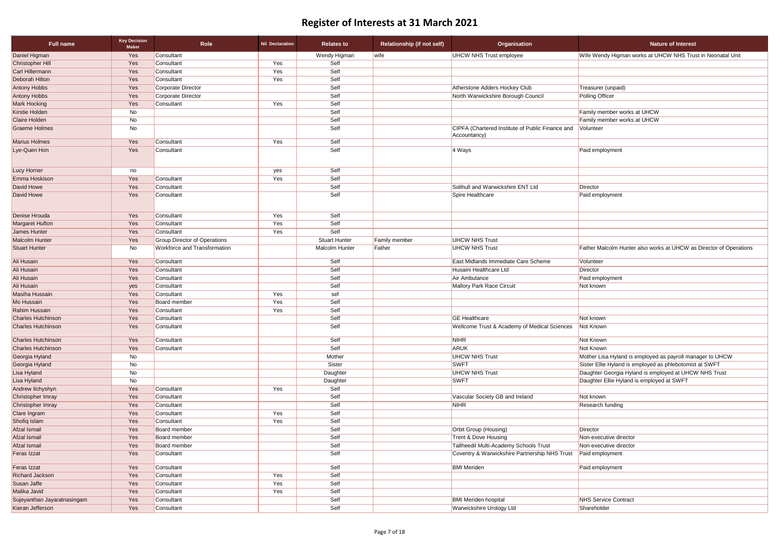| <b>Nature of Interest</b>                                                                                        |
|------------------------------------------------------------------------------------------------------------------|
| Wife Wendy Higman works at UHCW NHS Trust in Neonatal Unit                                                       |
|                                                                                                                  |
|                                                                                                                  |
|                                                                                                                  |
| Treasurer (unpaid)                                                                                               |
| <b>Polling Officer</b>                                                                                           |
|                                                                                                                  |
| Family member works at UHCW<br>Family member works at UHCW                                                       |
| Volunteer                                                                                                        |
|                                                                                                                  |
|                                                                                                                  |
| Paid employment                                                                                                  |
|                                                                                                                  |
|                                                                                                                  |
|                                                                                                                  |
| Director                                                                                                         |
| Paid employment                                                                                                  |
|                                                                                                                  |
|                                                                                                                  |
|                                                                                                                  |
|                                                                                                                  |
| Father Malcolm Hunter also works at UHCW as Director of Operations                                               |
| Volunteer                                                                                                        |
| Director                                                                                                         |
| Paid employment                                                                                                  |
| Not known                                                                                                        |
|                                                                                                                  |
|                                                                                                                  |
| Not known                                                                                                        |
| Not Known                                                                                                        |
|                                                                                                                  |
| Not Known                                                                                                        |
| Not Known                                                                                                        |
| Mother Lisa Hyland is employed as payroll manager to UHCW                                                        |
| Sister Ellie Hyland is employed as phlebotomist at SWFT<br>Daughter Georgia Hyland is employed at UHCW NHS Trust |
| Daughter Ellie Hyland is employed at SWFT                                                                        |
|                                                                                                                  |
| Not known                                                                                                        |
| <b>Research funding</b>                                                                                          |
|                                                                                                                  |
|                                                                                                                  |
| Director                                                                                                         |
| Non-executive director                                                                                           |
| Non-executive director                                                                                           |
| Paid employment                                                                                                  |
| Paid employment                                                                                                  |
|                                                                                                                  |
|                                                                                                                  |
|                                                                                                                  |
| <b>NHS Service Contract</b>                                                                                      |

| <b>Full name</b>            | <b>Key Decision</b><br><b>Maker</b> | Role                                | <b>Nil Declaration</b> | <b>Relates to</b>    | <b>Relationship (if not self)</b> | Organisation                                            | <b>Nature of Interest</b>                                          |
|-----------------------------|-------------------------------------|-------------------------------------|------------------------|----------------------|-----------------------------------|---------------------------------------------------------|--------------------------------------------------------------------|
| Daniel Higman               | Yes                                 | Consultant                          |                        | Wendy Higman         | <b>wife</b>                       | <b>UHCW NHS Trust employee</b>                          | Wife Wendy Higman works at UHCW NHS Trust in Neonatal Unit         |
| <b>Christopher Hill</b>     | Yes                                 | Consultant                          | Yes                    | Self                 |                                   |                                                         |                                                                    |
| Carl Hillermann             | Yes                                 | Consultant                          | Yes                    | Self                 |                                   |                                                         |                                                                    |
| Deborah Hilton              | Yes                                 | Consultant                          | Yes                    | Self                 |                                   |                                                         |                                                                    |
| Antony Hobbs                | Yes                                 | Corporate Director                  |                        | Self                 |                                   | Atherstone Adders Hockey Club                           | Treasurer (unpaid)                                                 |
| <b>Antony Hobbs</b>         | Yes                                 | Corporate Director                  |                        | Self                 |                                   | North Warwickshire Borough Council                      | <b>Polling Officer</b>                                             |
| Mark Hocking                | Yes                                 | Consultant                          | Yes                    | Self                 |                                   |                                                         |                                                                    |
| Kirstie Holden              | No                                  |                                     |                        | Self                 |                                   |                                                         | Family member works at UHCW                                        |
| Claire Holden               | No                                  |                                     |                        | Self                 |                                   |                                                         | Family member works at UHCW                                        |
| <b>Graeme Holmes</b>        | No                                  |                                     |                        | Self                 |                                   | CIPFA (Chartered Institute of Public Finance and        | Volunteer                                                          |
| <b>Marius Holmes</b>        | Yes                                 | Consultant                          | Yes                    | Self                 |                                   | Accountancy)                                            |                                                                    |
| Lye-Quen Hon                | Yes                                 | Consultant                          |                        | Self                 |                                   | 4 Ways                                                  | Paid employment                                                    |
|                             |                                     |                                     |                        |                      |                                   |                                                         |                                                                    |
| Lucy Horner                 | no                                  |                                     | yes                    | Self                 |                                   |                                                         |                                                                    |
| Emma Hoskison               | Yes                                 | Consultant                          | Yes                    | Self                 |                                   |                                                         |                                                                    |
| David Howe                  | Yes                                 | Consultant                          |                        | Self                 |                                   | Solihull and Warwickshire ENT Ltd                       | Director                                                           |
| David Howe                  | Yes                                 | Consultant                          |                        | Self                 |                                   | Spire Healthcare                                        | Paid employment                                                    |
| Denise Hrouda               | Yes                                 | Consultant                          | Yes                    | Self                 |                                   |                                                         |                                                                    |
| <b>Margaret Hufton</b>      | Yes                                 | Consultant                          | Yes                    | Self                 |                                   |                                                         |                                                                    |
| <b>James Hunter</b>         | Yes                                 | Consultant                          | Yes                    | Self                 |                                   |                                                         |                                                                    |
| <b>Malcolm Hunter</b>       | Yes                                 | <b>Group Director of Operations</b> |                        | <b>Stuart Hunter</b> | <b>Family member</b>              | <b>UHCW NHS Trust</b>                                   |                                                                    |
| <b>Stuart Hunter</b>        | No                                  | <b>Workforce and Transformation</b> |                        | Malcolm Hunter       | Father                            | <b>UHCW NHS Trust</b>                                   | Father Malcolm Hunter also works at UHCW as Director of Operations |
| Ali Husain                  | Yes                                 | Consultant                          |                        | Self                 |                                   | East Midlands Immediate Care Scheme                     | Volunteer                                                          |
| Ali Husain                  | Yes                                 | Consultant                          |                        | Self                 |                                   | Husaini Healthcare Ltd                                  | Director                                                           |
| Ali Husain                  | Yes                                 | Consultant                          |                        | Self                 |                                   | Air Ambulance                                           | Paid employment                                                    |
| Ali Husain                  | yes                                 | Consultant                          |                        | Self                 |                                   | Mallory Park Race Circuit                               | Not known                                                          |
| Masiha Hussain              | Yes                                 | Consultant                          | Yes                    | sef                  |                                   |                                                         |                                                                    |
| Mo Hussain                  | Yes                                 | Board member                        | Yes                    | Self                 |                                   |                                                         |                                                                    |
| Rahim Hussain               | Yes                                 | Consultant                          | Yes                    | Self                 |                                   |                                                         |                                                                    |
| <b>Charles Hutchinson</b>   | Yes                                 | Consultant                          |                        | Self                 |                                   | <b>GE</b> Healthcare                                    | Not known                                                          |
| <b>Charles Hutchinson</b>   | Yes                                 | Consultant                          |                        | Self                 |                                   | <b>Wellcome Trust &amp; Academy of Medical Sciences</b> | Not Known                                                          |
| <b>Charles Hutchinson</b>   | Yes                                 | Consultant                          |                        | Self                 |                                   | <b>NIHR</b>                                             | Not Known                                                          |
| <b>Charles Hutchinson</b>   | Yes                                 | Consultant                          |                        | Self                 |                                   | ARUK                                                    | Not Known                                                          |
| Georgia Hyland              | No                                  |                                     |                        | Mother               |                                   | <b>UHCW NHS Trust</b>                                   | Mother Lisa Hyland is employed as payroll manager to UHCW          |
| Georgia Hyland              | No                                  |                                     |                        | Sister               |                                   | <b>SWFT</b>                                             | Sister Ellie Hyland is employed as phlebotomist at SWFT            |
| Lisa Hyland                 | No                                  |                                     |                        | Daughter             |                                   | <b>UHCW NHS Trust</b>                                   | Daughter Georgia Hyland is employed at UHCW NHS Trust              |
| Lisa Hyland                 | No                                  |                                     |                        | Daughter             |                                   | <b>SWFT</b>                                             | Daughter Ellie Hyland is employed at SWFT                          |
| Andrew Ilchyshyn            | Yes                                 | Consultant                          | Yes                    | Self                 |                                   |                                                         |                                                                    |
| <b>Christopher Imray</b>    | Yes                                 | Consultant                          |                        | Self                 |                                   | Vascular Society GB and Ireland                         | Not known                                                          |
| <b>Christopher Imray</b>    | Yes                                 | Consultant                          |                        | Self                 |                                   | <b>NIHR</b>                                             | <b>Research funding</b>                                            |
| Clare Ingram                | Yes                                 | Consultant                          | Yes                    | Self                 |                                   |                                                         |                                                                    |
| Shofiq Islam                | Yes                                 | Consultant                          | Yes                    | Self                 |                                   |                                                         |                                                                    |
| Afzal Ismail                | Yes                                 | <b>Board member</b>                 |                        | Self                 |                                   | Orbit Group (Housing)                                   | <b>Director</b>                                                    |
| Afzal Ismail                | Yes                                 | <b>Board member</b>                 |                        | Self                 |                                   | Trent & Dove Housing                                    | Non-executive director                                             |
| Afzal Ismail                | Yes                                 | <b>Board member</b>                 |                        | Self                 |                                   | Tallheedil Multi-Academy Schools Trust                  | Non-executive director                                             |
| Feras Izzat                 | Yes                                 | Consultant                          |                        | Self                 |                                   | Coventry & Warwickshire Partnership NHS Trust           | Paid employment                                                    |
| Feras Izzat                 | Yes                                 | Consultant                          |                        | Self                 |                                   | <b>BMI</b> Meriden                                      | Paid employment                                                    |
| Richard Jackson             | Yes                                 | Consultant                          | Yes                    | Self                 |                                   |                                                         |                                                                    |
| Susan Jaffe                 | Yes                                 | Consultant                          | Yes                    | Self                 |                                   |                                                         |                                                                    |
| Malika Javid                | Yes                                 | Consultant                          | Yes                    | Self                 |                                   |                                                         |                                                                    |
| Sujeyanthan Jayaratnasingam | Yes                                 | Consultant                          |                        | Self                 |                                   | <b>BMI Meriden hospital</b>                             | <b>NHS Service Contract</b>                                        |
| Kieran Jefferson            | Yes                                 | Consultant                          |                        | Self                 |                                   | <b>Warwickshire Urology Ltd</b>                         | Shareholder                                                        |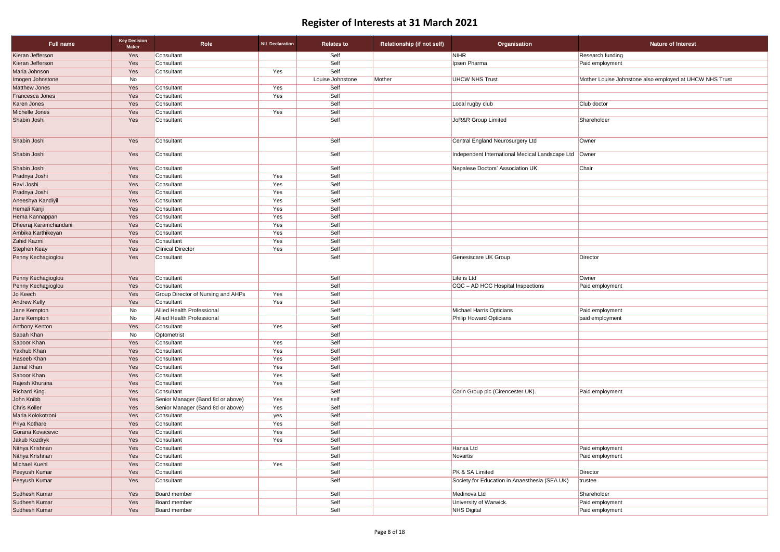| <b>Full name</b>      | <b>Key Decision</b><br><b>Maker</b> | Role                               | <b>Nil Declaration</b> | <b>Relates to</b> | <b>Relationship (if not self)</b> | Organisation                                            | <b>Nature of Interest</b>                               |
|-----------------------|-------------------------------------|------------------------------------|------------------------|-------------------|-----------------------------------|---------------------------------------------------------|---------------------------------------------------------|
| Kieran Jefferson      | Yes                                 | Consultant                         |                        | Self              |                                   | <b>NIHR</b>                                             | Research funding                                        |
| Kieran Jefferson      | Yes                                 | Consultant                         |                        | Self              |                                   | Ipsen Pharma                                            | Paid employment                                         |
| Maria Johnson         | Yes                                 | Consultant                         | Yes                    | Self              |                                   |                                                         |                                                         |
| Imogen Johnstone      | No                                  |                                    |                        | Louise Johnstone  | Mother                            | <b>UHCW NHS Trust</b>                                   | Mother Louise Johnstone also employed at UHCW NHS Trust |
| <b>Matthew Jones</b>  | Yes                                 | Consultant                         | Yes                    | Self              |                                   |                                                         |                                                         |
| Francesca Jones       | Yes                                 | Consultant                         | Yes                    | Self              |                                   |                                                         |                                                         |
| Karen Jones           | Yes                                 | Consultant                         |                        | Self              |                                   | Local rugby club                                        | Club doctor                                             |
| Michelle Jones        | Yes                                 | Consultant                         | Yes                    | Self              |                                   |                                                         |                                                         |
| Shabin Joshi          | Yes                                 | Consultant                         |                        | Self              |                                   | JoR&R Group Limited                                     | Shareholder                                             |
| Shabin Joshi          | Yes                                 | Consultant                         |                        | Self              |                                   | Central England Neurosurgery Ltd                        | Owner                                                   |
| Shabin Joshi          | Yes                                 | Consultant                         |                        | Self              |                                   | Independent International Medical Landscape Ltd   Owner |                                                         |
| Shabin Joshi          | Yes                                 | Consultant                         |                        | Self              |                                   | Nepalese Doctors' Association UK                        | Chair                                                   |
| Pradnya Joshi         | Yes                                 | Consultant                         | Yes                    | Self              |                                   |                                                         |                                                         |
| Ravi Joshi            | Yes                                 | Consultant                         | Yes                    | Self              |                                   |                                                         |                                                         |
| Pradnya Joshi         | Yes                                 | Consultant                         | Yes                    | Self              |                                   |                                                         |                                                         |
| Aneeshya Kandiyil     | Yes                                 | Consultant                         | Yes                    | Self              |                                   |                                                         |                                                         |
| Hemali Kanji          | Yes                                 | Consultant                         | Yes                    | Self              |                                   |                                                         |                                                         |
| Hema Kannappan        | Yes                                 | Consultant                         | Yes                    | Self              |                                   |                                                         |                                                         |
| Dheeraj Karamchandani | Yes                                 | Consultant                         | Yes                    | Self              |                                   |                                                         |                                                         |
| Ambika Karthikeyan    | Yes                                 | Consultant                         | Yes                    | Self              |                                   |                                                         |                                                         |
| Zahid Kazmi           | Yes                                 | Consultant                         | Yes                    | Self              |                                   |                                                         |                                                         |
| <b>Stephen Keay</b>   | Yes                                 | <b>Clinical Director</b>           | Yes                    | Self              |                                   |                                                         |                                                         |
| Penny Kechagioglou    | Yes                                 | Consultant                         |                        | Self              |                                   | <b>Genesiscare UK Group</b>                             | Director                                                |
| Penny Kechagioglou    | Yes                                 | Consultant                         |                        | Self              |                                   | Life is Ltd                                             | Owner                                                   |
| Penny Kechagioglou    | Yes                                 | Consultant                         |                        | Self              |                                   | CQC - AD HOC Hospital Inspections                       | Paid employment                                         |
| Jo Keech              | Yes                                 | Group Director of Nursing and AHPs | Yes                    | Self              |                                   |                                                         |                                                         |
| <b>Andrew Kelly</b>   | Yes                                 | Consultant                         | Yes                    | Self              |                                   |                                                         |                                                         |
| Jane Kempton          | No                                  | <b>Allied Health Professional</b>  |                        | Self              |                                   | <b>Michael Harris Opticians</b>                         | Paid employment                                         |
| Jane Kempton          | No                                  | <b>Allied Health Professional</b>  |                        | Self              |                                   | Philip Howard Opticians                                 | paid employment                                         |
| Anthony Kenton        | Yes                                 | Consultant                         | Yes                    | Self              |                                   |                                                         |                                                         |
| Sabah Khan            | No                                  | Optometrist                        |                        | Self              |                                   |                                                         |                                                         |
| Saboor Khan           | Yes                                 | Consultant                         | Yes                    | Self              |                                   |                                                         |                                                         |
| Yakhub Khan           | Yes                                 | Consultant                         | Yes                    | Self              |                                   |                                                         |                                                         |
| Haseeb Khan           | Yes                                 | Consultant                         | Yes                    | Self              |                                   |                                                         |                                                         |
| Jamal Khan            | Yes                                 | Consultant                         | Yes                    | Self              |                                   |                                                         |                                                         |
| Saboor Khan           | Yes                                 | Consultant                         | Yes                    | Self              |                                   |                                                         |                                                         |
| Rajesh Khurana        | Yes                                 | Consultant                         | Yes                    | Self              |                                   |                                                         |                                                         |
| <b>Richard King</b>   | Yes                                 | Consultant                         |                        | Self              |                                   | Corin Group plc (Cirencester UK).                       | Paid employment                                         |
| John Knibb            | Yes                                 | Senior Manager (Band 8d or above)  | Yes                    | self              |                                   |                                                         |                                                         |
| <b>Chris Koller</b>   | Yes                                 | Senior Manager (Band 8d or above)  | Yes                    | Self              |                                   |                                                         |                                                         |
| Maria Kolokotroni     | Yes                                 | Consultant                         | yes                    | Self              |                                   |                                                         |                                                         |
| Priya Kothare         | Yes                                 | Consultant                         | Yes                    | Self              |                                   |                                                         |                                                         |
| Gorana Kovacevic      | Yes                                 | Consultant                         | Yes                    | Self              |                                   |                                                         |                                                         |
| Jakub Kozdryk         | Yes                                 | Consultant                         | Yes                    | Self              |                                   |                                                         |                                                         |
| Nithya Krishnan       | Yes                                 | Consultant                         |                        | Self              |                                   | Hansa Ltd                                               | Paid employment                                         |
| Nithya Krishnan       | Yes                                 | Consultant                         |                        | Self              |                                   | Novartis                                                | Paid employment                                         |
| <b>Michael Kuehl</b>  | Yes                                 | Consultant                         | Yes                    | Self              |                                   |                                                         |                                                         |
| Peeyush Kumar         | Yes                                 | Consultant                         |                        | Self              |                                   | PK & SA Limited                                         | Director                                                |
| Peeyush Kumar         | Yes                                 | Consultant                         |                        | Self              |                                   | Society for Education in Anaesthesia (SEA UK)           | trustee                                                 |
| Sudhesh Kumar         | Yes                                 | Board member                       |                        | Self              |                                   | Medinova Ltd                                            | Shareholder                                             |
| Sudhesh Kumar         | Yes                                 | Board member                       |                        | Self              |                                   | University of Warwick.                                  | Paid employment                                         |
| Sudhesh Kumar         | Yes                                 | Board member                       |                        | Self              |                                   | NHS Digital                                             | Paid employment                                         |
|                       |                                     |                                    |                        |                   |                                   |                                                         |                                                         |

| <b>Nature of Interest</b>                            |
|------------------------------------------------------|
| earch funding                                        |
| d employment                                         |
|                                                      |
| her Louise Johnstone also employed at UHCW NHS Trust |
|                                                      |
|                                                      |
| doctor                                               |
|                                                      |
| reholder                                             |
|                                                      |
|                                                      |
| าer                                                  |
|                                                      |
| าer                                                  |
| ir                                                   |
|                                                      |
|                                                      |
|                                                      |
|                                                      |
|                                                      |
|                                                      |
|                                                      |
|                                                      |
|                                                      |
|                                                      |
|                                                      |
| ctor                                                 |
|                                                      |
| er                                                   |
| d employment                                         |
|                                                      |
|                                                      |
| d employment                                         |
| employment                                           |
|                                                      |
|                                                      |
|                                                      |
|                                                      |
|                                                      |
|                                                      |
|                                                      |
|                                                      |
|                                                      |
| d employment                                         |
|                                                      |
|                                                      |
|                                                      |
|                                                      |
|                                                      |
|                                                      |
| d employment                                         |
| d employment                                         |
|                                                      |
| ctor                                                 |
| tee                                                  |
|                                                      |
| reholder                                             |
| d employment                                         |
| d employment                                         |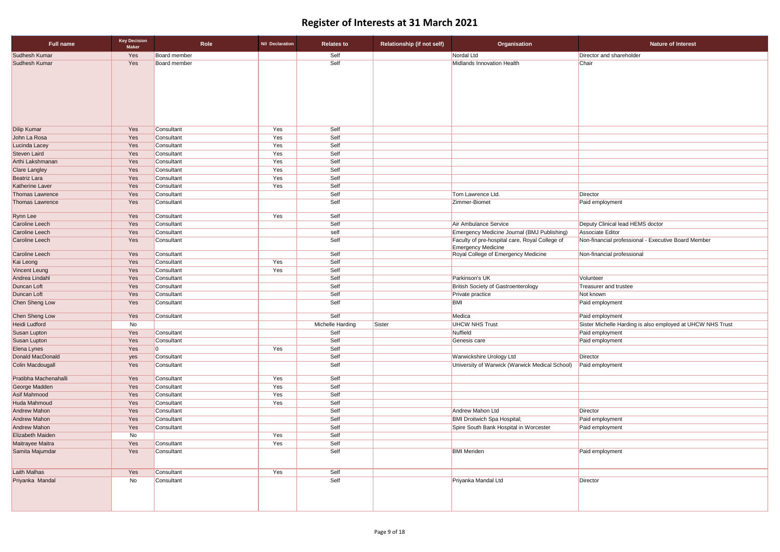| <b>Full name</b>                           | <b>Key Decision</b><br><b>Maker</b> | Role                     | <b>Nil Declaration</b> | <b>Relates to</b> | <b>Relationship (if not self)</b> | <b>Organisation</b>                                                          | <b>Nature of Interest</b>                                  |
|--------------------------------------------|-------------------------------------|--------------------------|------------------------|-------------------|-----------------------------------|------------------------------------------------------------------------------|------------------------------------------------------------|
| <b>Sudhesh Kumar</b>                       | Yes                                 | <b>Board member</b>      |                        | Self              |                                   | Nordal Ltd                                                                   | Director and shareholder                                   |
| Sudhesh Kumar                              | Yes                                 | <b>Board member</b>      |                        | Self              |                                   | Midlands Innovation Health                                                   | Chair                                                      |
|                                            |                                     |                          |                        |                   |                                   |                                                                              |                                                            |
|                                            |                                     |                          |                        |                   |                                   |                                                                              |                                                            |
|                                            |                                     |                          |                        |                   |                                   |                                                                              |                                                            |
|                                            |                                     |                          |                        |                   |                                   |                                                                              |                                                            |
|                                            |                                     |                          |                        |                   |                                   |                                                                              |                                                            |
|                                            |                                     |                          |                        |                   |                                   |                                                                              |                                                            |
|                                            |                                     |                          |                        |                   |                                   |                                                                              |                                                            |
| <b>Dilip Kumar</b>                         | Yes                                 | Consultant               | Yes                    | Self              |                                   |                                                                              |                                                            |
| John La Rosa                               | Yes                                 | Consultant               | Yes                    | Self              |                                   |                                                                              |                                                            |
| Lucinda Lacey                              | Yes                                 | Consultant               | Yes                    | Self              |                                   |                                                                              |                                                            |
| Steven Laird<br>Arthi Lakshmanan           | Yes<br>Yes                          | Consultant<br>Consultant | Yes<br>Yes             | Self<br>Self      |                                   |                                                                              |                                                            |
| <b>Clare Langley</b>                       | Yes                                 | Consultant               | Yes                    | Self              |                                   |                                                                              |                                                            |
| <b>Beatriz Lara</b>                        | Yes                                 | Consultant               | Yes                    | Self              |                                   |                                                                              |                                                            |
| <b>Katherine Laver</b>                     | Yes                                 | Consultant               | Yes                    | Self              |                                   |                                                                              |                                                            |
| Thomas Lawrence                            | Yes                                 | Consultant               |                        | Self              |                                   | Tom Lawrence Ltd.                                                            | Director                                                   |
| <b>Thomas Lawrence</b>                     | Yes                                 | Consultant               |                        | Self              |                                   | Zimmer-Biomet                                                                | Paid employment                                            |
|                                            |                                     |                          |                        |                   |                                   |                                                                              |                                                            |
| Rynn Lee                                   | Yes                                 | Consultant               | Yes                    | Self              |                                   |                                                                              |                                                            |
| <b>Caroline Leech</b>                      | Yes                                 | Consultant               |                        | Self              |                                   | Air Ambulance Service                                                        | Deputy Clinical lead HEMS doctor                           |
| Caroline Leech                             | Yes                                 | Consultant               |                        | self              |                                   | <b>Emergency Medicine Journal (BMJ Publishing)</b>                           | Associate Editor                                           |
| Caroline Leech                             | Yes                                 | Consultant               |                        | Self              |                                   | Faculty of pre-hospital care, Royal College of<br><b>Emergency Medicine</b>  | Non-financial professional - Executive Board Member        |
| Caroline Leech                             | Yes                                 | Consultant               |                        | Self              |                                   | Royal College of Emergency Medicine                                          | Non-financial professional                                 |
| Kai Leong                                  | Yes                                 | Consultant               | Yes                    | Self              |                                   |                                                                              |                                                            |
| <b>Vincent Leung</b>                       | Yes                                 | Consultant               | Yes                    | Self              |                                   |                                                                              |                                                            |
| Andrea Lindahl                             | Yes                                 | Consultant               |                        | Self              |                                   | Parkinson's UK                                                               | Volunteer                                                  |
| Duncan Loft                                | Yes                                 | Consultant               |                        | Self              |                                   | <b>British Society of Gastroenterology</b>                                   | <b>Treasurer and trustee</b>                               |
| Duncan Loft                                | Yes                                 | Consultant               |                        | Self              |                                   | Private practice                                                             | Not known                                                  |
| Chen Sheng Low                             | Yes                                 | Consultant               |                        | Self              |                                   | <b>BMI</b>                                                                   | Paid employment                                            |
| Chen Sheng Low                             | Yes                                 | Consultant               |                        | Self              |                                   | Medica                                                                       | Paid employment                                            |
| <b>Heidi Ludford</b>                       | No                                  |                          |                        | Michelle Harding  | Sister                            | <b>UHCW NHS Trust</b>                                                        | Sister Michelle Harding is also employed at UHCW NHS Trust |
| <b>Susan Lupton</b>                        | Yes                                 | Consultant               |                        | Self              |                                   | Nuffield                                                                     | Paid employment                                            |
| Susan Lupton                               | Yes                                 | Consultant               |                        | Self              |                                   | Genesis care                                                                 | Paid employment                                            |
| Elena Lynes                                | Yes                                 | l0                       | Yes                    | Self              |                                   |                                                                              |                                                            |
| Donald MacDonald                           | yes                                 | Consultant               |                        | Self              |                                   | Warwickshire Urology Ltd                                                     | Director                                                   |
| Colin Macdougall                           | Yes                                 | Consultant               |                        | Self              |                                   | University of Warwick (Warwick Medical School)                               | Paid employment                                            |
| Pratibha Machenahalli                      | Yes                                 | Consultant               | Yes                    | Self              |                                   |                                                                              |                                                            |
| George Madden                              | Yes                                 | Consultant               | Yes                    | Self              |                                   |                                                                              |                                                            |
| Asif Mahmood                               | Yes                                 | Consultant               | Yes                    | Self              |                                   |                                                                              |                                                            |
| Huda Mahmoud                               | Yes                                 | Consultant               | Yes                    | Self              |                                   |                                                                              |                                                            |
| <b>Andrew Mahon</b>                        | Yes                                 | Consultant               |                        | Self              |                                   | Andrew Mahon Ltd                                                             | Director                                                   |
| <b>Andrew Mahon</b><br><b>Andrew Mahon</b> | Yes<br>Yes                          | Consultant<br>Consultant |                        | Self<br>Self      |                                   | <b>BMI Droitwich Spa Hospital;</b><br>Spire South Bank Hospital in Worcester | Paid employment<br>Paid employment                         |
| Elizabeth Maiden                           | No                                  |                          | Yes                    | Self              |                                   |                                                                              |                                                            |
| Maitrayee Maitra                           | Yes                                 | Consultant               | Yes                    | Self              |                                   |                                                                              |                                                            |
| Samita Majumdar                            | Yes                                 | Consultant               |                        | Self              |                                   | <b>BMI</b> Meriden                                                           | Paid employment                                            |
|                                            |                                     |                          |                        |                   |                                   |                                                                              |                                                            |
| Laith Malhas                               | Yes                                 | Consultant               | Yes                    | Self              |                                   |                                                                              |                                                            |
| Priyanka Mandal                            | No                                  | Consultant               |                        | Self              |                                   | Priyanka Mandal Ltd                                                          | Director                                                   |
|                                            |                                     |                          |                        |                   |                                   |                                                                              |                                                            |
|                                            |                                     |                          |                        |                   |                                   |                                                                              |                                                            |
|                                            |                                     |                          |                        |                   |                                   |                                                                              |                                                            |
|                                            |                                     |                          |                        |                   |                                   |                                                                              |                                                            |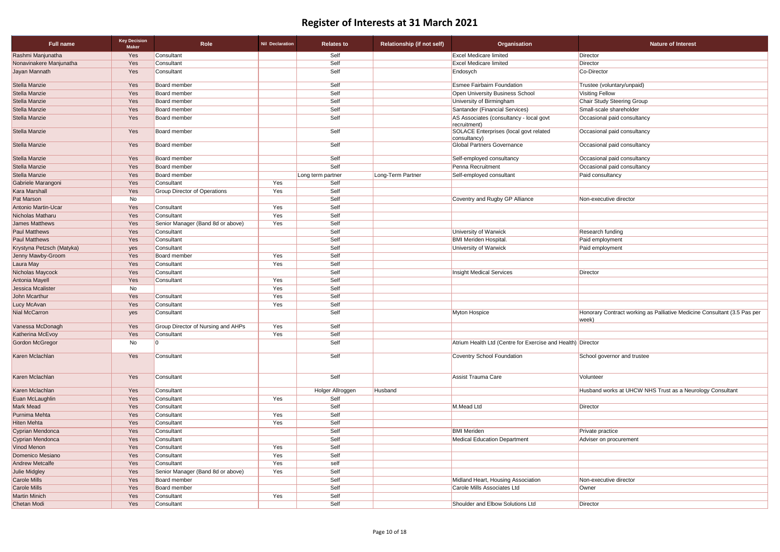| <b>Full name</b>          | <b>Key Decision</b><br><b>Maker</b> | Role                                      | <b>Nil Declaration</b> | <b>Relates to</b> | <b>Relationship (if not self)</b> | Organisation                                                | <b>Nature of Interest</b>                                                         |
|---------------------------|-------------------------------------|-------------------------------------------|------------------------|-------------------|-----------------------------------|-------------------------------------------------------------|-----------------------------------------------------------------------------------|
| Rashmi Manjunatha         | Yes                                 | Consultant                                |                        | Self              |                                   | <b>Excel Medicare limited</b>                               | Director                                                                          |
| Nonavinakere Manjunatha   | Yes                                 | Consultant                                |                        | Self              |                                   | <b>Excel Medicare limited</b>                               | Director                                                                          |
| Jayan Mannath             | Yes                                 | Consultant                                |                        | Self              |                                   | Endosych                                                    | Co-Director                                                                       |
| Stella Manzie             | Yes                                 | <b>Board member</b>                       |                        | Self              |                                   | <b>Esmee Fairbairn Foundation</b>                           | Trustee (voluntary/unpaid)                                                        |
| Stella Manzie             | Yes                                 | <b>Board member</b>                       |                        | Self              |                                   | Open University Business School                             | Visiting Fellow                                                                   |
| Stella Manzie             | Yes                                 | <b>Board member</b>                       |                        | Self              |                                   | University of Birmingham                                    | Chair Study Steering Group                                                        |
| Stella Manzie             | Yes                                 | <b>Board member</b>                       |                        | Self              |                                   | Santander (Financial Services)                              | Small-scale shareholder                                                           |
| Stella Manzie             | Yes                                 | <b>Board member</b>                       |                        | Self              |                                   | AS Associates (consultancy - local govt<br>recruitment)     | Occasional paid consultancy                                                       |
| Stella Manzie             | Yes                                 | <b>Board member</b>                       |                        | Self              |                                   | SOLACE Enterprises (local govt related<br>consultancy)      | Occasional paid consultancy                                                       |
| Stella Manzie             | Yes                                 | <b>Board member</b>                       |                        | Self              |                                   | <b>Global Partners Governance</b>                           | Occasional paid consultancy                                                       |
| Stella Manzie             | Yes                                 | <b>Board member</b>                       |                        | Self              |                                   | Self-employed consultancy                                   | Occasional paid consultancy                                                       |
| Stella Manzie             | Yes                                 | <b>Board member</b>                       |                        | Self              |                                   | Penna Recruitment                                           | Occasional paid consultancy                                                       |
| Stella Manzie             | Yes                                 | <b>Board member</b>                       |                        | Long term partner | Long-Term Partner                 | Self-employed consultant                                    | Paid consultancy                                                                  |
| Gabriele Marangoni        | Yes                                 | Consultant                                | Yes                    | Self              |                                   |                                                             |                                                                                   |
| Kara Marshall             | Yes                                 | <b>Group Director of Operations</b>       | Yes                    | Self              |                                   |                                                             |                                                                                   |
| Pat Marson                | No                                  |                                           |                        | Self              |                                   | Coventry and Rugby GP Alliance                              | Non-executive director                                                            |
| Antonio Martin-Ucar       | Yes                                 | Consultant                                | Yes                    | Self              |                                   |                                                             |                                                                                   |
| Nicholas Matharu          | Yes                                 | Consultant                                | Yes                    | Self              |                                   |                                                             |                                                                                   |
| James Matthews            | Yes                                 | Senior Manager (Band 8d or above)         | Yes                    | Self              |                                   |                                                             |                                                                                   |
| <b>Paul Matthews</b>      | Yes                                 | Consultant                                |                        | Self              |                                   | University of Warwick                                       | Research funding                                                                  |
| <b>Paul Matthews</b>      | Yes                                 | Consultant                                |                        | Self              |                                   | <b>BMI Meriden Hospital.</b>                                | Paid employment                                                                   |
| Krystyna Petzsch (Matyka) | yes                                 | Consultant                                |                        | Self              |                                   | University of Warwick                                       | Paid employment                                                                   |
| Jenny Mawby-Groom         | Yes                                 | <b>Board member</b>                       | Yes                    | Self              |                                   |                                                             |                                                                                   |
| Laura May                 | Yes                                 | Consultant                                | Yes                    | Self              |                                   |                                                             |                                                                                   |
| Nicholas Maycock          | Yes                                 | Consultant                                |                        | Self              |                                   | <b>Insight Medical Services</b>                             | Director                                                                          |
| Antonia Mayell            | Yes                                 | Consultant                                | Yes                    | Self              |                                   |                                                             |                                                                                   |
| <b>Jessica Mcalister</b>  | No                                  |                                           | Yes                    | Self              |                                   |                                                             |                                                                                   |
| John Mcarthur             | Yes                                 | Consultant                                | Yes                    | Self              |                                   |                                                             |                                                                                   |
| Lucy McAvan               | Yes                                 | Consultant                                | Yes                    | Self              |                                   |                                                             |                                                                                   |
| <b>Nial McCarron</b>      | yes                                 | Consultant                                |                        | Self              |                                   | Myton Hospice                                               | Honorary Contract working as Palliative Medicine Consultant (3.5 Pas per<br>week) |
| Vanessa McDonagh          | Yes                                 | <b>Group Director of Nursing and AHPs</b> | Yes                    | Self              |                                   |                                                             |                                                                                   |
| Katherina McEvoy          | Yes                                 | Consultant                                | Yes                    | Self              |                                   |                                                             |                                                                                   |
| <b>Gordon McGregor</b>    | No                                  |                                           |                        | Self              |                                   | Atrium Health Ltd (Centre for Exercise and Health) Director |                                                                                   |
| Karen Mclachlan           | Yes                                 | Consultant                                |                        | Self              |                                   | Coventry School Foundation                                  | School governor and trustee                                                       |
| Karen Mclachlan           | Yes                                 | Consultant                                |                        | Self              |                                   | Assist Trauma Care                                          | Volunteer                                                                         |
| Karen Mclachlan           | Yes                                 | Consultant                                |                        | Holger Allroggen  | Husband                           |                                                             | Husband works at UHCW NHS Trust as a Neurology Consultant                         |
| Euan McLaughlin           | Yes                                 | Consultant                                | Yes                    | Self              |                                   |                                                             |                                                                                   |
| <b>Mark Mead</b>          | Yes                                 | Consultant                                |                        | Self              |                                   | M.Mead Ltd                                                  | Director                                                                          |
| <b>Purnima Mehta</b>      | Yes                                 | Consultant                                | Yes                    | Self              |                                   |                                                             |                                                                                   |
| <b>Hiten Mehta</b>        | Yes                                 | Consultant                                | Yes                    | Self              |                                   |                                                             |                                                                                   |
| Cyprian Mendonca          | Yes                                 | Consultant                                |                        | Self              |                                   | <b>BMI</b> Meriden                                          | Private practice                                                                  |
| Cyprian Mendonca          | Yes                                 | Consultant                                |                        | Self              |                                   | <b>Medical Education Department</b>                         | Adviser on procurement                                                            |
| Vinod Menon               | Yes                                 | Consultant                                | Yes                    | Self              |                                   |                                                             |                                                                                   |
| Domenico Mesiano          | Yes                                 | Consultant                                | Yes                    | Self              |                                   |                                                             |                                                                                   |
| <b>Andrew Metcalfe</b>    | Yes                                 | Consultant                                | Yes                    | self              |                                   |                                                             |                                                                                   |
| Julie Midgley             | Yes                                 | Senior Manager (Band 8d or above)         | Yes                    | Self              |                                   |                                                             |                                                                                   |
| <b>Carole Mills</b>       | Yes                                 | <b>Board member</b>                       |                        | Self              |                                   | Midland Heart, Housing Association                          | Non-executive director                                                            |
| Carole Mills              | Yes                                 | Board member                              |                        | Self              |                                   | Carole Mills Associates Ltd                                 | Owner                                                                             |
| <b>Martin Minich</b>      | Yes                                 | Consultant                                | Yes                    | Self              |                                   |                                                             |                                                                                   |
| Chetan Modi               | Yes                                 | Consultant                                |                        | Self              |                                   | Shoulder and Elbow Solutions Ltd                            | Director                                                                          |
|                           |                                     |                                           |                        |                   |                                   |                                                             |                                                                                   |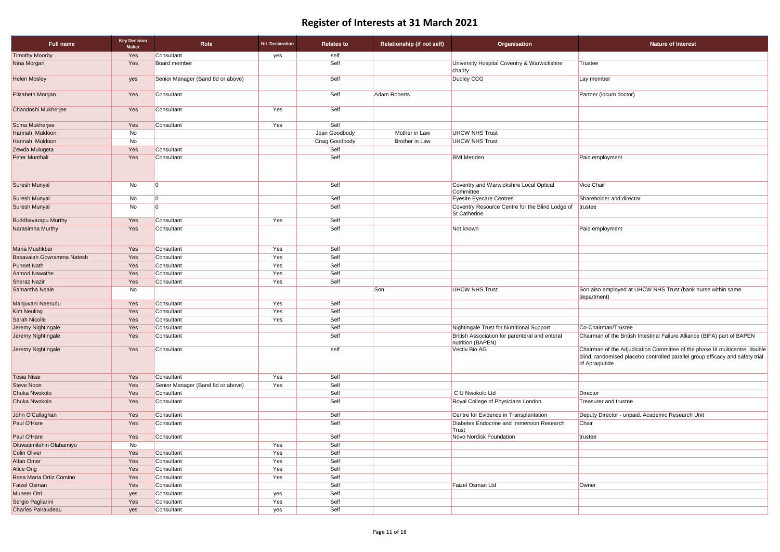| <b>Trustee</b>                                                                                                                                                                 |
|--------------------------------------------------------------------------------------------------------------------------------------------------------------------------------|
| Lay member<br>Partner (locum doctor)                                                                                                                                           |
|                                                                                                                                                                                |
|                                                                                                                                                                                |
|                                                                                                                                                                                |
|                                                                                                                                                                                |
|                                                                                                                                                                                |
| Paid employment                                                                                                                                                                |
| <b>Vice Chair</b>                                                                                                                                                              |
| Shareholder and director                                                                                                                                                       |
| trustee                                                                                                                                                                        |
| Paid employment                                                                                                                                                                |
|                                                                                                                                                                                |
|                                                                                                                                                                                |
|                                                                                                                                                                                |
|                                                                                                                                                                                |
| Son also employed at UHCW NHS Trust (bank nurse within same<br>department)                                                                                                     |
|                                                                                                                                                                                |
|                                                                                                                                                                                |
|                                                                                                                                                                                |
| Co-Chairman/Trustee                                                                                                                                                            |
| Chairman of the British Intestinal Failure Alliance (BIFA) part of BAPEN                                                                                                       |
| Chairman of the Adjudication Committee of the phase III multicentre, double<br>blind, randomised placebo controlled parallel group efficacy and safety trial<br>of Apraglutide |
|                                                                                                                                                                                |
| Director                                                                                                                                                                       |
| <b>Treasurer and trustee</b>                                                                                                                                                   |
| Deputy Director - unpaid. Academic Research Unit                                                                                                                               |
| Chair                                                                                                                                                                          |
| trustee                                                                                                                                                                        |
|                                                                                                                                                                                |
|                                                                                                                                                                                |
|                                                                                                                                                                                |
|                                                                                                                                                                                |
| Owner                                                                                                                                                                          |
|                                                                                                                                                                                |
|                                                                                                                                                                                |

| <b>Full name</b>           | <b>Key Decision</b><br><b>Maker</b> | Role                              | <b>Nil Declaration</b> | <b>Relates to</b>     | <b>Relationship (if not self)</b>             | Organisation                                                           | <b>Nature of Interest</b>                                                                                                                                                      |
|----------------------------|-------------------------------------|-----------------------------------|------------------------|-----------------------|-----------------------------------------------|------------------------------------------------------------------------|--------------------------------------------------------------------------------------------------------------------------------------------------------------------------------|
| <b>Timothy Moorby</b>      | Yes                                 | Consultant                        | yes                    | self                  |                                               |                                                                        |                                                                                                                                                                                |
| Nina Morgan                | Yes                                 | Board member                      |                        | Self                  |                                               | University Hospital Coventry & Warwickshire<br>charity                 | Trustee                                                                                                                                                                        |
| <b>Helen Mosley</b>        | yes                                 | Senior Manager (Band 8d or above) |                        | Self                  |                                               | Dudley CCG                                                             | Lay member                                                                                                                                                                     |
| Elizabeth Morgan           | Yes                                 | Consultant                        |                        | Self                  | <b>Adam Roberts</b><br>Partner (locum doctor) |                                                                        |                                                                                                                                                                                |
| Chandoshi Mukherjee        | Yes                                 | Consultant                        | Yes                    | Self                  |                                               |                                                                        |                                                                                                                                                                                |
| Soma Mukherjee             | Yes                                 | Consultant                        | Yes                    | Self                  |                                               |                                                                        |                                                                                                                                                                                |
| Hannah Muldoon             | No                                  |                                   |                        | Joan Goodbody         | Mother in Law                                 | <b>UHCW NHS Trust</b>                                                  |                                                                                                                                                                                |
| Hannah Muldoon             | No                                  |                                   |                        | <b>Craig Goodbody</b> | <b>Brother in Law</b>                         | <b>UHCW NHS Trust</b>                                                  |                                                                                                                                                                                |
| Zewda Mulugeta             | Yes                                 | Consultant                        |                        | Self                  |                                               |                                                                        |                                                                                                                                                                                |
| Peter Munthali             | Yes                                 | Consultant                        |                        | Self                  |                                               | <b>BMI</b> Meriden                                                     | Paid employment                                                                                                                                                                |
| Suresh Munyal              | No                                  | l0                                |                        | Self                  |                                               | Coventry and Warwickshire Local Optical<br>Committee                   | Vice Chair                                                                                                                                                                     |
| Suresh Munyal              | No                                  | $\overline{0}$                    |                        | Self                  |                                               | <b>Eyesite Eyecare Centres</b>                                         | Shareholder and director                                                                                                                                                       |
| Suresh Munyal              | No                                  | l0                                |                        | Self                  |                                               | Coventry Resource Centre for the Blind Lodge of<br><b>St Catherine</b> | trustee                                                                                                                                                                        |
| <b>Buddhavarapu Murthy</b> | Yes                                 | Consultant                        | Yes                    | Self                  |                                               |                                                                        |                                                                                                                                                                                |
| Narasimha Murthy           | Yes                                 | Consultant                        |                        | Self                  |                                               | Not known                                                              | Paid employment                                                                                                                                                                |
| Maria Mushkbar             | Yes                                 | Consultant                        | Yes                    | Self                  |                                               |                                                                        |                                                                                                                                                                                |
| Basavaiah Gowramma Natesh  | Yes                                 | Consultant                        | Yes                    | Self                  |                                               |                                                                        |                                                                                                                                                                                |
| <b>Puneet Nath</b>         | Yes                                 | Consultant                        | Yes                    | Self                  |                                               |                                                                        |                                                                                                                                                                                |
| Aamod Nawathe              | Yes                                 | Consultant                        | Yes                    | Self                  |                                               |                                                                        |                                                                                                                                                                                |
| <b>Sheraz Nazir</b>        | Yes                                 | Consultant                        | Yes                    | Self                  |                                               |                                                                        |                                                                                                                                                                                |
| Samantha Neale             | No                                  |                                   |                        |                       | Son                                           | <b>UHCW NHS Trust</b>                                                  | Son also employed at UHCW NHS Trust (bank nurse within same<br>department)                                                                                                     |
| Manjuvani Neerudu          | Yes                                 | Consultant                        | Yes                    | Self                  |                                               |                                                                        |                                                                                                                                                                                |
| <b>Kim Neuling</b>         | Yes                                 | Consultant                        | Yes                    | Self                  |                                               |                                                                        |                                                                                                                                                                                |
| <b>Sarah Nicolle</b>       | Yes                                 | Consultant                        | Yes                    | Self                  |                                               |                                                                        |                                                                                                                                                                                |
| Jeremy Nightingale         | Yes                                 | Consultant                        |                        | Self                  |                                               | Nightingale Trust for Nutritional Support                              | Co-Chairman/Trustee                                                                                                                                                            |
| Jeremy Nightingale         | Yes                                 | Consultant                        |                        | Self                  |                                               | British Association for parenteral and enteral<br>nutrition (BAPEN)    | Chairman of the British Intestinal Failure Alliance (BIFA) part of BAPEN                                                                                                       |
| Jeremy Nightingale         | Yes                                 | Consultant                        |                        | self                  |                                               | Vectiv Bio AG                                                          | Chairman of the Adjudication Committee of the phase III multicentre, double<br>blind, randomised placebo controlled parallel group efficacy and safety trial<br>of Apraglutide |
| <b>Tosia Nisar</b>         | Yes                                 | Consultant                        | Yes                    | Self                  |                                               |                                                                        |                                                                                                                                                                                |
| <b>Steve Noon</b>          | Yes                                 | Senior Manager (Band 8d or above) | Yes                    | Self                  |                                               |                                                                        |                                                                                                                                                                                |
| Chuka Nwokolo              | Yes                                 | Consultant                        |                        | Self                  |                                               | C U Nwokolo Ltd                                                        | Director                                                                                                                                                                       |
| Chuka Nwokolo              | Yes                                 | Consultant                        |                        | Self                  |                                               | Royal College of Physicians London                                     | <b>Treasurer and trustee</b>                                                                                                                                                   |
| John O'Callaghan           | Yes                                 | Consultant                        |                        | Self                  |                                               | Centre for Evidence in Transplantation                                 | Deputy Director - unpaid. Academic Research Unit                                                                                                                               |
| Paul O'Hare                | Yes                                 | Consultant                        |                        | Self                  |                                               | Diabetes Endocrine and Immersion Research<br>Trust                     | Chair                                                                                                                                                                          |
| Paul O'Hare                | Yes                                 | Consultant                        |                        | Self                  |                                               | <b>Novo Nordisk Foundation</b>                                         | trustee                                                                                                                                                                        |
| Oluwatimilehin Olabamiyo   | No                                  |                                   | Yes                    | Self                  |                                               |                                                                        |                                                                                                                                                                                |
| <b>Colin Oliver</b>        | Yes                                 | Consultant                        | Yes                    | Self                  |                                               |                                                                        |                                                                                                                                                                                |
| <b>Altan Omer</b>          | Yes                                 | Consultant                        | Yes                    | Self                  |                                               |                                                                        |                                                                                                                                                                                |
| Alice Ong                  | Yes                                 | Consultant                        | Yes                    | Self                  |                                               |                                                                        |                                                                                                                                                                                |
| Rosa Maria Ortiz Comino    | Yes                                 | Consultant                        | Yes                    | Self                  |                                               |                                                                        |                                                                                                                                                                                |
| <b>Faizel Osman</b>        | Yes                                 | Consultant                        |                        | Self                  |                                               | Faizel Osman Ltd                                                       | Owner                                                                                                                                                                          |
| Muneer Otri                | yes                                 | Consultant                        | yes                    | Self                  |                                               |                                                                        |                                                                                                                                                                                |
| Sergio Pagliarini          | Yes                                 | Consultant                        | Yes                    | Self                  |                                               |                                                                        |                                                                                                                                                                                |
| Charles Pairaudeau         | yes                                 | Consultant                        | yes                    | Self                  |                                               |                                                                        |                                                                                                                                                                                |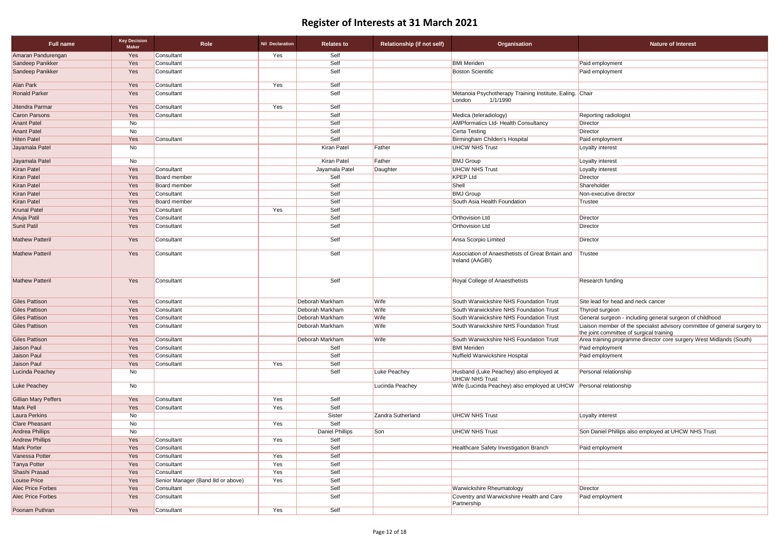| <b>Nature of Interest</b>                                                                                             |
|-----------------------------------------------------------------------------------------------------------------------|
|                                                                                                                       |
| Paid employment                                                                                                       |
| Paid employment                                                                                                       |
| Chair                                                                                                                 |
| Reporting radiologist                                                                                                 |
| Director                                                                                                              |
| Director                                                                                                              |
| Paid employment                                                                                                       |
| Loyalty interest                                                                                                      |
| Loyalty interest                                                                                                      |
| Loyalty interest                                                                                                      |
| Director                                                                                                              |
| Shareholder                                                                                                           |
| Non-executive director                                                                                                |
| Trustee                                                                                                               |
|                                                                                                                       |
| Director                                                                                                              |
| Director                                                                                                              |
| Director                                                                                                              |
| Trustee                                                                                                               |
| Research funding                                                                                                      |
| Site lead for head and neck cancer                                                                                    |
| Thyroid surgeon                                                                                                       |
| General surgeon - including general surgeon of childhood                                                              |
| Liaison member of the specialist advisory committee of general surgery to<br>the joint committee of surgical training |
| Area training programme director core surgery West Midlands (South)                                                   |
| Paid employment                                                                                                       |
| Paid employment                                                                                                       |
| Personal relationship                                                                                                 |
| Personal relationship                                                                                                 |
|                                                                                                                       |
| Loyalty interest                                                                                                      |
| Son Daniel Phillips also employed at UHCW NHS Trust                                                                   |
| Paid employment                                                                                                       |

| <b>Full name</b>         | <b>Key Decision</b><br><b>Maker</b> | Role                              | <b>Nil Declaration</b> | <b>Relates to</b>      | <b>Relationship (if not self)</b> | <b>Organisation</b>                                                            | <b>Nature of Interest</b>                                                                                             |
|--------------------------|-------------------------------------|-----------------------------------|------------------------|------------------------|-----------------------------------|--------------------------------------------------------------------------------|-----------------------------------------------------------------------------------------------------------------------|
| Amaran Pandurengan       | Yes                                 | Consultant                        | Yes                    | Self                   |                                   |                                                                                |                                                                                                                       |
| Sandeep Panikker         | Yes                                 | Consultant                        |                        | Self                   |                                   | <b>BMI</b> Meriden                                                             | Paid employment                                                                                                       |
| Sandeep Panikker         | Yes                                 | Consultant                        |                        | Self                   |                                   | <b>Boston Scientific</b>                                                       | Paid employment                                                                                                       |
| Alan Park                | Yes                                 | Consultant                        | Yes                    | Self                   |                                   |                                                                                |                                                                                                                       |
| <b>Ronald Parker</b>     | Yes                                 | Consultant                        |                        | Self                   |                                   | Metanoia Psychotherapy Training Institute, Ealing. Chair<br>1/1/1990<br>London |                                                                                                                       |
| Jitendra Parmar          | Yes                                 | Consultant                        | Yes                    | Self                   |                                   |                                                                                |                                                                                                                       |
| <b>Caron Parsons</b>     | Yes                                 | Consultant                        |                        | Self                   |                                   | Medica (teleradiology)                                                         | Reporting radiologist                                                                                                 |
| <b>Anant Patel</b>       | No                                  |                                   |                        | Self                   |                                   | <b>AMPformatics Ltd- Health Consultancy</b>                                    | Director                                                                                                              |
| <b>Anant Patel</b>       | No                                  |                                   |                        | Self                   |                                   | Certa Testing                                                                  | Director                                                                                                              |
| <b>Hiten Patel</b>       | Yes                                 | Consultant                        |                        | Self                   |                                   | Birmingham Childen's Hospital                                                  | Paid employment                                                                                                       |
| Jayamala Patel           | No                                  |                                   |                        | Kiran Patel            | Father                            | <b>UHCW NHS Trust</b>                                                          | Loyalty interest                                                                                                      |
| Jayamala Patel           | No                                  |                                   |                        | Kiran Patel            | Father                            | <b>BMJ Group</b>                                                               | Loyalty interest                                                                                                      |
| <b>Kiran Patel</b>       | Yes                                 | Consultant                        |                        | Jayamala Patel         | Daughter                          | <b>UHCW NHS Trust</b>                                                          | Loyalty interest                                                                                                      |
| <b>Kiran Patel</b>       | Yes                                 | Board member                      |                        | Self                   |                                   | <b>KPEP Ltd</b>                                                                | <b>Director</b>                                                                                                       |
| <b>Kiran Patel</b>       | Yes                                 | <b>Board member</b>               |                        | Self                   |                                   | Shell                                                                          | Shareholder                                                                                                           |
| <b>Kiran Patel</b>       | Yes                                 | Consultant                        |                        | Self                   |                                   | <b>BMJ</b> Group                                                               | Non-executive director                                                                                                |
| Kiran Patel              | Yes                                 | <b>Board member</b>               |                        | Self                   |                                   | South Asia Health Foundation                                                   | Trustee                                                                                                               |
| <b>Krunal Patel</b>      | Yes                                 | Consultant                        | Yes                    | Self                   |                                   |                                                                                |                                                                                                                       |
| Anuja Patil              | Yes                                 | Consultant                        |                        | Self                   |                                   | <b>Orthovision Ltd</b>                                                         | Director                                                                                                              |
| Sunit Patil              | Yes                                 | Consultant                        |                        | Self                   |                                   | <b>Orthovision Ltd</b>                                                         | Director                                                                                                              |
| <b>Mathew Patteril</b>   | Yes                                 | Consultant                        |                        | Self                   |                                   | Ansa Scorpio Limited                                                           | Director                                                                                                              |
| <b>Mathew Patteril</b>   | Yes                                 | Consultant                        |                        | Self                   |                                   | Association of Anaesthetists of Great Britain and<br>Ireland (AAGBI)           | Trustee                                                                                                               |
| <b>Mathew Patteril</b>   | Yes                                 | Consultant                        |                        | Self                   |                                   | Royal College of Anaesthetists                                                 | Research funding                                                                                                      |
| <b>Giles Pattison</b>    | Yes                                 | Consultant                        |                        | Deborah Markham        | Wife                              | South Warwickshire NHS Foundation Trust                                        | Site lead for head and neck cancer                                                                                    |
| <b>Giles Pattison</b>    | Yes                                 | Consultant                        |                        | Deborah Markham        | Wife                              | South Warwickshire NHS Foundation Trust                                        | Thyroid surgeon                                                                                                       |
| <b>Giles Pattison</b>    | Yes                                 | Consultant                        |                        | Deborah Markham        | Wife                              | South Warwickshire NHS Foundation Trust                                        | General surgeon - including general surgeon of childhood                                                              |
| <b>Giles Pattison</b>    | Yes                                 | Consultant                        |                        | Deborah Markham        | Wife                              | South Warwickshire NHS Foundation Trust                                        | Liaison member of the specialist advisory committee of general surgery to<br>the joint committee of surgical training |
| <b>Giles Pattison</b>    | Yes                                 | Consultant                        |                        | Deborah Markham        | Wife                              | South Warwickshire NHS Foundation Trust                                        | Area training programme director core surgery West Midlands (South)                                                   |
| Jaison Paul              | Yes                                 | Consultant                        |                        | Self                   |                                   | <b>BMI</b> Meriden                                                             | Paid employment                                                                                                       |
| Jaison Paul              | Yes                                 | Consultant                        |                        | Self                   |                                   | Nuffield Warwickshire Hospital                                                 | Paid employment                                                                                                       |
| Jaison Paul              | Yes                                 | Consultant                        | Yes                    | Self                   |                                   |                                                                                |                                                                                                                       |
| Lucinda Peachey          | No                                  |                                   |                        | Self                   | Luke Peachey                      | Husband (Luke Peachey) also employed at<br><b>UHCW NHS Trust</b>               | Personal relationship                                                                                                 |
| <b>Luke Peachey</b>      | No                                  |                                   |                        |                        | Lucinda Peachey                   | Wife (Lucinda Peachey) also employed at UHCW Personal relationship             |                                                                                                                       |
| Gillian Mary Peffers     | Yes                                 | Consultant                        | Yes                    | Self                   |                                   |                                                                                |                                                                                                                       |
| Mark Pell                | Yes                                 | Consultant                        | Yes                    | Self                   |                                   |                                                                                |                                                                                                                       |
| Laura Perkins            | No                                  |                                   |                        | Sister                 | Zandra Sutherland                 | <b>UHCW NHS Trust</b>                                                          | Loyalty interest                                                                                                      |
| <b>Clare Pheasant</b>    | No                                  |                                   | Yes                    | Self                   |                                   |                                                                                |                                                                                                                       |
| Andrea Phillips          | No                                  |                                   |                        | <b>Daniel Phillips</b> | Son                               | <b>UHCW NHS Trust</b>                                                          | Son Daniel Phillips also employed at UHCW NHS Trust                                                                   |
| <b>Andrew Phillips</b>   | Yes                                 | Consultant                        | Yes                    | Self                   |                                   |                                                                                |                                                                                                                       |
| Mark Porter              | Yes                                 | Consultant                        |                        | Self                   |                                   | Healthcare Safety Investigation Branch                                         | Paid employment                                                                                                       |
| Vanessa Potter           | Yes                                 | Consultant                        | Yes                    | Self                   |                                   |                                                                                |                                                                                                                       |
| <b>Tanya Potter</b>      | Yes                                 | Consultant                        | Yes                    | Self                   |                                   |                                                                                |                                                                                                                       |
| Shashi Prasad            | Yes                                 | Consultant                        | Yes                    | Self                   |                                   |                                                                                |                                                                                                                       |
| Louise Price             | Yes                                 | Senior Manager (Band 8d or above) | Yes                    | Self                   |                                   |                                                                                |                                                                                                                       |
| <b>Alec Price Forbes</b> | Yes                                 | Consultant                        |                        | Self                   |                                   | <b>Warwickshire Rheumatology</b>                                               | Director                                                                                                              |
| <b>Alec Price Forbes</b> | Yes                                 | Consultant                        |                        | Self                   |                                   | Coventry and Warwickshire Health and Care<br>Partnership                       | Paid employment                                                                                                       |
| Poonam Puthran           | Yes                                 | Consultant                        | Yes                    | Self                   |                                   |                                                                                |                                                                                                                       |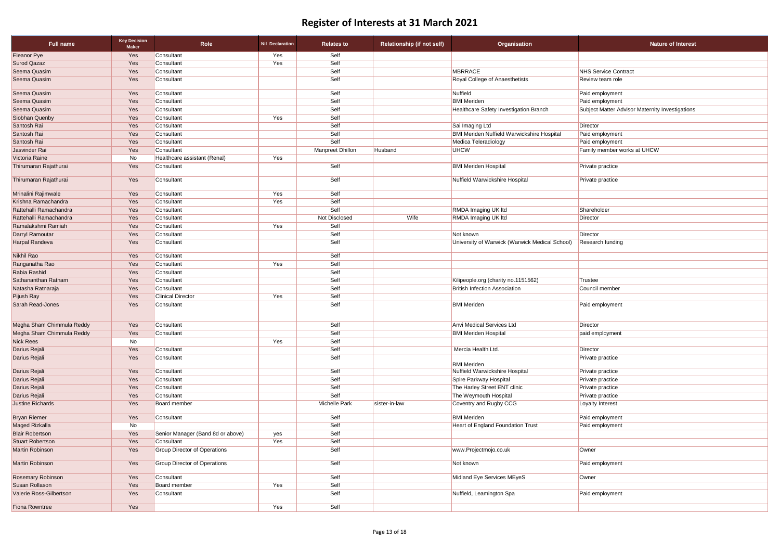| <b>Full name</b>                                  | <b>Key Decision</b><br><b>Maker</b> | Role                                              | <b>Nil Declaration</b> | <b>Relates to</b> | <b>Relationship (if not self)</b>     | Organisation                                      | <b>Nature of Interest</b>                       |
|---------------------------------------------------|-------------------------------------|---------------------------------------------------|------------------------|-------------------|---------------------------------------|---------------------------------------------------|-------------------------------------------------|
| <b>Eleanor Pye</b>                                | Yes                                 | Consultant                                        | Yes                    | Self              |                                       |                                                   |                                                 |
| <b>Surod Qazaz</b>                                | Yes                                 | Consultant                                        | Yes                    | Self              |                                       |                                                   |                                                 |
| Seema Quasim                                      | Yes                                 | Consultant                                        |                        | Self              |                                       | <b>MBRRACE</b>                                    | <b>NHS Service Contract</b>                     |
| Seema Quasim                                      | Yes                                 | Consultant                                        |                        | Self              | <b>Royal College of Anaesthetists</b> |                                                   | <b>Review team role</b>                         |
| Seema Quasim                                      | Yes                                 | Consultant                                        |                        | Self              |                                       | Nuffield                                          | Paid employment                                 |
| Seema Quasim                                      | Yes                                 | Consultant                                        |                        | Self              |                                       | <b>BMI Meriden</b>                                | Paid employment                                 |
| Seema Quasim                                      | Yes                                 | Consultant                                        |                        | Self              |                                       | Healthcare Safety Investigation Branch            | Subject Matter Advisor Maternity Investigations |
| Siobhan Quenby                                    | Yes                                 | Consultant                                        | Yes                    | Self              |                                       |                                                   |                                                 |
| Santosh Rai                                       | Yes                                 | Consultant                                        |                        | Self              |                                       | Sai Imaging Ltd                                   | Director                                        |
| Santosh Rai                                       | Yes                                 | Consultant                                        |                        | Self              |                                       | <b>BMI Meriden Nuffield Warwickshire Hospital</b> | Paid employment                                 |
| Santosh Rai                                       | Yes                                 | Consultant                                        |                        | Self              |                                       | Medica Teleradiology                              | Paid employment                                 |
| Jasvinder Rai                                     | Yes                                 | Consultant                                        |                        | Manpreet Dhillon  | Husband                               | <b>UHCW</b>                                       | Family member works at UHCW                     |
| Victoria Raine                                    | No                                  | Healthcare assistant (Renal)                      | Yes                    |                   |                                       |                                                   |                                                 |
| Thirumaran Rajathurai                             | Yes                                 | Consultant                                        |                        | Self              |                                       | <b>BMI Meriden Hospital</b>                       | Private practice                                |
| Thirumaran Rajathurai                             | Yes                                 | Consultant                                        |                        | Self              |                                       | Nuffield Warwickshire Hospital                    | <b>Private practice</b>                         |
| Mrinalini Rajimwale                               | Yes                                 | Consultant                                        | Yes                    | Self              |                                       |                                                   |                                                 |
| Krishna Ramachandra<br>Rattehalli Ramachandra     | Yes                                 | Consultant<br>Consultant                          | Yes                    | Self<br>Self      |                                       | <b>RMDA Imaging UK Itd</b>                        | Shareholder                                     |
| Rattehalli Ramachandra                            | Yes<br>Yes                          | Consultant                                        |                        | Not Disclosed     | Wife                                  | <b>RMDA Imaging UK Itd</b>                        | Director                                        |
| Ramalakshmi Ramiah                                | Yes                                 | Consultant                                        | Yes                    | Self              |                                       |                                                   |                                                 |
| Darryl Ramoutar                                   | Yes                                 | Consultant                                        |                        | Self              |                                       | Not known                                         | Director                                        |
| <b>Harpal Randeva</b>                             | Yes                                 | Consultant                                        |                        | Self              |                                       | University of Warwick (Warwick Medical School)    | Research funding                                |
| Nikhil Rao                                        | Yes                                 | Consultant                                        |                        | Self              |                                       |                                                   |                                                 |
| Ranganatha Rao                                    | Yes                                 | Consultant                                        | Yes                    | Self              |                                       |                                                   |                                                 |
| Rabia Rashid                                      | Yes                                 | Consultant                                        |                        | Self              |                                       |                                                   |                                                 |
| Sathananthan Ratnam                               | Yes                                 | Consultant                                        |                        | Self              |                                       | Kilipeople.org (charity no.1151562)               | Trustee                                         |
| Natasha Ratnaraja                                 | Yes                                 | Consultant                                        |                        | Self              |                                       | <b>British Infection Association</b>              | Council member                                  |
| Pijush Ray                                        | Yes                                 | <b>Clinical Director</b>                          | Yes                    | Self              |                                       |                                                   |                                                 |
| Sarah Read-Jones                                  | Yes                                 | Consultant                                        |                        | Self              |                                       | <b>BMI</b> Meriden                                | Paid employment                                 |
| Megha Sham Chimmula Reddy                         | Yes                                 | Consultant                                        |                        | Self              |                                       | Anvi Medical Services Ltd                         | Director                                        |
| Megha Sham Chimmula Reddy                         | Yes                                 | Consultant                                        |                        | Self              |                                       | <b>BMI Meriden Hospital</b>                       | paid employment                                 |
| <b>Nick Rees</b>                                  | No                                  |                                                   | Yes                    | Self              |                                       |                                                   |                                                 |
| Darius Rejali                                     | Yes                                 | Consultant                                        |                        | Self              |                                       | Mercia Health Ltd.                                | Director                                        |
| Darius Rejali                                     | Yes                                 | Consultant                                        |                        | Self              |                                       | <b>BMI</b> Meriden                                | <b>Private practice</b>                         |
| Darius Rejali                                     | Yes                                 | Consultant                                        |                        | Self              |                                       | Nuffield Warwickshire Hospital                    | Private practice                                |
| Darius Rejali                                     | Yes                                 | Consultant                                        |                        | Self              |                                       | Spire Parkway Hospital                            | Private practice                                |
| Darius Rejali                                     | Yes                                 | Consultant                                        |                        | Self              |                                       | The Harley Street ENT clinic                      | Private practice                                |
| Darius Rejali                                     | Yes                                 | Consultant                                        |                        | Self              |                                       | The Weymouth Hospital                             | Private practice                                |
| Justine Richards                                  | Yes                                 | Board member                                      |                        | Michelle Park     | sister-in-law                         | Coventry and Rugby CCG                            | Loyalty Interest                                |
| <b>Bryan Riemer</b>                               | Yes                                 | Consultant                                        |                        | Self              |                                       | <b>BMI Meriden</b>                                | Paid employment                                 |
| Maged Rizkalla                                    | No                                  |                                                   |                        | Self              |                                       | <b>Heart of England Foundation Trust</b>          | Paid employment                                 |
| <b>Blair Robertson</b><br><b>Stuart Robertson</b> | Yes                                 | Senior Manager (Band 8d or above)                 | yes<br>Yes             | Self<br>Self      |                                       |                                                   |                                                 |
| Martin Robinson                                   | Yes<br>Yes                          | Consultant<br><b>Group Director of Operations</b> |                        | Self              |                                       | www.Projectmojo.co.uk                             | Owner                                           |
| Martin Robinson                                   | Yes                                 | <b>Group Director of Operations</b>               |                        | Self              |                                       | Not known                                         | Paid employment                                 |
| Rosemary Robinson                                 | Yes                                 | Consultant                                        |                        | Self              |                                       | Midland Eye Services MEyeS                        | Owner                                           |
| Susan Rollason                                    | Yes                                 | <b>Board member</b>                               | Yes                    | Self              |                                       |                                                   |                                                 |
| Valerie Ross-Gilbertson                           | Yes                                 | Consultant                                        |                        | Self              |                                       | Nuffield, Leamington Spa                          | Paid employment                                 |
| Fiona Rowntree                                    | Yes                                 |                                                   | Yes                    | Self              |                                       |                                                   |                                                 |

| <b>Nature of Interest</b> |
|---------------------------|
|---------------------------|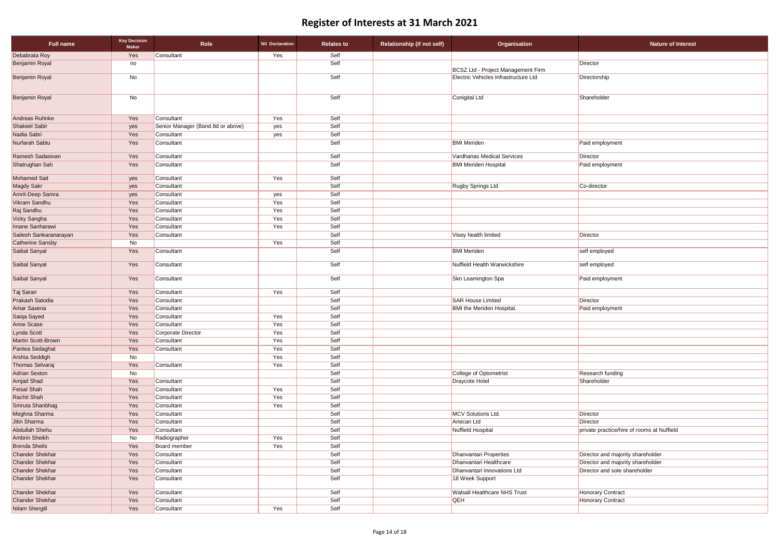| <b>Full name</b>                         | <b>Key Decision</b><br><b>Maker</b> | Role                              | <b>Nil Declaration</b> | <b>Relates to</b> | <b>Relationship (if not self)</b> | Organisation                         | <b>Nature of Interest</b>                  |
|------------------------------------------|-------------------------------------|-----------------------------------|------------------------|-------------------|-----------------------------------|--------------------------------------|--------------------------------------------|
| Debabrata Roy                            | Yes                                 | Consultant                        | Yes                    | Self              |                                   |                                      |                                            |
| <b>Benjamin Royal</b>                    | no                                  |                                   |                        | Self              |                                   | BCSZ Ltd - Project Management Firm   | Director                                   |
| <b>Benjamin Royal</b>                    | No                                  |                                   |                        | Self              |                                   | Electric Vehicles Infrastructure Ltd | Directorship                               |
| Benjamin Royal                           | No                                  |                                   |                        | Self              |                                   | Conigital Ltd                        | Shareholder                                |
| Andreas Ruhnke                           | Yes                                 | Consultant                        | Yes                    | Self              |                                   |                                      |                                            |
| <b>Shakeel Sabir</b>                     | yes                                 | Senior Manager (Band 8d or above) | yes                    | Self              |                                   |                                      |                                            |
| Nadia Sabri                              | Yes                                 | Consultant                        | yes                    | Self              |                                   |                                      |                                            |
| Nurfarah Sabtu                           | Yes                                 | Consultant                        |                        | Self              |                                   | <b>BMI</b> Meriden                   | Paid employment                            |
| Ramesh Sadasivan                         | Yes                                 | Consultant                        |                        | Self              |                                   | Vardhanas Medical Services           | Director                                   |
| Shatrughan Sah                           | Yes                                 | Consultant                        |                        | Self              |                                   | <b>BMI Meriden Hospital</b>          | Paid employment                            |
| <b>Mohamed Sait</b>                      | yes                                 | Consultant                        | Yes                    | Self              |                                   |                                      |                                            |
| <b>Magdy Sakr</b>                        | yes                                 | Consultant                        |                        | Self              |                                   | Rugby Springs Ltd                    | Co-director                                |
| Amrit-Deep Samra                         | yes                                 | Consultant                        | yes                    | Self              |                                   |                                      |                                            |
| Vikram Sandhu                            | Yes                                 | Consultant                        | Yes                    | Self              |                                   |                                      |                                            |
| Raj Sandhu                               | Yes                                 | Consultant                        | Yes                    | Self              |                                   |                                      |                                            |
| Vicky Sangha                             | Yes                                 | Consultant                        | Yes                    | Self              |                                   |                                      |                                            |
| Imane Sanharawi                          | Yes                                 | Consultant                        | Yes                    | Self              |                                   |                                      |                                            |
| Sailesh Sankaranarayan                   | Yes                                 | Consultant                        |                        | Self<br>Self      |                                   | Visey health limited                 | Director                                   |
| <b>Catherine Sansby</b><br>Saibal Sanyal | No<br>Yes                           | Consultant                        | Yes                    | Self              |                                   | <b>BMI</b> Meriden                   | self employed                              |
| Saibal Sanyal                            | Yes                                 | Consultant                        |                        | Self              |                                   | Nuffield Health Warwickshire         | self employed                              |
| Saibal Sanyal                            | Yes                                 | Consultant                        |                        | Self              |                                   | Skn Leamington Spa                   | Paid employment                            |
| Taj Saran                                | Yes                                 | Consultant                        | Yes                    | Self              |                                   |                                      |                                            |
| <b>Prakash Satodia</b>                   | Yes                                 | Consultant                        |                        | Self              |                                   | <b>SAR House Limited</b>             | Director                                   |
| Amar Saxena                              | Yes                                 | Consultant                        |                        | Self              |                                   | <b>BMI</b> the Meriden Hospital.     | Paid employment                            |
| Saiqa Sayed                              | Yes                                 | Consultant                        | Yes                    | Self              |                                   |                                      |                                            |
| Anne Scase                               | Yes                                 | Consultant                        | Yes                    | Self              |                                   |                                      |                                            |
| Lynda Scott                              | Yes                                 | Corporate Director                | Yes                    | Self              |                                   |                                      |                                            |
| <b>Martin Scott-Brown</b>                | Yes                                 | Consultant                        | Yes                    | Self              |                                   |                                      |                                            |
| Pantea Sedaghat                          | Yes                                 | Consultant                        | Yes                    | Self              |                                   |                                      |                                            |
| Arshia Seddigh                           | No                                  |                                   | Yes                    | Self              |                                   |                                      |                                            |
| <b>Thomas Selvaraj</b>                   | Yes                                 | Consultant                        | Yes                    | Self              |                                   |                                      |                                            |
| <b>Adrian Sexton</b>                     | No                                  |                                   |                        | Self              |                                   | College of Optometrist               | <b>Research funding</b>                    |
| Amjad Shad                               | Yes                                 | Consultant                        |                        | Self              |                                   | Draycote Hotel                       | Shareholder                                |
| <b>Feisal Shah</b>                       | Yes                                 | Consultant                        | Yes                    | Self              |                                   |                                      |                                            |
| <b>Rachit Shah</b>                       | Yes                                 | Consultant                        | Yes                    | Self              |                                   |                                      |                                            |
| Smruta Shanbhag                          | Yes                                 | Consultant                        | Yes                    | Self              |                                   |                                      |                                            |
| Meghna Sharma                            | Yes                                 | Consultant                        |                        | Self              |                                   | MCV Solutions Ltd.                   | Director                                   |
| Jitin Sharma                             | Yes                                 | Consultant                        |                        | Self              |                                   | Ariecan Ltd                          | Director                                   |
| <b>Abdullah Shehu</b>                    | Yes                                 | Consultant                        |                        | Self              |                                   | Nuffield Hospital                    | private practice/hire of rooms at Nuffield |
| Ambrin Sheikh                            | No                                  | Radiographer                      | Yes                    | Self              |                                   |                                      |                                            |
| <b>Brenda Sheils</b>                     | Yes                                 | Board member                      | Yes                    | Self              |                                   |                                      |                                            |
| <b>Chander Shekhar</b>                   | Yes                                 | Consultant                        |                        | Self              |                                   | Dhanvantari Properties               | Director and majority shareholder          |
| <b>Chander Shekhar</b>                   | Yes                                 | Consultant                        |                        | Self              |                                   | Dhanvantari Healthcare               | Director and majority shareholder          |
| <b>Chander Shekhar</b>                   | Yes                                 | Consultant                        |                        | Self              |                                   | Dhanvantari Innovations Ltd          | Director and sole shareholder              |
| <b>Chander Shekhar</b>                   | Yes                                 | Consultant                        |                        | Self              |                                   | 18 Week Support                      |                                            |
| <b>Chander Shekhar</b>                   | Yes                                 | Consultant                        |                        | Self              |                                   | <b>Walsall Healthcare NHS Trust</b>  | <b>Honorary Contract</b>                   |
| <b>Chander Shekhar</b>                   | Yes                                 | Consultant                        |                        | Self              |                                   | <b>QEH</b>                           | Honorary Contract                          |
| Nilam Shergill                           | Yes                                 | Consultant                        | Yes                    | Self              |                                   |                                      |                                            |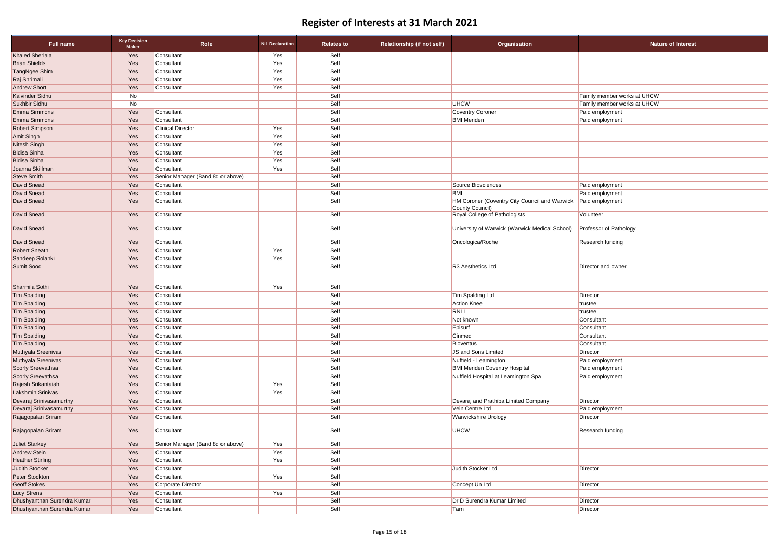| <b>Full name</b>            | <b>Key Decision</b><br><b>Maker</b> | Role                              | <b>Nil Declaration</b> | <b>Relates to</b> | <b>Relationship (if not self)</b> | <b>Organisation</b>                                              | <b>Nature of Interest</b>     |
|-----------------------------|-------------------------------------|-----------------------------------|------------------------|-------------------|-----------------------------------|------------------------------------------------------------------|-------------------------------|
| <b>Khaled Sherlala</b>      | Yes                                 | Consultant                        | Yes                    | Self              |                                   |                                                                  |                               |
| <b>Brian Shields</b>        | Yes                                 | Consultant                        | Yes                    | Self              |                                   |                                                                  |                               |
| TangNgee Shim               | Yes                                 | Consultant                        | Yes                    | Self              |                                   |                                                                  |                               |
| Raj Shrimali                | Yes                                 | Consultant                        | Yes                    | Self              |                                   |                                                                  |                               |
| <b>Andrew Short</b>         | Yes                                 | Consultant                        | Yes                    | Self              |                                   |                                                                  |                               |
| Kalvinder Sidhu             | No                                  |                                   |                        | Self              |                                   |                                                                  | Family member works at UHCW   |
| Sukhbir Sidhu               | No                                  |                                   |                        | Self              |                                   | <b>UHCW</b>                                                      | Family member works at UHCW   |
| Emma Simmons                | Yes                                 | Consultant                        |                        | Self              |                                   | <b>Coventry Coroner</b>                                          | Paid employment               |
| Emma Simmons                | Yes                                 | Consultant                        |                        | Self              |                                   | <b>BMI</b> Meriden                                               | Paid employment               |
| Robert Simpson              | Yes                                 | <b>Clinical Director</b>          | Yes                    | Self              |                                   |                                                                  |                               |
| Amit Singh                  | Yes                                 | Consultant                        | Yes                    | Self              |                                   |                                                                  |                               |
| Nitesh Singh                | Yes                                 | Consultant                        | Yes                    | Self              |                                   |                                                                  |                               |
| <b>Bidisa Sinha</b>         | Yes                                 | Consultant                        | Yes                    | Self              |                                   |                                                                  |                               |
| <b>Bidisa Sinha</b>         | Yes                                 | Consultant                        | Yes                    | Self              |                                   |                                                                  |                               |
| Joanna Skillman             | Yes                                 | Consultant                        | Yes                    | Self              |                                   |                                                                  |                               |
| <b>Steve Smith</b>          | Yes                                 | Senior Manager (Band 8d or above) |                        | Self              |                                   |                                                                  |                               |
| David Snead                 | Yes                                 | Consultant                        |                        | Self              |                                   | Source Biosciences                                               | Paid employment               |
| David Snead                 | Yes                                 | Consultant                        |                        | Self              |                                   | BMI                                                              | Paid employment               |
| David Snead                 | Yes                                 | Consultant                        |                        | Self              |                                   | HM Coroner (Coventry City Council and Warwick<br>County Council) | Paid employment               |
| David Snead                 | Yes                                 | Consultant                        |                        | Self              |                                   | Royal College of Pathologists                                    | Volunteer                     |
| David Snead                 | Yes                                 | Consultant                        |                        | Self              |                                   | University of Warwick (Warwick Medical School)                   | <b>Professor of Pathology</b> |
| David Snead                 | Yes                                 | Consultant                        |                        | Self              |                                   | Oncologica/Roche                                                 | Research funding              |
| <b>Robert Sneath</b>        | Yes                                 | Consultant                        | Yes                    | Self              |                                   |                                                                  |                               |
| Sandeep Solanki             | Yes                                 | Consultant                        | Yes                    | Self              |                                   |                                                                  |                               |
| Sumit Sood                  | Yes                                 | Consultant                        |                        | Self              |                                   | R <sub>3</sub> Aesthetics Ltd                                    | Director and owner            |
| Sharmila Sothi              | Yes                                 | Consultant                        | Yes                    | Self              |                                   |                                                                  |                               |
| <b>Tim Spalding</b>         | Yes                                 | Consultant                        |                        | Self              |                                   | <b>Tim Spalding Ltd</b>                                          | Director                      |
| <b>Tim Spalding</b>         | Yes                                 | Consultant                        |                        | Self              |                                   | Action Knee                                                      | trustee                       |
| <b>Tim Spalding</b>         | Yes                                 | Consultant                        |                        | Self              |                                   | RNLI                                                             | trustee                       |
| <b>Tim Spalding</b>         | Yes                                 | Consultant                        |                        | Self              |                                   | Not known                                                        | Consultant                    |
| <b>Tim Spalding</b>         | Yes                                 | Consultant                        |                        | Self              |                                   | Episurf                                                          | Consultant                    |
| <b>Tim Spalding</b>         | Yes                                 | Consultant                        |                        | Self              |                                   | Cinmed                                                           | Consultant                    |
| <b>Tim Spalding</b>         | Yes                                 | Consultant                        |                        | Self              |                                   | Bioventus                                                        | Consultant                    |
| Muthyala Sreenivas          | Yes                                 | Consultant                        |                        | Self              |                                   | JS and Sons Limited                                              | Director                      |
| Muthyala Sreenivas          | Yes                                 | Consultant                        |                        | Self              |                                   | Nuffield - Leamington                                            | Paid employment               |
| Soorly Sreevathsa           | Yes                                 | Consultant                        |                        | Self              |                                   | <b>BMI Meriden Coventry Hospital</b>                             | Paid employment               |
| Soorly Sreevathsa           | Yes                                 | Consultant                        |                        | Self              |                                   | Nuffield Hospital at Leamington Spa                              | Paid employment               |
| Rajesh Srikantaiah          | Yes                                 | Consultant                        | Yes                    | Self              |                                   |                                                                  |                               |
| Lakshmin Srinivas           | Yes                                 | Consultant                        | Yes                    | Self              |                                   |                                                                  |                               |
| Devaraj Srinivasamurthy     | Yes                                 | Consultant                        |                        | Self              |                                   | Devaraj and Prathiba Limited Company                             | Director                      |
| Devaraj Srinivasamurthy     | Yes                                 | Consultant                        |                        | Self              |                                   | Vein Centre Ltd                                                  | Paid employment               |
| Rajagopalan Sriram          | Yes                                 | Consultant                        |                        | Self              |                                   | <b>Warwickshire Urology</b>                                      | Director                      |
| Rajagopalan Sriram          | Yes                                 | Consultant                        |                        | Self              |                                   | <b>UHCW</b>                                                      | Research funding              |
| <b>Juliet Starkey</b>       | Yes                                 | Senior Manager (Band 8d or above) | Yes                    | Self              |                                   |                                                                  |                               |
| <b>Andrew Stein</b>         | Yes                                 | Consultant                        | Yes                    | Self              |                                   |                                                                  |                               |
| <b>Heather Stirling</b>     | Yes                                 | Consultant                        | Yes                    | Self              |                                   |                                                                  |                               |
| <b>Judith Stocker</b>       | Yes                                 | Consultant                        |                        | Self              |                                   | Judith Stocker Ltd                                               | Director                      |
| Peter Stockton              | Yes                                 | Consultant                        | Yes                    | Self              |                                   |                                                                  |                               |
| <b>Geoff Stokes</b>         | Yes                                 | Corporate Director                |                        | Self              |                                   | Concept Un Ltd                                                   | Director                      |
| <b>Lucy Strens</b>          | Yes                                 | Consultant                        | Yes                    | Self              |                                   |                                                                  |                               |
| Dhushyanthan Surendra Kumar | Yes                                 | Consultant                        |                        | Self              |                                   | Dr D Surendra Kumar Limited                                      | Director                      |
| Dhushyanthan Surendra Kumar | Yes                                 | Consultant                        |                        | Self              |                                   | Tarn                                                             | Director                      |

| Nature of Interest |  |
|--------------------|--|
|                    |  |

| $\overline{\text{ctor}}$ |
|--------------------------|
| d employment             |
| ector                    |
| earch funding            |
|                          |
|                          |
|                          |
| ector                    |
|                          |
| ctor                     |
|                          |
| ctor                     |
| ctor                     |
|                          |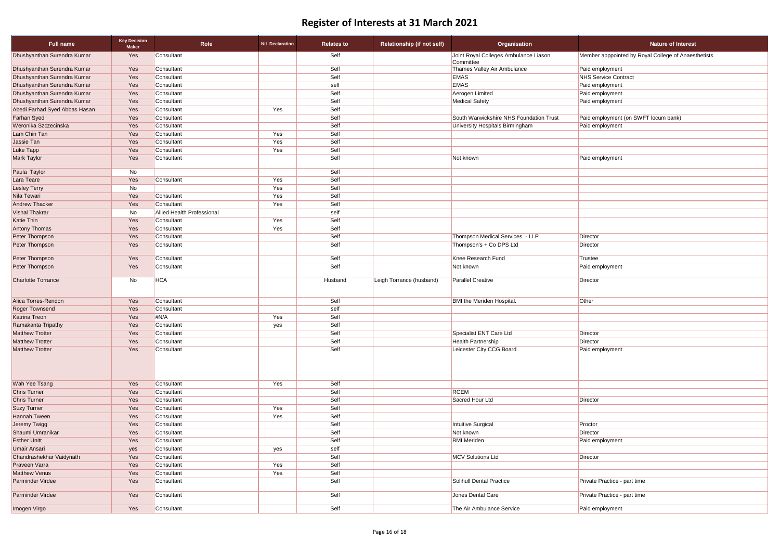| <b>Nature of Interest</b>                           |
|-----------------------------------------------------|
| Member apppointed by Royal College of Anaesthetists |
| Paid employment                                     |
| <b>NHS Service Contract</b>                         |
| Paid employment                                     |
| Paid employment                                     |
| Paid employment                                     |
|                                                     |
| Paid employment (on SWFT locum bank)                |
| Paid employment                                     |
|                                                     |
|                                                     |
|                                                     |
| Paid employment                                     |
|                                                     |
|                                                     |
|                                                     |
|                                                     |
|                                                     |
|                                                     |
|                                                     |
|                                                     |
|                                                     |
| Director                                            |
| Director                                            |
| <b>Trustee</b>                                      |
| Paid employment                                     |
|                                                     |
| Director                                            |
| Other                                               |
|                                                     |
|                                                     |
|                                                     |
| Director                                            |
| Director                                            |
| Paid employment                                     |
|                                                     |
|                                                     |
|                                                     |
|                                                     |
|                                                     |
| Director                                            |
|                                                     |
|                                                     |
| Proctor                                             |
| Director                                            |
| Paid employment                                     |
|                                                     |
| Director                                            |
|                                                     |
|                                                     |
| Private Practice - part time                        |
|                                                     |
| Private Practice - part time                        |
| Paid employment                                     |
|                                                     |

| Full name                     | <b>Key Decision</b><br><b>Maker</b> | <b>Role</b>                       | <b>Nil Declaration</b> | <b>Relates to</b> | <b>Relationship (if not self)</b> | <b>Organisation</b>                                | <b>Nature of Interest</b>                   |
|-------------------------------|-------------------------------------|-----------------------------------|------------------------|-------------------|-----------------------------------|----------------------------------------------------|---------------------------------------------|
| Dhushyanthan Surendra Kumar   | Yes                                 | Consultant                        |                        | Self              |                                   | Joint Royal Colleges Ambulance Liason<br>Committee | Member apppointed by Royal College of Anaes |
| Dhushyanthan Surendra Kumar   | Yes                                 | Consultant                        |                        | Self              |                                   | Thames Valley Air Ambulance                        | Paid employment                             |
| Dhushyanthan Surendra Kumar   | Yes                                 | Consultant                        |                        | Self              |                                   | <b>EMAS</b>                                        | <b>NHS Service Contract</b>                 |
| Dhushyanthan Surendra Kumar   | Yes                                 | Consultant                        |                        | self              |                                   | <b>EMAS</b>                                        | Paid employment                             |
| Dhushyanthan Surendra Kumar   | Yes                                 | Consultant                        |                        | Self              |                                   | Aerogen Limited                                    | Paid employment                             |
| Dhushyanthan Surendra Kumar   | Yes                                 | Consultant                        |                        | Self              |                                   | <b>Medical Safety</b>                              | Paid employment                             |
| Abedi Farhad Syed Abbas Hasan | Yes                                 | Consultant                        | Yes                    | Self              |                                   |                                                    |                                             |
| <b>Farhan Syed</b>            | Yes                                 | Consultant                        |                        | Self              |                                   | South Warwickshire NHS Foundation Trust            | Paid employment (on SWFT locum bank)        |
| Weronika Szczecinska          | Yes                                 | Consultant                        |                        | Self              |                                   | University Hospitals Birmingham                    | Paid employment                             |
| Lam Chin Tan                  | Yes                                 | Consultant                        | Yes                    | Self              |                                   |                                                    |                                             |
| Jassie Tan                    | Yes                                 | Consultant                        | Yes                    | Self              |                                   |                                                    |                                             |
| Luke Tapp                     | Yes                                 | Consultant                        | Yes                    | Self              |                                   |                                                    |                                             |
| <b>Mark Taylor</b>            | Yes                                 | Consultant                        |                        | Self              |                                   | Not known                                          | Paid employment                             |
| Paula Taylor                  | No                                  |                                   |                        | Self              |                                   |                                                    |                                             |
| Lara Teare                    | Yes                                 | Consultant                        | Yes                    | Self              |                                   |                                                    |                                             |
| <b>Lesley Terry</b>           | No                                  |                                   | Yes                    | Self              |                                   |                                                    |                                             |
| Nila Tewari                   | Yes                                 | Consultant                        | Yes                    | Self              |                                   |                                                    |                                             |
| <b>Andrew Thacker</b>         | Yes                                 | Consultant                        | Yes                    | Self              |                                   |                                                    |                                             |
| <b>Vishal Thakrar</b>         | No                                  | <b>Allied Health Professional</b> |                        | self              |                                   |                                                    |                                             |
| <b>Katie Thin</b>             | Yes                                 | Consultant                        | Yes                    | Self              |                                   |                                                    |                                             |
| <b>Antony Thomas</b>          | Yes                                 | Consultant                        | Yes                    | Self              |                                   |                                                    |                                             |
| Peter Thompson                | Yes                                 | Consultant                        |                        | Self              |                                   | Thompson Medical Services - LLP                    | Director                                    |
| Peter Thompson                | Yes                                 | Consultant                        |                        | Self              |                                   | Thompson's + Co DPS Ltd                            | Director                                    |
| Peter Thompson                | Yes                                 | Consultant                        |                        | Self              |                                   | Knee Research Fund                                 | Trustee                                     |
| Peter Thompson                | Yes                                 | Consultant                        |                        | Self              |                                   | Not known                                          | Paid employment                             |
| <b>Charlotte Torrance</b>     | No                                  | <b>HCA</b>                        |                        | Husband           | Leigh Torrance (husband)          | <b>Parallel Creative</b>                           | Director                                    |
| Alica Torres-Rendon           | Yes                                 | Consultant                        |                        | Self              |                                   | <b>BMI</b> the Meriden Hospital.                   | Other                                       |
| <b>Roger Townsend</b>         | Yes                                 | Consultant                        |                        | self              |                                   |                                                    |                                             |
| <b>Katrina Treon</b>          | Yes                                 | #N/A                              | Yes                    | Self              |                                   |                                                    |                                             |
| Ramakanta Tripathy            | Yes                                 | Consultant                        | yes                    | Self              |                                   |                                                    |                                             |
| <b>Matthew Trotter</b>        | Yes                                 | Consultant                        |                        | Self              |                                   | Specialist ENT Care Ltd                            | Director                                    |
| <b>Matthew Trotter</b>        | Yes                                 | Consultant                        |                        | Self              |                                   | <b>Health Partnership</b>                          | Director                                    |
| <b>Matthew Trotter</b>        | Yes                                 | Consultant                        |                        | Self              |                                   | Leicester City CCG Board                           | Paid employment                             |
| Wah Yee Tsang                 | Yes                                 | Consultant                        | Yes                    | Self              |                                   |                                                    |                                             |
| <b>Chris Turner</b>           | Yes                                 | Consultant                        |                        | Self              |                                   | <b>RCEM</b>                                        |                                             |
| <b>Chris Turner</b>           | Yes                                 | Consultant                        |                        | Self              |                                   | Sacred Hour Ltd                                    | Director                                    |
| <b>Suzy Turner</b>            | Yes                                 | Consultant                        | Yes                    | Self              |                                   |                                                    |                                             |
| <b>Hannah Tween</b>           | Yes                                 | Consultant                        | Yes                    | Self              |                                   |                                                    |                                             |
| Jeremy Twigg                  | Yes                                 | Consultant                        |                        | Self              |                                   | Intuitive Surgical                                 | Proctor                                     |
| Shaumi Umranikar              | Yes                                 | Consultant                        |                        | Self              |                                   | Not known                                          | Director                                    |
| <b>Esther Unitt</b>           | Yes                                 | Consultant                        |                        | Self              |                                   | <b>BMI</b> Meriden                                 | Paid employment                             |
| <b>Umair Ansari</b>           | yes                                 | Consultant                        | yes                    | self              |                                   |                                                    |                                             |
| Chandrashekhar Vaidynath      | Yes                                 | Consultant                        |                        | Self              |                                   | <b>MCV Solutions Ltd</b>                           | Director                                    |
| Praveen Varra                 | Yes                                 | Consultant                        | Yes                    | Self              |                                   |                                                    |                                             |
| <b>Matthew Venus</b>          | Yes                                 | Consultant                        | Yes                    | Self              |                                   |                                                    |                                             |
| Parminder Virdee              | Yes                                 | Consultant                        |                        | Self              |                                   | Solihull Dental Practice                           | Private Practice - part time                |
| Parminder Virdee              | Yes                                 | Consultant                        |                        | Self              |                                   | Jones Dental Care                                  | Private Practice - part time                |
| Imogen Virgo                  | Yes                                 | Consultant                        |                        | Self              |                                   | The Air Ambulance Service                          | Paid employment                             |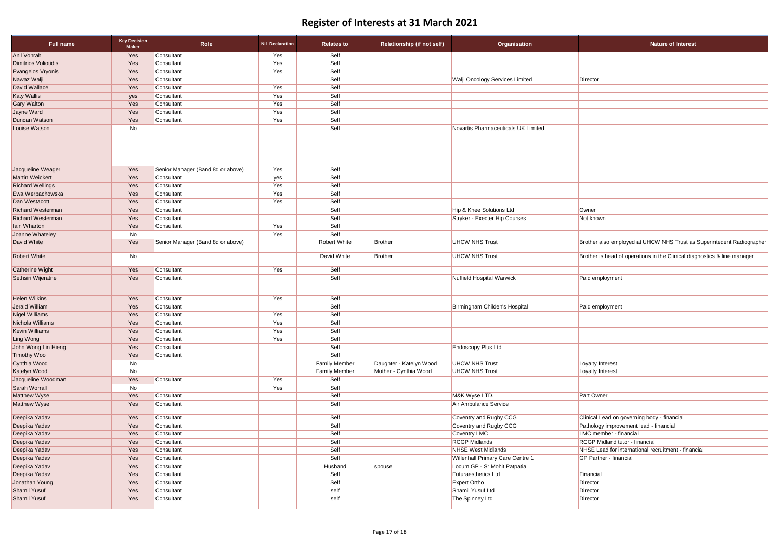| <b>Full name</b>            | <b>Key Decision</b><br><b>Maker</b> | Role                              | <b>Nil Declaration</b> | <b>Relates to</b>    | <b>Relationship (if not self)</b> | Organisation                           | <b>Nature of Interest</b>                                                |
|-----------------------------|-------------------------------------|-----------------------------------|------------------------|----------------------|-----------------------------------|----------------------------------------|--------------------------------------------------------------------------|
| <b>Anil Vohrah</b>          | Yes                                 | Consultant                        | Yes                    | Self                 |                                   |                                        |                                                                          |
| <b>Dimitrios Voliotidis</b> | Yes                                 | Consultant                        | Yes                    | Self                 |                                   |                                        |                                                                          |
| Evangelos Vryonis           | Yes                                 | Consultant                        | Yes                    | Self                 |                                   |                                        |                                                                          |
| Nawaz Walji                 | Yes                                 | Consultant                        |                        | Self                 |                                   | <b>Walji Oncology Services Limited</b> | Director                                                                 |
| David Wallace               | Yes                                 | Consultant                        | Yes                    | Self                 |                                   |                                        |                                                                          |
| <b>Katy Wallis</b>          | yes                                 | Consultant                        | Yes                    | Self                 |                                   |                                        |                                                                          |
| <b>Gary Walton</b>          | Yes                                 | Consultant                        | Yes                    | Self                 |                                   |                                        |                                                                          |
| Jayne Ward                  | Yes                                 | Consultant                        | Yes                    | Self                 |                                   |                                        |                                                                          |
| <b>Duncan Watson</b>        | Yes                                 | Consultant                        | Yes                    | Self                 |                                   |                                        |                                                                          |
| Louise Watson               | No                                  |                                   |                        | Self                 |                                   | Novartis Pharmaceuticals UK Limited    |                                                                          |
| Jacqueline Weager           | Yes                                 | Senior Manager (Band 8d or above) | Yes                    | Self                 |                                   |                                        |                                                                          |
| Martin Weickert             | Yes                                 | Consultant                        | yes                    | Self                 |                                   |                                        |                                                                          |
| <b>Richard Wellings</b>     | Yes                                 | Consultant                        | Yes                    | Self                 |                                   |                                        |                                                                          |
| Ewa Werpachowska            | Yes                                 | Consultant                        | Yes                    | Self                 |                                   |                                        |                                                                          |
| Dan Westacott               | Yes                                 | Consultant                        | Yes                    | Self                 |                                   |                                        |                                                                          |
| <b>Richard Westerman</b>    | Yes                                 | Consultant                        |                        | Self                 |                                   | Hip & Knee Solutions Ltd               | Owner                                                                    |
| <b>Richard Westerman</b>    | Yes                                 | Consultant                        |                        | Self                 |                                   | Stryker - Execter Hip Courses          | Not known                                                                |
| lain Wharton                | Yes                                 | Consultant                        | Yes                    | Self                 |                                   |                                        |                                                                          |
| Joanne Whateley             | No                                  |                                   | Yes                    | Self                 |                                   |                                        |                                                                          |
| David White                 | Yes                                 | Senior Manager (Band 8d or above) |                        | <b>Robert White</b>  | Brother                           | <b>UHCW NHS Trust</b>                  | Brother also employed at UHCW NHS Trust as Superintedent Radiographer    |
| <b>Robert White</b>         | No                                  |                                   |                        | David White          | Brother                           | <b>UHCW NHS Trust</b>                  | Brother is head of operations in the Clinical diagnostics & line manager |
| Catherine Wight             | Yes                                 | Consultant                        | Yes                    | Self                 |                                   |                                        |                                                                          |
| Sethsiri Wijeratne          | Yes                                 | Consultant                        |                        | Self                 |                                   | Nuffield Hospital Warwick              | Paid employment                                                          |
| <b>Helen Wilkins</b>        | Yes                                 | Consultant                        | Yes                    | Self                 |                                   |                                        |                                                                          |
| Jerald William              | Yes                                 | Consultant                        |                        | Self                 |                                   | Birmingham Childen's Hospital          | Paid employment                                                          |
| Nigel Williams              | Yes                                 | Consultant                        | Yes                    | Self                 |                                   |                                        |                                                                          |
| Nichola Williams            | Yes                                 | Consultant                        | Yes                    | Self                 |                                   |                                        |                                                                          |
| <b>Kevin Williams</b>       | Yes                                 | Consultant                        | Yes                    | Self                 |                                   |                                        |                                                                          |
| Ling Wong                   | Yes                                 | Consultant                        | Yes                    | Self                 |                                   |                                        |                                                                          |
| John Wong Lin Hieng         | Yes                                 | Consultant                        |                        | Self                 |                                   | <b>Endoscopy Plus Ltd</b>              |                                                                          |
| <b>Timothy Woo</b>          | Yes                                 | Consultant                        |                        | Self                 |                                   |                                        |                                                                          |
| Cynthia Wood                | No                                  |                                   |                        | <b>Family Member</b> | Daughter - Katelyn Wood           | <b>UHCW NHS Trust</b>                  | Loyalty Interest                                                         |
| Katelyn Wood                | No                                  |                                   |                        | <b>Family Member</b> | Mother - Cynthia Wood             | <b>UHCW NHS Trust</b>                  | Loyalty Interest                                                         |
| Jacqueline Woodman          | Yes                                 | Consultant                        | Yes                    | Self                 |                                   |                                        |                                                                          |
| Sarah Worrall               | No                                  |                                   | Yes                    | Self                 |                                   |                                        |                                                                          |
| Matthew Wyse                | Yes                                 | Consultant                        |                        | Self                 |                                   | M&K Wyse LTD.                          | Part Owner                                                               |
| Matthew Wyse                | Yes                                 | Consultant                        |                        | Self                 |                                   | Air Ambulance Service                  |                                                                          |
| Deepika Yadav               | Yes                                 | Consultant                        |                        | Self                 |                                   | Coventry and Rugby CCG                 | Clinical Lead on governing body - financial                              |
| Deepika Yadav               | Yes                                 | Consultant                        |                        | Self                 |                                   | Coventry and Rugby CCG                 | Pathology improvement lead - financial                                   |
| Deepika Yadav               | Yes                                 | Consultant                        |                        | Self                 |                                   | Coventry LMC                           | LMC member - financial                                                   |
| Deepika Yadav               | Yes                                 | Consultant                        |                        | Self                 |                                   | <b>RCGP Midlands</b>                   | RCGP Midland tutor - financial                                           |
| Deepika Yadav               | Yes                                 | Consultant                        |                        | Self                 |                                   | NHSE West Midlands                     | NHSE Lead for international recruitment - financial                      |
| Deepika Yadav               | Yes                                 | Consultant                        |                        | Self                 |                                   | Willenhall Primary Care Centre 1       | <b>GP Partner - financial</b>                                            |
| Deepika Yadav               | Yes                                 | Consultant                        |                        | Husband              | spouse                            | Locum GP - Sr Mohit Patpatia           |                                                                          |
| Deepika Yadav               | Yes                                 | Consultant                        |                        | Self                 |                                   | Futuraesthetics Ltd                    | Financial                                                                |
| Jonathan Young              | Yes                                 | Consultant                        |                        | Self                 |                                   | <b>Expert Ortho</b>                    | Director                                                                 |
| Shamil Yusuf                | Yes                                 | Consultant                        |                        | self                 |                                   | Shamil Yusuf Ltd                       | Director                                                                 |
| <b>Shamil Yusuf</b>         | Yes                                 | Consultant                        |                        | self                 |                                   | The Spinney Ltd                        | Director                                                                 |

| <b>Nature of Interest</b>                                             |
|-----------------------------------------------------------------------|
|                                                                       |
|                                                                       |
|                                                                       |
| ctor:                                                                 |
|                                                                       |
|                                                                       |
|                                                                       |
|                                                                       |
|                                                                       |
|                                                                       |
|                                                                       |
|                                                                       |
|                                                                       |
|                                                                       |
|                                                                       |
| าer                                                                   |
| known                                                                 |
|                                                                       |
|                                                                       |
| ther also employed at UHCW NHS Trust as Superintedent Radiographer    |
| ther is head of operations in the Clinical diagnostics & line manager |
|                                                                       |
| d employment                                                          |
|                                                                       |
| d employment                                                          |
|                                                                       |
|                                                                       |
|                                                                       |
|                                                                       |
|                                                                       |
|                                                                       |
| alty Interest                                                         |
| alty Interest                                                         |
|                                                                       |
|                                                                       |
| t Owner                                                               |
|                                                                       |
| ical Lead on governing body - financial                               |
| nology improvement lead - financial                                   |
| member - financial                                                    |
| <b>GP Midland tutor - financial</b>                                   |
| SE Lead for international recruitment - financial                     |
| Partner - financial                                                   |
|                                                                       |
| ancial                                                                |
| ctor                                                                  |
| ctor                                                                  |
| ctor                                                                  |